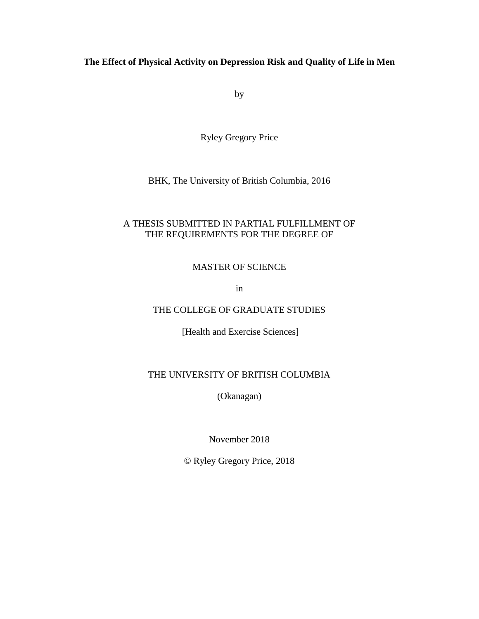# **The Effect of Physical Activity on Depression Risk and Quality of Life in Men**

by

Ryley Gregory Price

BHK, The University of British Columbia, 2016

# A THESIS SUBMITTED IN PARTIAL FULFILLMENT OF THE REQUIREMENTS FOR THE DEGREE OF

# MASTER OF SCIENCE

in

# THE COLLEGE OF GRADUATE STUDIES

[Health and Exercise Sciences]

# THE UNIVERSITY OF BRITISH COLUMBIA

(Okanagan)

November 2018

© Ryley Gregory Price, 2018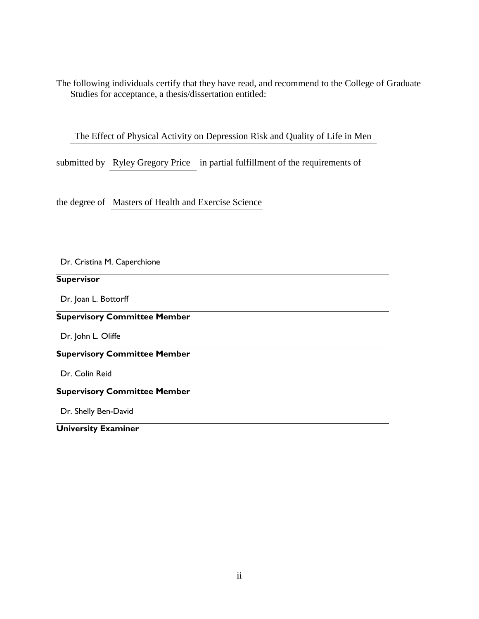The following individuals certify that they have read, and recommend to the College of Graduate Studies for acceptance, a thesis/dissertation entitled:

The Effect of Physical Activity on Depression Risk and Quality of Life in Men

submitted by Ryley Gregory Price in partial fulfillment of the requirements of

the degree of Masters of Health and Exercise Science

Dr. Cristina M. Caperchione

## **Supervisor**

Dr. Joan L. Bottorff

## **Supervisory Committee Member**

Dr. John L. Oliffe

# **Supervisory Committee Member**

Dr. Colin Reid

# **Supervisory Committee Member**

Dr. Shelly Ben-David

## **University Examiner**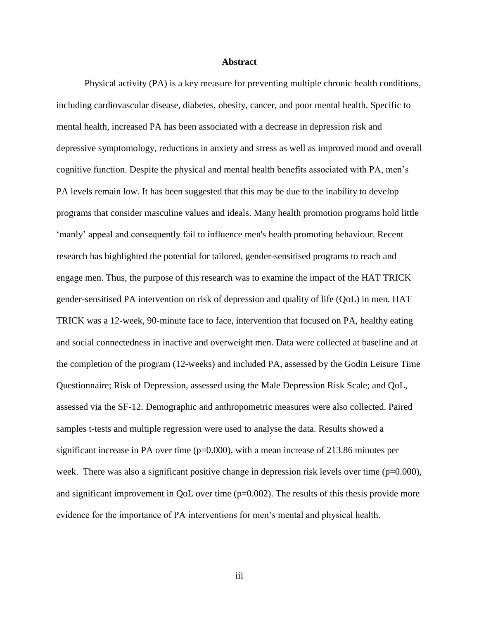#### **Abstract**

<span id="page-2-0"></span>Physical activity (PA) is a key measure for preventing multiple chronic health conditions, including cardiovascular disease, diabetes, obesity, cancer, and poor mental health. Specific to mental health, increased PA has been associated with a decrease in depression risk and depressive symptomology, reductions in anxiety and stress as well as improved mood and overall cognitive function. Despite the physical and mental health benefits associated with PA, men's PA levels remain low. It has been suggested that this may be due to the inability to develop programs that consider masculine values and ideals. Many health promotion programs hold little 'manly' appeal and consequently fail to influence men's health promoting behaviour. Recent research has highlighted the potential for tailored, gender-sensitised programs to reach and engage men. Thus, the purpose of this research was to examine the impact of the HAT TRICK gender-sensitised PA intervention on risk of depression and quality of life (QoL) in men. HAT TRICK was a 12-week, 90-minute face to face, intervention that focused on PA, healthy eating and social connectedness in inactive and overweight men. Data were collected at baseline and at the completion of the program (12-weeks) and included PA, assessed by the Godin Leisure Time Questionnaire; Risk of Depression, assessed using the Male Depression Risk Scale; and QoL, assessed via the SF-12. Demographic and anthropometric measures were also collected. Paired samples t-tests and multiple regression were used to analyse the data. Results showed a significant increase in PA over time  $(p=0.000)$ , with a mean increase of 213.86 minutes per week. There was also a significant positive change in depression risk levels over time  $(p=0.000)$ , and significant improvement in  $QoL$  over time ( $p=0.002$ ). The results of this thesis provide more evidence for the importance of PA interventions for men's mental and physical health.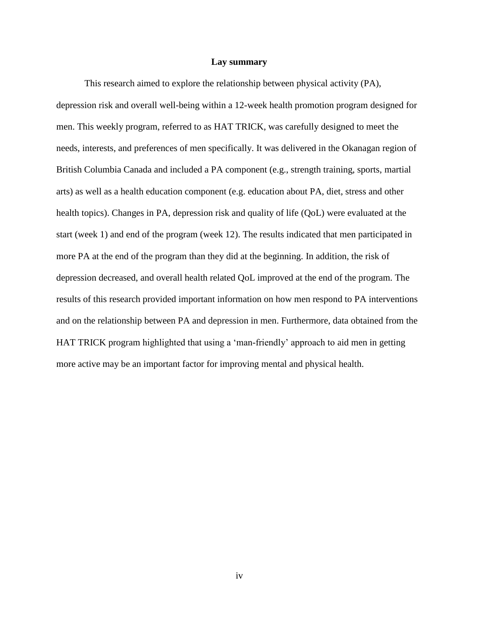## **Lay summary**

<span id="page-3-0"></span>This research aimed to explore the relationship between physical activity (PA), depression risk and overall well-being within a 12-week health promotion program designed for men. This weekly program, referred to as HAT TRICK, was carefully designed to meet the needs, interests, and preferences of men specifically. It was delivered in the Okanagan region of British Columbia Canada and included a PA component (e.g., strength training, sports, martial arts) as well as a health education component (e.g. education about PA, diet, stress and other health topics). Changes in PA, depression risk and quality of life (QoL) were evaluated at the start (week 1) and end of the program (week 12). The results indicated that men participated in more PA at the end of the program than they did at the beginning. In addition, the risk of depression decreased, and overall health related QoL improved at the end of the program. The results of this research provided important information on how men respond to PA interventions and on the relationship between PA and depression in men. Furthermore, data obtained from the HAT TRICK program highlighted that using a 'man-friendly' approach to aid men in getting more active may be an important factor for improving mental and physical health.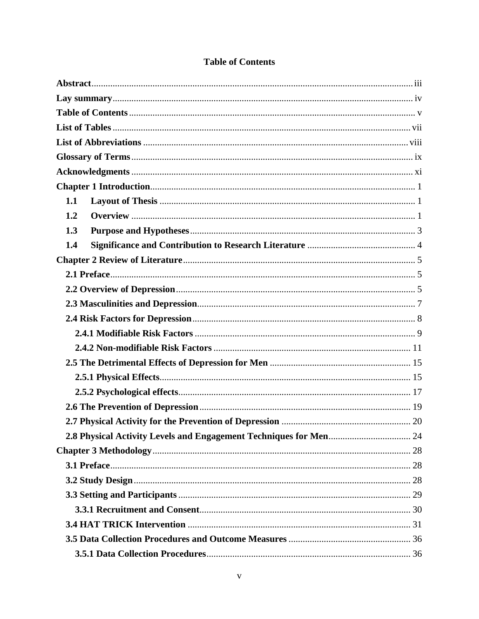<span id="page-4-0"></span>

| 1.1 |  |  |
|-----|--|--|
| 1.2 |  |  |
| 1.3 |  |  |
| 1.4 |  |  |
|     |  |  |
|     |  |  |
|     |  |  |
|     |  |  |
|     |  |  |
|     |  |  |
|     |  |  |
|     |  |  |
|     |  |  |
|     |  |  |
|     |  |  |
|     |  |  |
|     |  |  |
|     |  |  |
|     |  |  |
|     |  |  |
|     |  |  |
|     |  |  |
|     |  |  |
|     |  |  |
|     |  |  |

# **Table of Contents**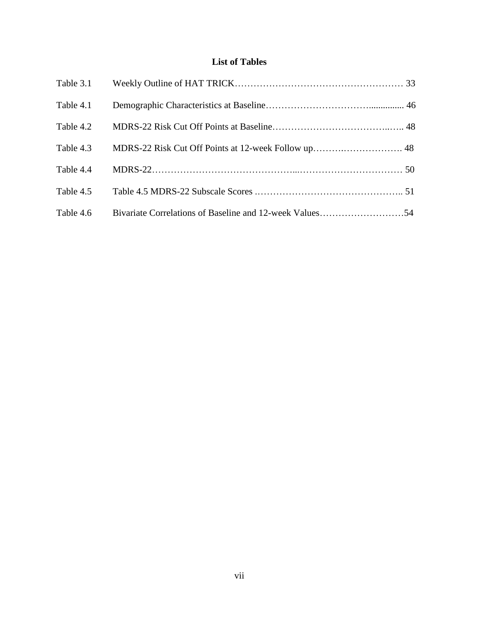# **List of Tables**

<span id="page-6-0"></span>

| Table 3.1 |                                                         |  |
|-----------|---------------------------------------------------------|--|
| Table 4.1 |                                                         |  |
| Table 4.2 |                                                         |  |
| Table 4.3 |                                                         |  |
| Table 4.4 |                                                         |  |
| Table 4.5 |                                                         |  |
| Table 4.6 | Bivariate Correlations of Baseline and 12-week Values54 |  |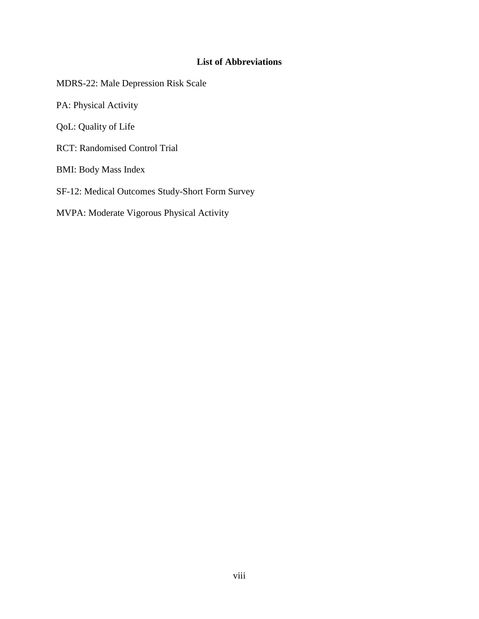# **List of Abbreviations**

<span id="page-7-0"></span>MDRS-22: Male Depression Risk Scale

PA: Physical Activity

QoL: Quality of Life

RCT: Randomised Control Trial

BMI: Body Mass Index

SF-12: Medical Outcomes Study-Short Form Survey

MVPA: Moderate Vigorous Physical Activity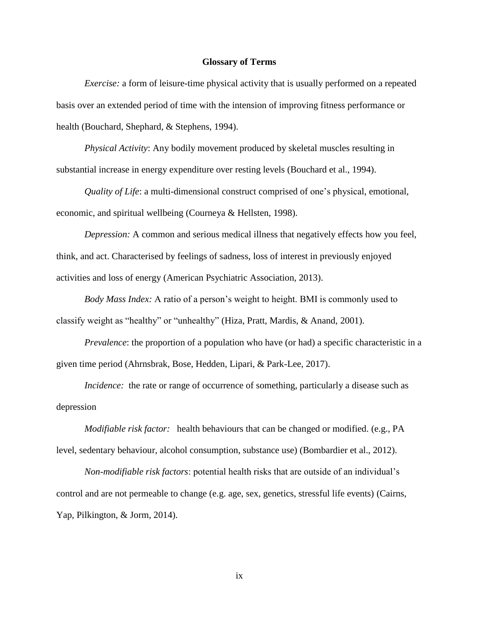#### **Glossary of Terms**

<span id="page-8-0"></span>*Exercise:* a form of leisure-time physical activity that is usually performed on a repeated basis over an extended period of time with the intension of improving fitness performance or health (Bouchard, Shephard, & Stephens, 1994).

*Physical Activity*: Any bodily movement produced by skeletal muscles resulting in substantial increase in energy expenditure over resting levels (Bouchard et al., 1994).

*Quality of Life*: a multi-dimensional construct comprised of one's physical, emotional, economic, and spiritual wellbeing (Courneya & Hellsten, 1998).

*Depression:* A common and serious medical illness that negatively effects how you feel, think, and act. Characterised by feelings of sadness, loss of interest in previously enjoyed activities and loss of energy (American Psychiatric Association, 2013).

*Body Mass Index:* A ratio of a person's weight to height. BMI is commonly used to classify weight as "healthy" or "unhealthy" (Hiza, Pratt, Mardis, & Anand, 2001).

*Prevalence*: the proportion of a population who have (or had) a specific characteristic in a given time period (Ahrnsbrak, Bose, Hedden, Lipari, & Park-Lee, 2017).

*Incidence:* the rate or range of occurrence of something, particularly a disease such as depression

*Modifiable risk factor:* health behaviours that can be changed or modified. (e.g., PA level, sedentary behaviour, alcohol consumption, substance use) (Bombardier et al., 2012).

*Non-modifiable risk factors*: potential health risks that are outside of an individual's control and are not permeable to change (e.g. age, sex, genetics, stressful life events) (Cairns, Yap, Pilkington, & Jorm, 2014).

ix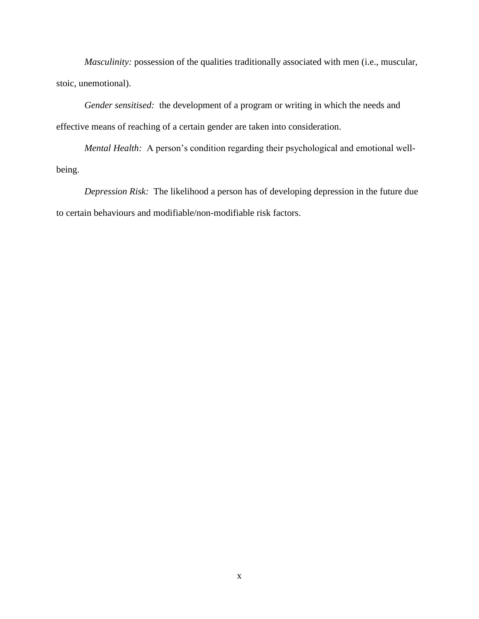*Masculinity:* possession of the qualities traditionally associated with men (i.e., muscular, stoic, unemotional).

*Gender sensitised:* the development of a program or writing in which the needs and effective means of reaching of a certain gender are taken into consideration.

*Mental Health:* A person's condition regarding their psychological and emotional wellbeing.

*Depression Risk:* The likelihood a person has of developing depression in the future due to certain behaviours and modifiable/non-modifiable risk factors.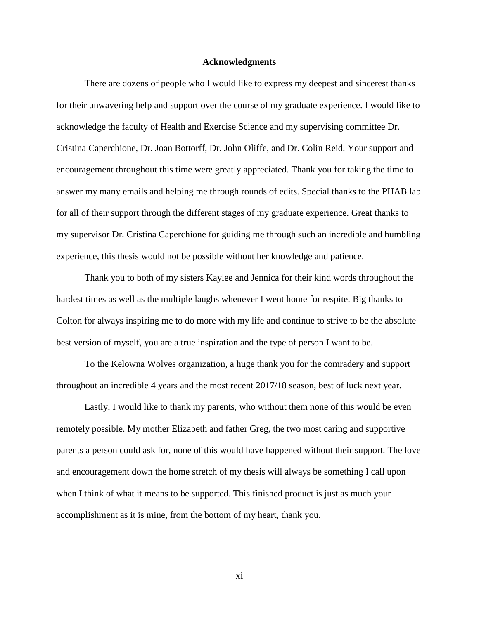#### **Acknowledgments**

<span id="page-10-0"></span>There are dozens of people who I would like to express my deepest and sincerest thanks for their unwavering help and support over the course of my graduate experience. I would like to acknowledge the faculty of Health and Exercise Science and my supervising committee Dr. Cristina Caperchione, Dr. Joan Bottorff, Dr. John Oliffe, and Dr. Colin Reid. Your support and encouragement throughout this time were greatly appreciated. Thank you for taking the time to answer my many emails and helping me through rounds of edits. Special thanks to the PHAB lab for all of their support through the different stages of my graduate experience. Great thanks to my supervisor Dr. Cristina Caperchione for guiding me through such an incredible and humbling experience, this thesis would not be possible without her knowledge and patience.

Thank you to both of my sisters Kaylee and Jennica for their kind words throughout the hardest times as well as the multiple laughs whenever I went home for respite. Big thanks to Colton for always inspiring me to do more with my life and continue to strive to be the absolute best version of myself, you are a true inspiration and the type of person I want to be.

To the Kelowna Wolves organization, a huge thank you for the comradery and support throughout an incredible 4 years and the most recent 2017/18 season, best of luck next year.

Lastly, I would like to thank my parents, who without them none of this would be even remotely possible. My mother Elizabeth and father Greg, the two most caring and supportive parents a person could ask for, none of this would have happened without their support. The love and encouragement down the home stretch of my thesis will always be something I call upon when I think of what it means to be supported. This finished product is just as much your accomplishment as it is mine, from the bottom of my heart, thank you.

xi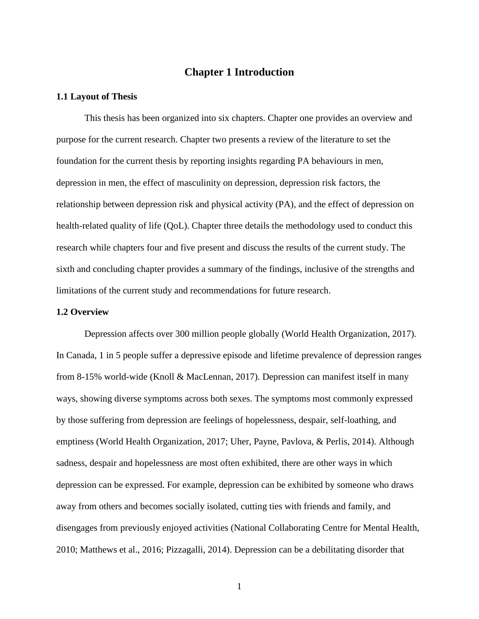# **Chapter 1 Introduction**

#### <span id="page-11-1"></span><span id="page-11-0"></span>**1.1 Layout of Thesis**

This thesis has been organized into six chapters. Chapter one provides an overview and purpose for the current research. Chapter two presents a review of the literature to set the foundation for the current thesis by reporting insights regarding PA behaviours in men, depression in men, the effect of masculinity on depression, depression risk factors, the relationship between depression risk and physical activity (PA), and the effect of depression on health-related quality of life (QoL). Chapter three details the methodology used to conduct this research while chapters four and five present and discuss the results of the current study. The sixth and concluding chapter provides a summary of the findings, inclusive of the strengths and limitations of the current study and recommendations for future research.

#### <span id="page-11-2"></span>**1.2 Overview**

Depression affects over 300 million people globally (World Health Organization, 2017). In Canada, 1 in 5 people suffer a depressive episode and lifetime prevalence of depression ranges from 8-15% world-wide (Knoll & MacLennan, 2017). Depression can manifest itself in many ways, showing diverse symptoms across both sexes. The symptoms most commonly expressed by those suffering from depression are feelings of hopelessness, despair, self-loathing, and emptiness (World Health Organization, 2017; Uher, Payne, Pavlova, & Perlis, 2014). Although sadness, despair and hopelessness are most often exhibited, there are other ways in which depression can be expressed. For example, depression can be exhibited by someone who draws away from others and becomes socially isolated, cutting ties with friends and family, and disengages from previously enjoyed activities (National Collaborating Centre for Mental Health, 2010; Matthews et al., 2016; Pizzagalli, 2014). Depression can be a debilitating disorder that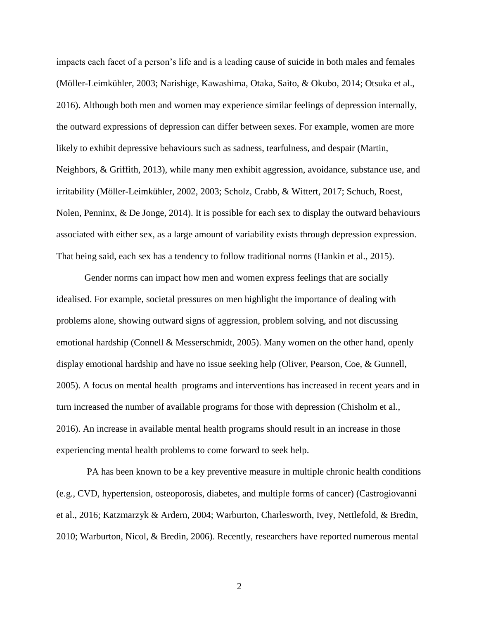impacts each facet of a person's life and is a leading cause of suicide in both males and females (Möller-Leimkühler, 2003; Narishige, Kawashima, Otaka, Saito, & Okubo, 2014; Otsuka et al., 2016). Although both men and women may experience similar feelings of depression internally, the outward expressions of depression can differ between sexes. For example, women are more likely to exhibit depressive behaviours such as sadness, tearfulness, and despair (Martin, Neighbors, & Griffith, 2013), while many men exhibit aggression, avoidance, substance use, and irritability (Möller-Leimkühler, 2002, 2003; Scholz, Crabb, & Wittert, 2017; Schuch, Roest, Nolen, Penninx, & De Jonge, 2014). It is possible for each sex to display the outward behaviours associated with either sex, as a large amount of variability exists through depression expression. That being said, each sex has a tendency to follow traditional norms (Hankin et al., 2015).

Gender norms can impact how men and women express feelings that are socially idealised. For example, societal pressures on men highlight the importance of dealing with problems alone, showing outward signs of aggression, problem solving, and not discussing emotional hardship (Connell & Messerschmidt, 2005). Many women on the other hand, openly display emotional hardship and have no issue seeking help (Oliver, Pearson, Coe, & Gunnell, 2005). A focus on mental health programs and interventions has increased in recent years and in turn increased the number of available programs for those with depression (Chisholm et al., 2016). An increase in available mental health programs should result in an increase in those experiencing mental health problems to come forward to seek help.

PA has been known to be a key preventive measure in multiple chronic health conditions (e.g., CVD, hypertension, osteoporosis, diabetes, and multiple forms of cancer) (Castrogiovanni et al., 2016; Katzmarzyk & Ardern, 2004; Warburton, Charlesworth, Ivey, Nettlefold, & Bredin, 2010; Warburton, Nicol, & Bredin, 2006). Recently, researchers have reported numerous mental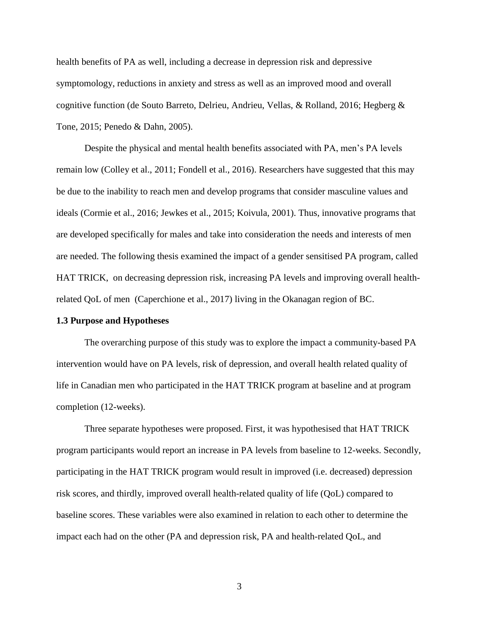health benefits of PA as well, including a decrease in depression risk and depressive symptomology, reductions in anxiety and stress as well as an improved mood and overall cognitive function (de Souto Barreto, Delrieu, Andrieu, Vellas, & Rolland, 2016; Hegberg & Tone, 2015; Penedo & Dahn, 2005).

Despite the physical and mental health benefits associated with PA, men's PA levels remain low (Colley et al., 2011; Fondell et al., 2016). Researchers have suggested that this may be due to the inability to reach men and develop programs that consider masculine values and ideals (Cormie et al., 2016; Jewkes et al., 2015; Koivula, 2001). Thus, innovative programs that are developed specifically for males and take into consideration the needs and interests of men are needed. The following thesis examined the impact of a gender sensitised PA program, called HAT TRICK, on decreasing depression risk, increasing PA levels and improving overall healthrelated QoL of men (Caperchione et al., 2017) living in the Okanagan region of BC.

#### <span id="page-13-0"></span>**1.3 Purpose and Hypotheses**

The overarching purpose of this study was to explore the impact a community-based PA intervention would have on PA levels, risk of depression, and overall health related quality of life in Canadian men who participated in the HAT TRICK program at baseline and at program completion (12-weeks).

Three separate hypotheses were proposed. First, it was hypothesised that HAT TRICK program participants would report an increase in PA levels from baseline to 12-weeks. Secondly, participating in the HAT TRICK program would result in improved (i.e. decreased) depression risk scores, and thirdly, improved overall health-related quality of life (QoL) compared to baseline scores. These variables were also examined in relation to each other to determine the impact each had on the other (PA and depression risk, PA and health-related QoL, and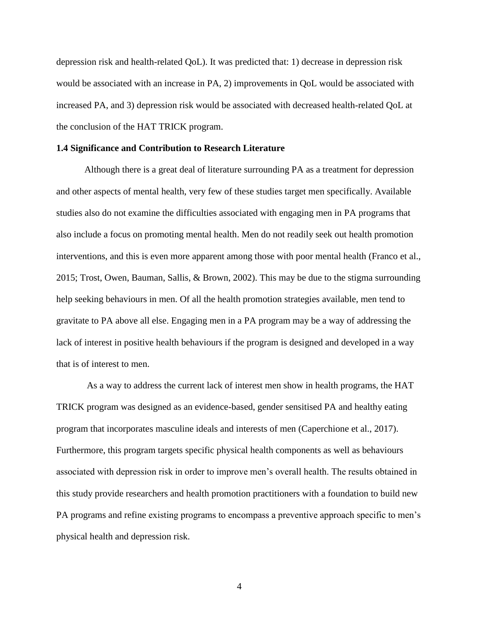depression risk and health-related QoL). It was predicted that: 1) decrease in depression risk would be associated with an increase in PA, 2) improvements in QoL would be associated with increased PA, and 3) depression risk would be associated with decreased health-related QoL at the conclusion of the HAT TRICK program.

#### <span id="page-14-0"></span>**1.4 Significance and Contribution to Research Literature**

Although there is a great deal of literature surrounding PA as a treatment for depression and other aspects of mental health, very few of these studies target men specifically. Available studies also do not examine the difficulties associated with engaging men in PA programs that also include a focus on promoting mental health. Men do not readily seek out health promotion interventions, and this is even more apparent among those with poor mental health (Franco et al., 2015; Trost, Owen, Bauman, Sallis, & Brown, 2002). This may be due to the stigma surrounding help seeking behaviours in men. Of all the health promotion strategies available, men tend to gravitate to PA above all else. Engaging men in a PA program may be a way of addressing the lack of interest in positive health behaviours if the program is designed and developed in a way that is of interest to men.

As a way to address the current lack of interest men show in health programs, the HAT TRICK program was designed as an evidence-based, gender sensitised PA and healthy eating program that incorporates masculine ideals and interests of men (Caperchione et al., 2017). Furthermore, this program targets specific physical health components as well as behaviours associated with depression risk in order to improve men's overall health. The results obtained in this study provide researchers and health promotion practitioners with a foundation to build new PA programs and refine existing programs to encompass a preventive approach specific to men's physical health and depression risk.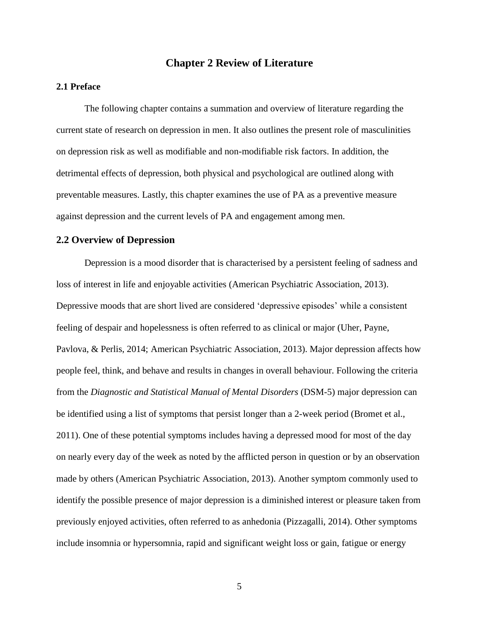# **Chapter 2 Review of Literature**

# <span id="page-15-1"></span><span id="page-15-0"></span>**2.1 Preface**

The following chapter contains a summation and overview of literature regarding the current state of research on depression in men. It also outlines the present role of masculinities on depression risk as well as modifiable and non-modifiable risk factors. In addition, the detrimental effects of depression, both physical and psychological are outlined along with preventable measures. Lastly, this chapter examines the use of PA as a preventive measure against depression and the current levels of PA and engagement among men.

## <span id="page-15-2"></span>**2.2 Overview of Depression**

Depression is a mood disorder that is characterised by a persistent feeling of sadness and loss of interest in life and enjoyable activities (American Psychiatric Association, 2013). Depressive moods that are short lived are considered 'depressive episodes' while a consistent feeling of despair and hopelessness is often referred to as clinical or major (Uher, Payne, Pavlova, & Perlis, 2014; American Psychiatric Association, 2013). Major depression affects how people feel, think, and behave and results in changes in overall behaviour. Following the criteria from the *Diagnostic and Statistical Manual of Mental Disorders* (DSM-5) major depression can be identified using a list of symptoms that persist longer than a 2-week period (Bromet et al., 2011). One of these potential symptoms includes having a depressed mood for most of the day on nearly every day of the week as noted by the afflicted person in question or by an observation made by others (American Psychiatric Association, 2013). Another symptom commonly used to identify the possible presence of major depression is a diminished interest or pleasure taken from previously enjoyed activities, often referred to as anhedonia (Pizzagalli, 2014). Other symptoms include insomnia or hypersomnia, rapid and significant weight loss or gain, fatigue or energy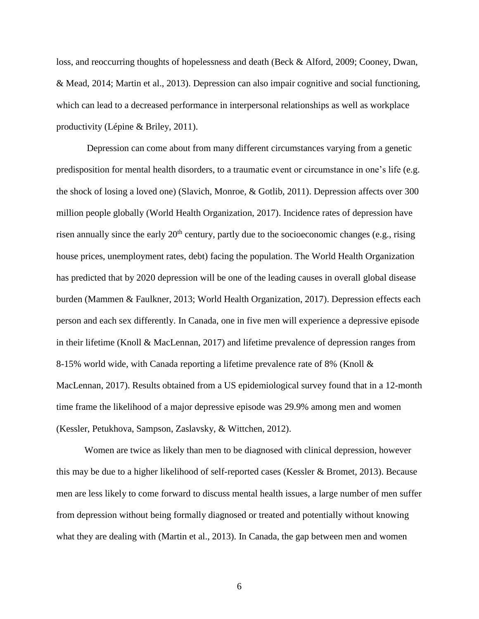loss, and reoccurring thoughts of hopelessness and death (Beck & Alford, 2009; Cooney, Dwan, & Mead, 2014; Martin et al., 2013). Depression can also impair cognitive and social functioning, which can lead to a decreased performance in interpersonal relationships as well as workplace productivity (Lépine & Briley, 2011).

Depression can come about from many different circumstances varying from a genetic predisposition for mental health disorders, to a traumatic event or circumstance in one's life (e.g. the shock of losing a loved one) (Slavich, Monroe, & Gotlib, 2011). Depression affects over 300 million people globally (World Health Organization, 2017). Incidence rates of depression have risen annually since the early  $20<sup>th</sup>$  century, partly due to the socioeconomic changes (e.g., rising house prices, unemployment rates, debt) facing the population. The World Health Organization has predicted that by 2020 depression will be one of the leading causes in overall global disease burden (Mammen & Faulkner, 2013; World Health Organization, 2017). Depression effects each person and each sex differently. In Canada, one in five men will experience a depressive episode in their lifetime (Knoll & MacLennan, 2017) and lifetime prevalence of depression ranges from 8-15% world wide, with Canada reporting a lifetime prevalence rate of 8% (Knoll  $\&$ MacLennan, 2017). Results obtained from a US epidemiological survey found that in a 12-month time frame the likelihood of a major depressive episode was 29.9% among men and women (Kessler, Petukhova, Sampson, Zaslavsky, & Wittchen, 2012).

Women are twice as likely than men to be diagnosed with clinical depression, however this may be due to a higher likelihood of self-reported cases (Kessler & Bromet, 2013). Because men are less likely to come forward to discuss mental health issues, a large number of men suffer from depression without being formally diagnosed or treated and potentially without knowing what they are dealing with (Martin et al., 2013). In Canada, the gap between men and women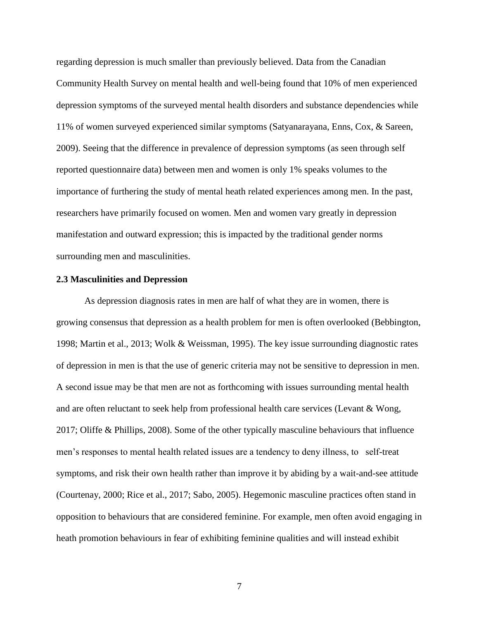regarding depression is much smaller than previously believed. Data from the Canadian Community Health Survey on mental health and well-being found that 10% of men experienced depression symptoms of the surveyed mental health disorders and substance dependencies while 11% of women surveyed experienced similar symptoms (Satyanarayana, Enns, Cox, & Sareen, 2009). Seeing that the difference in prevalence of depression symptoms (as seen through self reported questionnaire data) between men and women is only 1% speaks volumes to the importance of furthering the study of mental heath related experiences among men. In the past, researchers have primarily focused on women. Men and women vary greatly in depression manifestation and outward expression; this is impacted by the traditional gender norms surrounding men and masculinities.

# <span id="page-17-0"></span>**2.3 Masculinities and Depression**

As depression diagnosis rates in men are half of what they are in women, there is growing consensus that depression as a health problem for men is often overlooked (Bebbington, 1998; Martin et al., 2013; Wolk & Weissman, 1995). The key issue surrounding diagnostic rates of depression in men is that the use of generic criteria may not be sensitive to depression in men. A second issue may be that men are not as forthcoming with issues surrounding mental health and are often reluctant to seek help from professional health care services (Levant & Wong, 2017; Oliffe & Phillips, 2008). Some of the other typically masculine behaviours that influence men's responses to mental health related issues are a tendency to deny illness, to self-treat symptoms, and risk their own health rather than improve it by abiding by a wait-and-see attitude (Courtenay, 2000; Rice et al., 2017; Sabo, 2005). Hegemonic masculine practices often stand in opposition to behaviours that are considered feminine. For example, men often avoid engaging in heath promotion behaviours in fear of exhibiting feminine qualities and will instead exhibit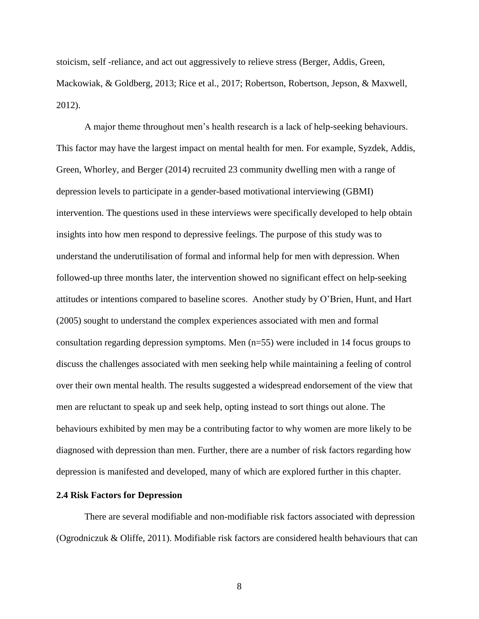stoicism, self -reliance, and act out aggressively to relieve stress (Berger, Addis, Green, Mackowiak, & Goldberg, 2013; Rice et al., 2017; Robertson, Robertson, Jepson, & Maxwell, 2012).

A major theme throughout men's health research is a lack of help-seeking behaviours. This factor may have the largest impact on mental health for men. For example, Syzdek, Addis, Green, Whorley, and Berger (2014) recruited 23 community dwelling men with a range of depression levels to participate in a gender-based motivational interviewing (GBMI) intervention. The questions used in these interviews were specifically developed to help obtain insights into how men respond to depressive feelings. The purpose of this study was to understand the underutilisation of formal and informal help for men with depression. When followed-up three months later, the intervention showed no significant effect on help-seeking attitudes or intentions compared to baseline scores. Another study by O'Brien, Hunt, and Hart (2005) sought to understand the complex experiences associated with men and formal consultation regarding depression symptoms. Men (n=55) were included in 14 focus groups to discuss the challenges associated with men seeking help while maintaining a feeling of control over their own mental health. The results suggested a widespread endorsement of the view that men are reluctant to speak up and seek help, opting instead to sort things out alone. The behaviours exhibited by men may be a contributing factor to why women are more likely to be diagnosed with depression than men. Further, there are a number of risk factors regarding how depression is manifested and developed, many of which are explored further in this chapter.

## <span id="page-18-0"></span>**2.4 Risk Factors for Depression**

There are several modifiable and non-modifiable risk factors associated with depression (Ogrodniczuk & Oliffe, 2011). Modifiable risk factors are considered health behaviours that can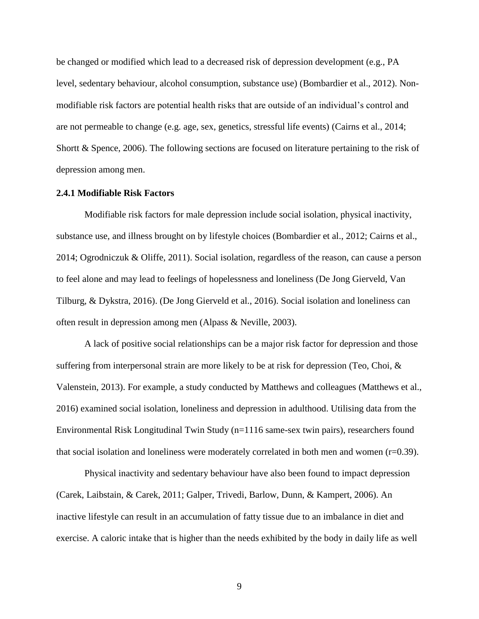be changed or modified which lead to a decreased risk of depression development (e.g., PA level, sedentary behaviour, alcohol consumption, substance use) (Bombardier et al., 2012). Nonmodifiable risk factors are potential health risks that are outside of an individual's control and are not permeable to change (e.g. age, sex, genetics, stressful life events) (Cairns et al., 2014; Shortt & Spence, 2006). The following sections are focused on literature pertaining to the risk of depression among men.

#### <span id="page-19-0"></span>**2.4.1 Modifiable Risk Factors**

Modifiable risk factors for male depression include social isolation, physical inactivity, substance use, and illness brought on by lifestyle choices (Bombardier et al., 2012; Cairns et al., 2014; Ogrodniczuk & Oliffe, 2011). Social isolation, regardless of the reason, can cause a person to feel alone and may lead to feelings of hopelessness and loneliness (De Jong Gierveld, Van Tilburg, & Dykstra, 2016). (De Jong Gierveld et al., 2016). Social isolation and loneliness can often result in depression among men (Alpass & Neville, 2003).

A lack of positive social relationships can be a major risk factor for depression and those suffering from interpersonal strain are more likely to be at risk for depression (Teo, Choi, & Valenstein, 2013). For example, a study conducted by Matthews and colleagues (Matthews et al., 2016) examined social isolation, loneliness and depression in adulthood. Utilising data from the Environmental Risk Longitudinal Twin Study (n=1116 same-sex twin pairs), researchers found that social isolation and loneliness were moderately correlated in both men and women  $(r=0.39)$ .

Physical inactivity and sedentary behaviour have also been found to impact depression (Carek, Laibstain, & Carek, 2011; Galper, Trivedi, Barlow, Dunn, & Kampert, 2006). An inactive lifestyle can result in an accumulation of fatty tissue due to an imbalance in diet and exercise. A caloric intake that is higher than the needs exhibited by the body in daily life as well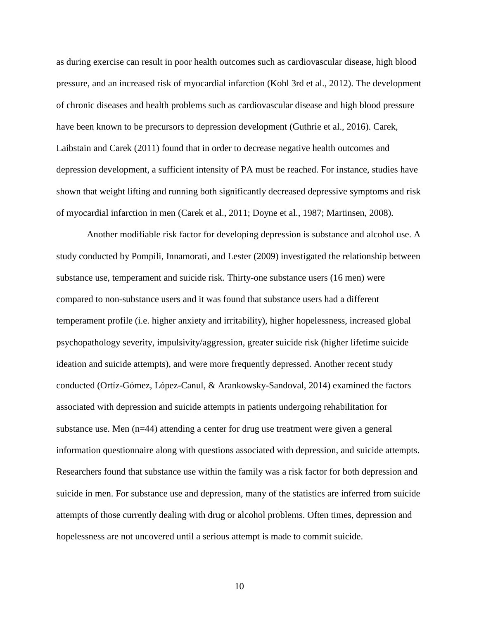as during exercise can result in poor health outcomes such as cardiovascular disease, high blood pressure, and an increased risk of myocardial infarction (Kohl 3rd et al., 2012). The development of chronic diseases and health problems such as cardiovascular disease and high blood pressure have been known to be precursors to depression development (Guthrie et al., 2016). Carek, Laibstain and Carek (2011) found that in order to decrease negative health outcomes and depression development, a sufficient intensity of PA must be reached. For instance, studies have shown that weight lifting and running both significantly decreased depressive symptoms and risk of myocardial infarction in men (Carek et al., 2011; Doyne et al., 1987; Martinsen, 2008).

Another modifiable risk factor for developing depression is substance and alcohol use. A study conducted by Pompili, Innamorati, and Lester (2009) investigated the relationship between substance use, temperament and suicide risk. Thirty-one substance users (16 men) were compared to non-substance users and it was found that substance users had a different temperament profile (i.e. higher anxiety and irritability), higher hopelessness, increased global psychopathology severity, impulsivity/aggression, greater suicide risk (higher lifetime suicide ideation and suicide attempts), and were more frequently depressed. Another recent study conducted (Ortíz-Gómez, López-Canul, & Arankowsky-Sandoval, 2014) examined the factors associated with depression and suicide attempts in patients undergoing rehabilitation for substance use. Men  $(n=44)$  attending a center for drug use treatment were given a general information questionnaire along with questions associated with depression, and suicide attempts. Researchers found that substance use within the family was a risk factor for both depression and suicide in men. For substance use and depression, many of the statistics are inferred from suicide attempts of those currently dealing with drug or alcohol problems. Often times, depression and hopelessness are not uncovered until a serious attempt is made to commit suicide.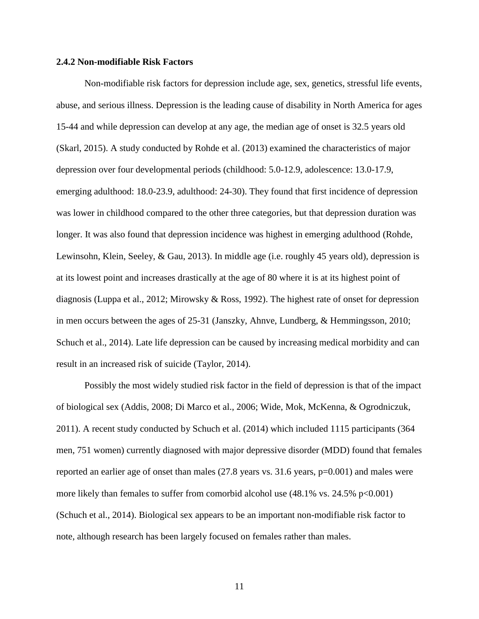### <span id="page-21-0"></span>**2.4.2 Non-modifiable Risk Factors**

Non-modifiable risk factors for depression include age, sex, genetics, stressful life events, abuse, and serious illness. Depression is the leading cause of disability in North America for ages 15-44 and while depression can develop at any age, the median age of onset is 32.5 years old (Skarl, 2015). A study conducted by Rohde et al. (2013) examined the characteristics of major depression over four developmental periods (childhood: 5.0-12.9, adolescence: 13.0-17.9, emerging adulthood: 18.0-23.9, adulthood: 24-30). They found that first incidence of depression was lower in childhood compared to the other three categories, but that depression duration was longer. It was also found that depression incidence was highest in emerging adulthood (Rohde, Lewinsohn, Klein, Seeley, & Gau, 2013). In middle age (i.e. roughly 45 years old), depression is at its lowest point and increases drastically at the age of 80 where it is at its highest point of diagnosis (Luppa et al., 2012; Mirowsky & Ross, 1992). The highest rate of onset for depression in men occurs between the ages of 25-31 (Janszky, Ahnve, Lundberg, & Hemmingsson, 2010; Schuch et al., 2014). Late life depression can be caused by increasing medical morbidity and can result in an increased risk of suicide (Taylor, 2014).

Possibly the most widely studied risk factor in the field of depression is that of the impact of biological sex (Addis, 2008; Di Marco et al., 2006; Wide, Mok, McKenna, & Ogrodniczuk, 2011). A recent study conducted by Schuch et al. (2014) which included 1115 participants (364 men, 751 women) currently diagnosed with major depressive disorder (MDD) found that females reported an earlier age of onset than males  $(27.8 \text{ years} \text{ vs. } 31.6 \text{ years}, \text{ p=0.001})$  and males were more likely than females to suffer from comorbid alcohol use  $(48.1\% \text{ vs. } 24.5\% \text{ p} < 0.001)$ (Schuch et al., 2014). Biological sex appears to be an important non-modifiable risk factor to note, although research has been largely focused on females rather than males.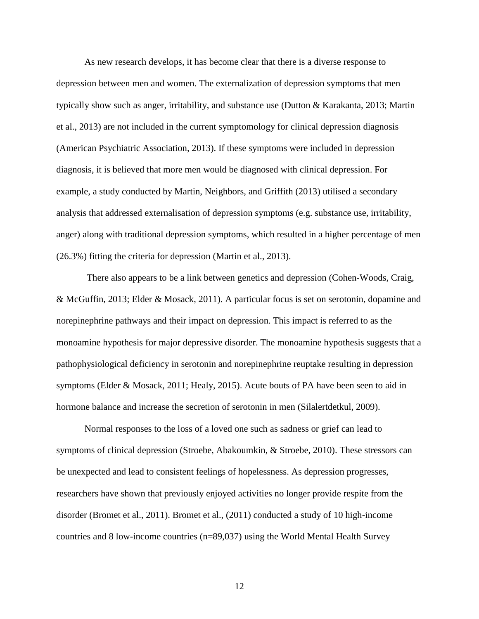As new research develops, it has become clear that there is a diverse response to depression between men and women. The externalization of depression symptoms that men typically show such as anger, irritability, and substance use (Dutton & Karakanta, 2013; Martin et al., 2013) are not included in the current symptomology for clinical depression diagnosis (American Psychiatric Association, 2013). If these symptoms were included in depression diagnosis, it is believed that more men would be diagnosed with clinical depression. For example, a study conducted by Martin, Neighbors, and Griffith (2013) utilised a secondary analysis that addressed externalisation of depression symptoms (e.g. substance use, irritability, anger) along with traditional depression symptoms, which resulted in a higher percentage of men (26.3%) fitting the criteria for depression (Martin et al., 2013).

There also appears to be a link between genetics and depression (Cohen-Woods, Craig, & McGuffin, 2013; Elder & Mosack, 2011). A particular focus is set on serotonin, dopamine and norepinephrine pathways and their impact on depression. This impact is referred to as the monoamine hypothesis for major depressive disorder. The monoamine hypothesis suggests that a pathophysiological deficiency in serotonin and norepinephrine reuptake resulting in depression symptoms (Elder & Mosack, 2011; Healy, 2015). Acute bouts of PA have been seen to aid in hormone balance and increase the secretion of serotonin in men (Silalertdetkul, 2009).

Normal responses to the loss of a loved one such as sadness or grief can lead to symptoms of clinical depression (Stroebe, Abakoumkin, & Stroebe, 2010). These stressors can be unexpected and lead to consistent feelings of hopelessness. As depression progresses, researchers have shown that previously enjoyed activities no longer provide respite from the disorder (Bromet et al., 2011). Bromet et al., (2011) conducted a study of 10 high-income countries and 8 low-income countries (n=89,037) using the World Mental Health Survey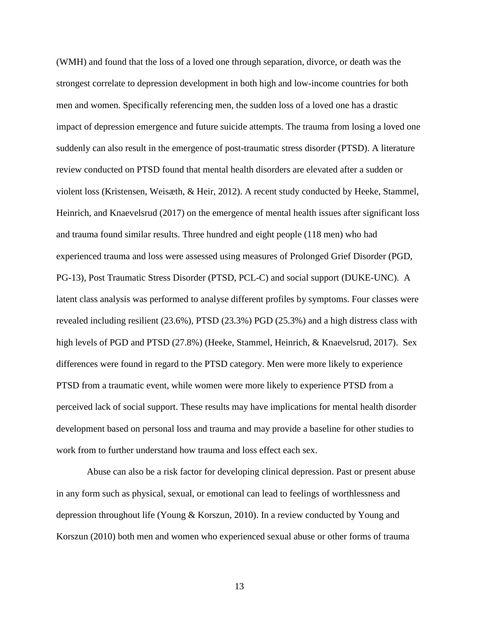(WMH) and found that the loss of a loved one through separation, divorce, or death was the strongest correlate to depression development in both high and low-income countries for both men and women. Specifically referencing men, the sudden loss of a loved one has a drastic impact of depression emergence and future suicide attempts. The trauma from losing a loved one suddenly can also result in the emergence of post-traumatic stress disorder (PTSD). A literature review conducted on PTSD found that mental health disorders are elevated after a sudden or violent loss (Kristensen, Weisæth, & Heir, 2012). A recent study conducted by Heeke, Stammel, Heinrich, and Knaevelsrud (2017) on the emergence of mental health issues after significant loss and trauma found similar results. Three hundred and eight people (118 men) who had experienced trauma and loss were assessed using measures of Prolonged Grief Disorder (PGD, PG-13), Post Traumatic Stress Disorder (PTSD, PCL-C) and social support (DUKE-UNC). A latent class analysis was performed to analyse different profiles by symptoms. Four classes were revealed including resilient (23.6%), PTSD (23.3%) PGD (25.3%) and a high distress class with high levels of PGD and PTSD (27.8%) (Heeke, Stammel, Heinrich, & Knaevelsrud, 2017). Sex differences were found in regard to the PTSD category. Men were more likely to experience PTSD from a traumatic event, while women were more likely to experience PTSD from a perceived lack of social support. These results may have implications for mental health disorder development based on personal loss and trauma and may provide a baseline for other studies to work from to further understand how trauma and loss effect each sex.

Abuse can also be a risk factor for developing clinical depression. Past or present abuse in any form such as physical, sexual, or emotional can lead to feelings of worthlessness and depression throughout life (Young & Korszun, 2010). In a review conducted by Young and Korszun (2010) both men and women who experienced sexual abuse or other forms of trauma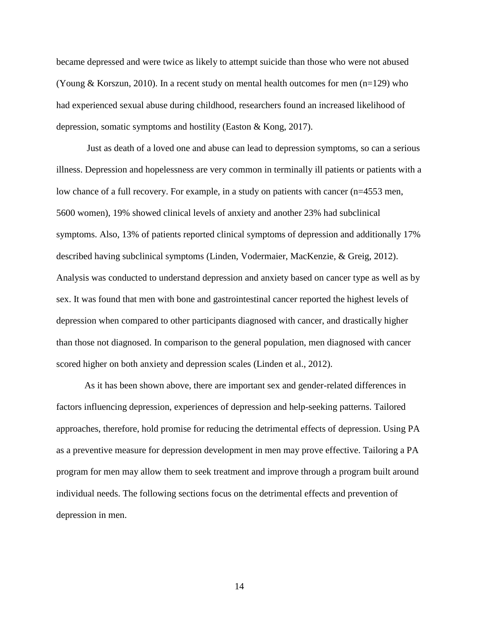became depressed and were twice as likely to attempt suicide than those who were not abused (Young & Korszun, 2010). In a recent study on mental health outcomes for men  $(n=129)$  who had experienced sexual abuse during childhood, researchers found an increased likelihood of depression, somatic symptoms and hostility (Easton & Kong, 2017).

Just as death of a loved one and abuse can lead to depression symptoms, so can a serious illness. Depression and hopelessness are very common in terminally ill patients or patients with a low chance of a full recovery. For example, in a study on patients with cancer (n=4553 men, 5600 women), 19% showed clinical levels of anxiety and another 23% had subclinical symptoms. Also, 13% of patients reported clinical symptoms of depression and additionally 17% described having subclinical symptoms (Linden, Vodermaier, MacKenzie, & Greig, 2012). Analysis was conducted to understand depression and anxiety based on cancer type as well as by sex. It was found that men with bone and gastrointestinal cancer reported the highest levels of depression when compared to other participants diagnosed with cancer, and drastically higher than those not diagnosed. In comparison to the general population, men diagnosed with cancer scored higher on both anxiety and depression scales (Linden et al., 2012).

As it has been shown above, there are important sex and gender-related differences in factors influencing depression, experiences of depression and help-seeking patterns. Tailored approaches, therefore, hold promise for reducing the detrimental effects of depression. Using PA as a preventive measure for depression development in men may prove effective. Tailoring a PA program for men may allow them to seek treatment and improve through a program built around individual needs. The following sections focus on the detrimental effects and prevention of depression in men.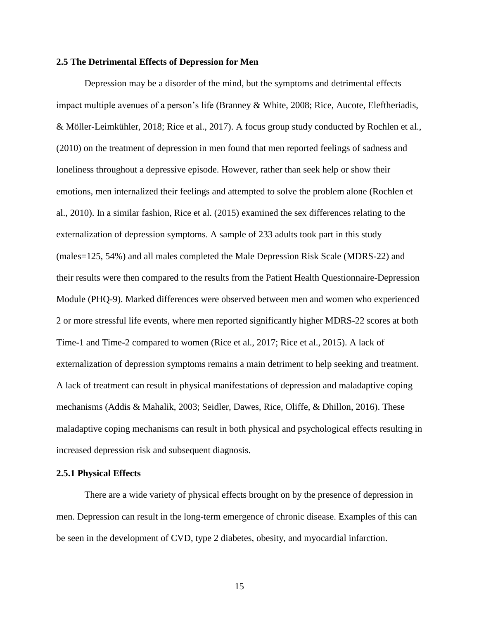### <span id="page-25-0"></span>**2.5 The Detrimental Effects of Depression for Men**

Depression may be a disorder of the mind, but the symptoms and detrimental effects impact multiple avenues of a person's life (Branney & White, 2008; Rice, Aucote, Eleftheriadis, & Möller-Leimkühler, 2018; Rice et al., 2017). A focus group study conducted by Rochlen et al., (2010) on the treatment of depression in men found that men reported feelings of sadness and loneliness throughout a depressive episode. However, rather than seek help or show their emotions, men internalized their feelings and attempted to solve the problem alone (Rochlen et al., 2010). In a similar fashion, Rice et al. (2015) examined the sex differences relating to the externalization of depression symptoms. A sample of 233 adults took part in this study (males=125, 54%) and all males completed the Male Depression Risk Scale (MDRS-22) and their results were then compared to the results from the Patient Health Questionnaire-Depression Module (PHQ-9). Marked differences were observed between men and women who experienced 2 or more stressful life events, where men reported significantly higher MDRS-22 scores at both Time-1 and Time-2 compared to women (Rice et al., 2017; Rice et al., 2015). A lack of externalization of depression symptoms remains a main detriment to help seeking and treatment. A lack of treatment can result in physical manifestations of depression and maladaptive coping mechanisms (Addis & Mahalik, 2003; Seidler, Dawes, Rice, Oliffe, & Dhillon, 2016). These maladaptive coping mechanisms can result in both physical and psychological effects resulting in increased depression risk and subsequent diagnosis.

#### <span id="page-25-1"></span>**2.5.1 Physical Effects**

There are a wide variety of physical effects brought on by the presence of depression in men. Depression can result in the long-term emergence of chronic disease. Examples of this can be seen in the development of CVD, type 2 diabetes, obesity, and myocardial infarction.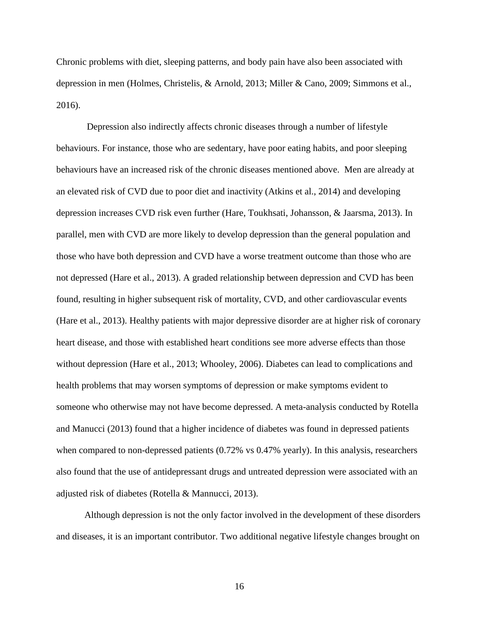Chronic problems with diet, sleeping patterns, and body pain have also been associated with depression in men (Holmes, Christelis, & Arnold, 2013; Miller & Cano, 2009; Simmons et al., 2016).

Depression also indirectly affects chronic diseases through a number of lifestyle behaviours. For instance, those who are sedentary, have poor eating habits, and poor sleeping behaviours have an increased risk of the chronic diseases mentioned above. Men are already at an elevated risk of CVD due to poor diet and inactivity (Atkins et al., 2014) and developing depression increases CVD risk even further (Hare, Toukhsati, Johansson, & Jaarsma, 2013). In parallel, men with CVD are more likely to develop depression than the general population and those who have both depression and CVD have a worse treatment outcome than those who are not depressed (Hare et al., 2013). A graded relationship between depression and CVD has been found, resulting in higher subsequent risk of mortality, CVD, and other cardiovascular events (Hare et al., 2013). Healthy patients with major depressive disorder are at higher risk of coronary heart disease, and those with established heart conditions see more adverse effects than those without depression (Hare et al., 2013; Whooley, 2006). Diabetes can lead to complications and health problems that may worsen symptoms of depression or make symptoms evident to someone who otherwise may not have become depressed. A meta-analysis conducted by Rotella and Manucci (2013) found that a higher incidence of diabetes was found in depressed patients when compared to non-depressed patients (0.72% vs 0.47% yearly). In this analysis, researchers also found that the use of antidepressant drugs and untreated depression were associated with an adjusted risk of diabetes (Rotella & Mannucci, 2013).

Although depression is not the only factor involved in the development of these disorders and diseases, it is an important contributor. Two additional negative lifestyle changes brought on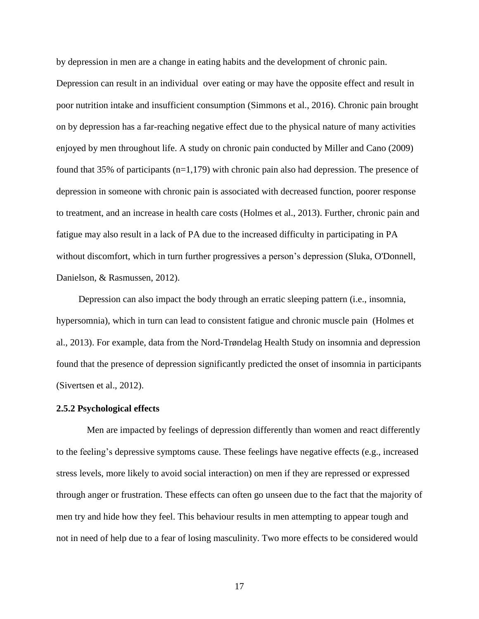by depression in men are a change in eating habits and the development of chronic pain.

Depression can result in an individual over eating or may have the opposite effect and result in poor nutrition intake and insufficient consumption (Simmons et al., 2016). Chronic pain brought on by depression has a far-reaching negative effect due to the physical nature of many activities enjoyed by men throughout life. A study on chronic pain conducted by Miller and Cano (2009) found that 35% of participants (n=1,179) with chronic pain also had depression. The presence of depression in someone with chronic pain is associated with decreased function, poorer response to treatment, and an increase in health care costs (Holmes et al., 2013). Further, chronic pain and fatigue may also result in a lack of PA due to the increased difficulty in participating in PA without discomfort, which in turn further progressives a person's depression (Sluka, O'Donnell, Danielson, & Rasmussen, 2012).

Depression can also impact the body through an erratic sleeping pattern (i.e., insomnia, hypersomnia), which in turn can lead to consistent fatigue and chronic muscle pain (Holmes et al., 2013). For example, data from the Nord-Trøndelag Health Study on insomnia and depression found that the presence of depression significantly predicted the onset of insomnia in participants (Sivertsen et al., 2012).

## <span id="page-27-0"></span>**2.5.2 Psychological effects**

Men are impacted by feelings of depression differently than women and react differently to the feeling's depressive symptoms cause. These feelings have negative effects (e.g., increased stress levels, more likely to avoid social interaction) on men if they are repressed or expressed through anger or frustration. These effects can often go unseen due to the fact that the majority of men try and hide how they feel. This behaviour results in men attempting to appear tough and not in need of help due to a fear of losing masculinity. Two more effects to be considered would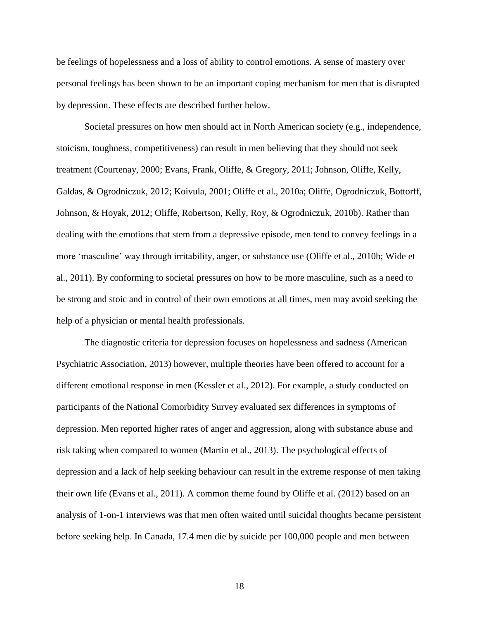be feelings of hopelessness and a loss of ability to control emotions. A sense of mastery over personal feelings has been shown to be an important coping mechanism for men that is disrupted by depression. These effects are described further below.

Societal pressures on how men should act in North American society (e.g., independence, stoicism, toughness, competitiveness) can result in men believing that they should not seek treatment (Courtenay, 2000; Evans, Frank, Oliffe, & Gregory, 2011; Johnson, Oliffe, Kelly, Galdas, & Ogrodniczuk, 2012; Koivula, 2001; Oliffe et al., 2010a; Oliffe, Ogrodniczuk, Bottorff, Johnson, & Hoyak, 2012; Oliffe, Robertson, Kelly, Roy, & Ogrodniczuk, 2010b). Rather than dealing with the emotions that stem from a depressive episode, men tend to convey feelings in a more 'masculine' way through irritability, anger, or substance use (Oliffe et al., 2010b; Wide et al., 2011). By conforming to societal pressures on how to be more masculine, such as a need to be strong and stoic and in control of their own emotions at all times, men may avoid seeking the help of a physician or mental health professionals.

The diagnostic criteria for depression focuses on hopelessness and sadness (American Psychiatric Association, 2013) however, multiple theories have been offered to account for a different emotional response in men (Kessler et al., 2012). For example, a study conducted on participants of the National Comorbidity Survey evaluated sex differences in symptoms of depression. Men reported higher rates of anger and aggression, along with substance abuse and risk taking when compared to women (Martin et al., 2013). The psychological effects of depression and a lack of help seeking behaviour can result in the extreme response of men taking their own life (Evans et al., 2011). A common theme found by Oliffe et al. (2012) based on an analysis of 1-on-1 interviews was that men often waited until suicidal thoughts became persistent before seeking help. In Canada, 17.4 men die by suicide per 100,000 people and men between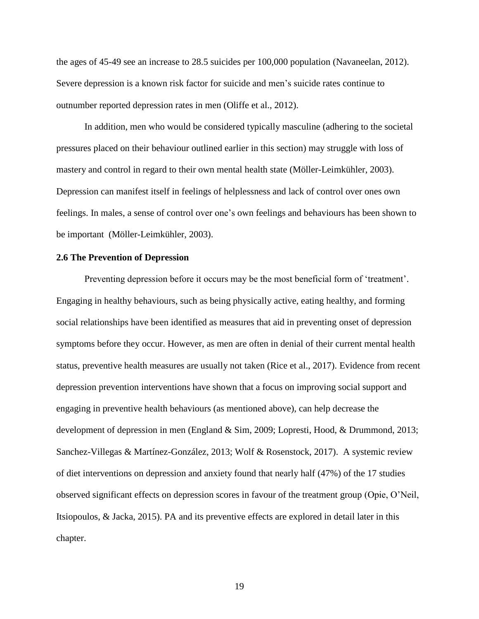the ages of 45-49 see an increase to 28.5 suicides per 100,000 population (Navaneelan, 2012). Severe depression is a known risk factor for suicide and men's suicide rates continue to outnumber reported depression rates in men (Oliffe et al., 2012).

In addition, men who would be considered typically masculine (adhering to the societal pressures placed on their behaviour outlined earlier in this section) may struggle with loss of mastery and control in regard to their own mental health state (Möller-Leimkühler, 2003). Depression can manifest itself in feelings of helplessness and lack of control over ones own feelings. In males, a sense of control over one's own feelings and behaviours has been shown to be important (Möller-Leimkühler, 2003).

## <span id="page-29-0"></span>**2.6 The Prevention of Depression**

Preventing depression before it occurs may be the most beneficial form of 'treatment'. Engaging in healthy behaviours, such as being physically active, eating healthy, and forming social relationships have been identified as measures that aid in preventing onset of depression symptoms before they occur. However, as men are often in denial of their current mental health status, preventive health measures are usually not taken (Rice et al., 2017). Evidence from recent depression prevention interventions have shown that a focus on improving social support and engaging in preventive health behaviours (as mentioned above), can help decrease the development of depression in men (England & Sim, 2009; Lopresti, Hood, & Drummond, 2013; Sanchez-Villegas & Martínez-González, 2013; Wolf & Rosenstock, 2017). A systemic review of diet interventions on depression and anxiety found that nearly half (47%) of the 17 studies observed significant effects on depression scores in favour of the treatment group (Opie, O'Neil, Itsiopoulos, & Jacka, 2015). PA and its preventive effects are explored in detail later in this chapter.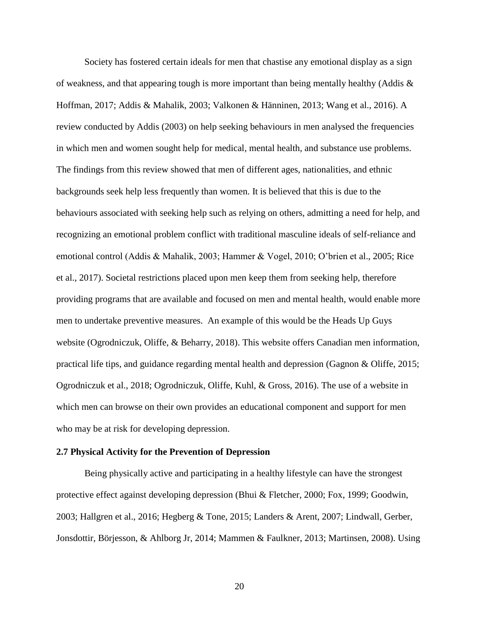Society has fostered certain ideals for men that chastise any emotional display as a sign of weakness, and that appearing tough is more important than being mentally healthy (Addis & Hoffman, 2017; Addis & Mahalik, 2003; Valkonen & Hänninen, 2013; Wang et al., 2016). A review conducted by Addis (2003) on help seeking behaviours in men analysed the frequencies in which men and women sought help for medical, mental health, and substance use problems. The findings from this review showed that men of different ages, nationalities, and ethnic backgrounds seek help less frequently than women. It is believed that this is due to the behaviours associated with seeking help such as relying on others, admitting a need for help, and recognizing an emotional problem conflict with traditional masculine ideals of self-reliance and emotional control (Addis & Mahalik, 2003; Hammer & Vogel, 2010; O'brien et al., 2005; Rice et al., 2017). Societal restrictions placed upon men keep them from seeking help, therefore providing programs that are available and focused on men and mental health, would enable more men to undertake preventive measures. An example of this would be the Heads Up Guys website (Ogrodniczuk, Oliffe, & Beharry, 2018). This website offers Canadian men information, practical life tips, and guidance regarding mental health and depression (Gagnon & Oliffe, 2015; Ogrodniczuk et al., 2018; Ogrodniczuk, Oliffe, Kuhl, & Gross, 2016). The use of a website in which men can browse on their own provides an educational component and support for men who may be at risk for developing depression.

### <span id="page-30-0"></span>**2.7 Physical Activity for the Prevention of Depression**

Being physically active and participating in a healthy lifestyle can have the strongest protective effect against developing depression (Bhui & Fletcher, 2000; Fox, 1999; Goodwin, 2003; Hallgren et al., 2016; Hegberg & Tone, 2015; Landers & Arent, 2007; Lindwall, Gerber, Jonsdottir, Börjesson, & Ahlborg Jr, 2014; Mammen & Faulkner, 2013; Martinsen, 2008). Using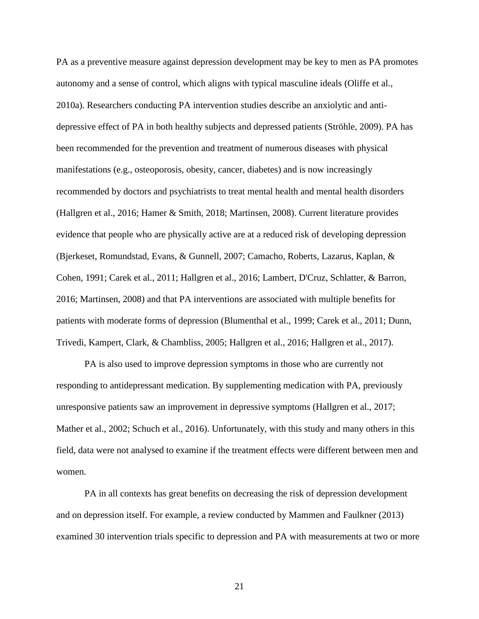PA as a preventive measure against depression development may be key to men as PA promotes autonomy and a sense of control, which aligns with typical masculine ideals (Oliffe et al., 2010a). Researchers conducting PA intervention studies describe an anxiolytic and antidepressive effect of PA in both healthy subjects and depressed patients (Ströhle, 2009). PA has been recommended for the prevention and treatment of numerous diseases with physical manifestations (e.g., osteoporosis, obesity, cancer, diabetes) and is now increasingly recommended by doctors and psychiatrists to treat mental health and mental health disorders (Hallgren et al., 2016; Hamer & Smith, 2018; Martinsen, 2008). Current literature provides evidence that people who are physically active are at a reduced risk of developing depression (Bjerkeset, Romundstad, Evans, & Gunnell, 2007; Camacho, Roberts, Lazarus, Kaplan, & Cohen, 1991; Carek et al., 2011; Hallgren et al., 2016; Lambert, D'Cruz, Schlatter, & Barron, 2016; Martinsen, 2008) and that PA interventions are associated with multiple benefits for patients with moderate forms of depression (Blumenthal et al., 1999; Carek et al., 2011; Dunn, Trivedi, Kampert, Clark, & Chambliss, 2005; Hallgren et al., 2016; Hallgren et al., 2017).

PA is also used to improve depression symptoms in those who are currently not responding to antidepressant medication. By supplementing medication with PA, previously unresponsive patients saw an improvement in depressive symptoms (Hallgren et al., 2017; Mather et al., 2002; Schuch et al., 2016). Unfortunately, with this study and many others in this field, data were not analysed to examine if the treatment effects were different between men and women.

PA in all contexts has great benefits on decreasing the risk of depression development and on depression itself. For example, a review conducted by Mammen and Faulkner (2013) examined 30 intervention trials specific to depression and PA with measurements at two or more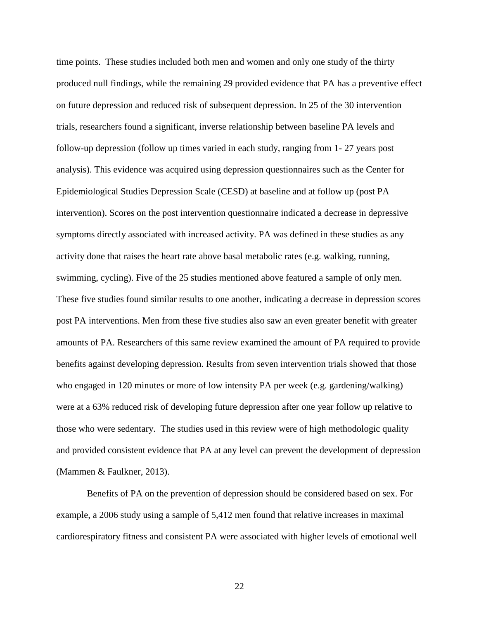time points. These studies included both men and women and only one study of the thirty produced null findings, while the remaining 29 provided evidence that PA has a preventive effect on future depression and reduced risk of subsequent depression. In 25 of the 30 intervention trials, researchers found a significant, inverse relationship between baseline PA levels and follow-up depression (follow up times varied in each study, ranging from 1- 27 years post analysis). This evidence was acquired using depression questionnaires such as the Center for Epidemiological Studies Depression Scale (CESD) at baseline and at follow up (post PA intervention). Scores on the post intervention questionnaire indicated a decrease in depressive symptoms directly associated with increased activity. PA was defined in these studies as any activity done that raises the heart rate above basal metabolic rates (e.g. walking, running, swimming, cycling). Five of the 25 studies mentioned above featured a sample of only men. These five studies found similar results to one another, indicating a decrease in depression scores post PA interventions. Men from these five studies also saw an even greater benefit with greater amounts of PA. Researchers of this same review examined the amount of PA required to provide benefits against developing depression. Results from seven intervention trials showed that those who engaged in 120 minutes or more of low intensity PA per week (e.g. gardening/walking) were at a 63% reduced risk of developing future depression after one year follow up relative to those who were sedentary. The studies used in this review were of high methodologic quality and provided consistent evidence that PA at any level can prevent the development of depression (Mammen & Faulkner, 2013).

Benefits of PA on the prevention of depression should be considered based on sex. For example, a 2006 study using a sample of 5,412 men found that relative increases in maximal cardiorespiratory fitness and consistent PA were associated with higher levels of emotional well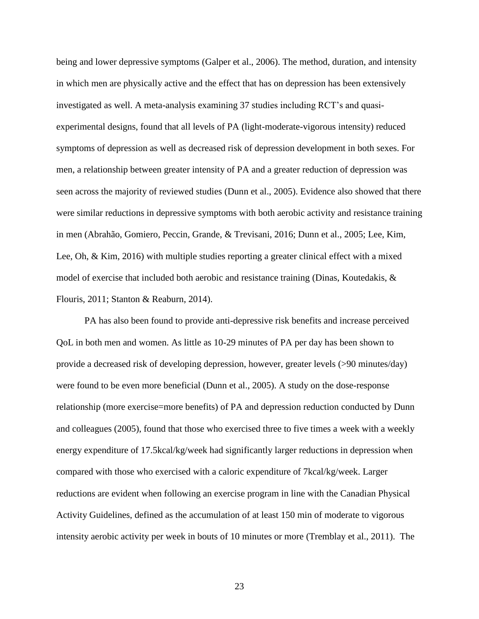being and lower depressive symptoms (Galper et al., 2006). The method, duration, and intensity in which men are physically active and the effect that has on depression has been extensively investigated as well. A meta-analysis examining 37 studies including RCT's and quasiexperimental designs, found that all levels of PA (light-moderate-vigorous intensity) reduced symptoms of depression as well as decreased risk of depression development in both sexes. For men, a relationship between greater intensity of PA and a greater reduction of depression was seen across the majority of reviewed studies (Dunn et al., 2005). Evidence also showed that there were similar reductions in depressive symptoms with both aerobic activity and resistance training in men (Abrahão, Gomiero, Peccin, Grande, & Trevisani, 2016; Dunn et al., 2005; Lee, Kim, Lee, Oh, & Kim, 2016) with multiple studies reporting a greater clinical effect with a mixed model of exercise that included both aerobic and resistance training (Dinas, Koutedakis, & Flouris, 2011; Stanton & Reaburn, 2014).

PA has also been found to provide anti-depressive risk benefits and increase perceived QoL in both men and women. As little as 10-29 minutes of PA per day has been shown to provide a decreased risk of developing depression, however, greater levels (>90 minutes/day) were found to be even more beneficial (Dunn et al., 2005). A study on the dose-response relationship (more exercise=more benefits) of PA and depression reduction conducted by Dunn and colleagues (2005), found that those who exercised three to five times a week with a weekly energy expenditure of 17.5kcal/kg/week had significantly larger reductions in depression when compared with those who exercised with a caloric expenditure of 7kcal/kg/week. Larger reductions are evident when following an exercise program in line with the Canadian Physical Activity Guidelines, defined as the accumulation of at least 150 min of moderate to vigorous intensity aerobic activity per week in bouts of 10 minutes or more (Tremblay et al., 2011). The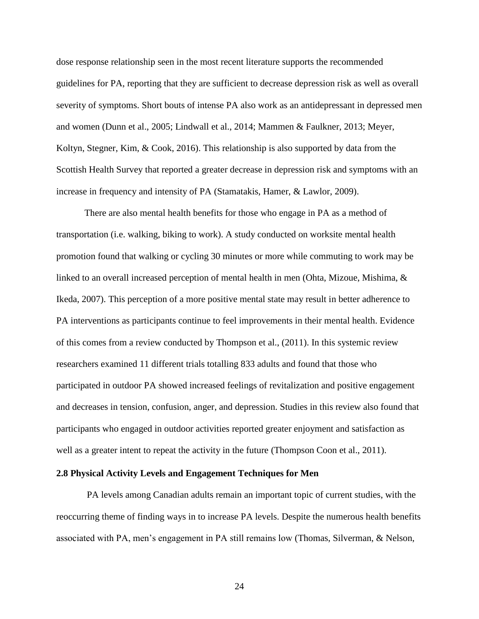dose response relationship seen in the most recent literature supports the recommended guidelines for PA, reporting that they are sufficient to decrease depression risk as well as overall severity of symptoms. Short bouts of intense PA also work as an antidepressant in depressed men and women (Dunn et al., 2005; Lindwall et al., 2014; Mammen & Faulkner, 2013; Meyer, Koltyn, Stegner, Kim, & Cook, 2016). This relationship is also supported by data from the Scottish Health Survey that reported a greater decrease in depression risk and symptoms with an increase in frequency and intensity of PA (Stamatakis, Hamer, & Lawlor, 2009).

There are also mental health benefits for those who engage in PA as a method of transportation (i.e. walking, biking to work). A study conducted on worksite mental health promotion found that walking or cycling 30 minutes or more while commuting to work may be linked to an overall increased perception of mental health in men (Ohta, Mizoue, Mishima, & Ikeda, 2007). This perception of a more positive mental state may result in better adherence to PA interventions as participants continue to feel improvements in their mental health. Evidence of this comes from a review conducted by Thompson et al., (2011). In this systemic review researchers examined 11 different trials totalling 833 adults and found that those who participated in outdoor PA showed increased feelings of revitalization and positive engagement and decreases in tension, confusion, anger, and depression. Studies in this review also found that participants who engaged in outdoor activities reported greater enjoyment and satisfaction as well as a greater intent to repeat the activity in the future (Thompson Coon et al., 2011).

## <span id="page-34-0"></span>**2.8 Physical Activity Levels and Engagement Techniques for Men**

PA levels among Canadian adults remain an important topic of current studies, with the reoccurring theme of finding ways in to increase PA levels. Despite the numerous health benefits associated with PA, men's engagement in PA still remains low (Thomas, Silverman, & Nelson,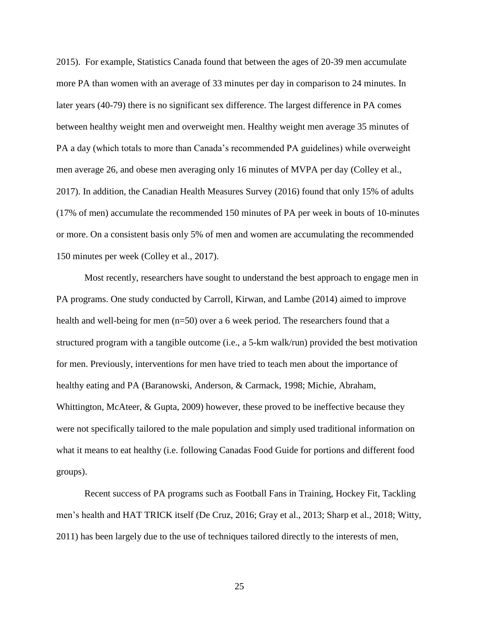2015). For example, Statistics Canada found that between the ages of 20-39 men accumulate more PA than women with an average of 33 minutes per day in comparison to 24 minutes. In later years (40-79) there is no significant sex difference. The largest difference in PA comes between healthy weight men and overweight men. Healthy weight men average 35 minutes of PA a day (which totals to more than Canada's recommended PA guidelines) while overweight men average 26, and obese men averaging only 16 minutes of MVPA per day (Colley et al., 2017). In addition, the Canadian Health Measures Survey (2016) found that only 15% of adults (17% of men) accumulate the recommended 150 minutes of PA per week in bouts of 10-minutes or more. On a consistent basis only 5% of men and women are accumulating the recommended 150 minutes per week (Colley et al., 2017).

Most recently, researchers have sought to understand the best approach to engage men in PA programs. One study conducted by Carroll, Kirwan, and Lambe (2014) aimed to improve health and well-being for men (n=50) over a 6 week period. The researchers found that a structured program with a tangible outcome (i.e., a 5-km walk/run) provided the best motivation for men. Previously, interventions for men have tried to teach men about the importance of healthy eating and PA (Baranowski, Anderson, & Carmack, 1998; Michie, Abraham, Whittington, McAteer, & Gupta, 2009) however, these proved to be ineffective because they were not specifically tailored to the male population and simply used traditional information on what it means to eat healthy (i.e. following Canadas Food Guide for portions and different food groups).

Recent success of PA programs such as Football Fans in Training, Hockey Fit, Tackling men's health and HAT TRICK itself (De Cruz, 2016; Gray et al., 2013; Sharp et al., 2018; Witty, 2011) has been largely due to the use of techniques tailored directly to the interests of men,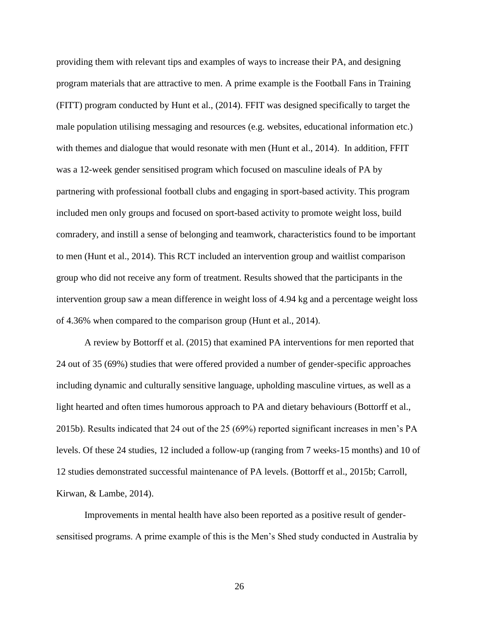providing them with relevant tips and examples of ways to increase their PA, and designing program materials that are attractive to men. A prime example is the Football Fans in Training (FITT) program conducted by Hunt et al., (2014). FFIT was designed specifically to target the male population utilising messaging and resources (e.g. websites, educational information etc.) with themes and dialogue that would resonate with men (Hunt et al., 2014). In addition, FFIT was a 12-week gender sensitised program which focused on masculine ideals of PA by partnering with professional football clubs and engaging in sport-based activity. This program included men only groups and focused on sport-based activity to promote weight loss, build comradery, and instill a sense of belonging and teamwork, characteristics found to be important to men (Hunt et al., 2014). This RCT included an intervention group and waitlist comparison group who did not receive any form of treatment. Results showed that the participants in the intervention group saw a mean difference in weight loss of 4.94 kg and a percentage weight loss of 4.36% when compared to the comparison group (Hunt et al., 2014).

A review by Bottorff et al. (2015) that examined PA interventions for men reported that 24 out of 35 (69%) studies that were offered provided a number of gender-specific approaches including dynamic and culturally sensitive language, upholding masculine virtues, as well as a light hearted and often times humorous approach to PA and dietary behaviours (Bottorff et al., 2015b). Results indicated that 24 out of the 25 (69%) reported significant increases in men's PA levels. Of these 24 studies, 12 included a follow-up (ranging from 7 weeks-15 months) and 10 of 12 studies demonstrated successful maintenance of PA levels. (Bottorff et al., 2015b; Carroll, Kirwan, & Lambe, 2014).

Improvements in mental health have also been reported as a positive result of gendersensitised programs. A prime example of this is the Men's Shed study conducted in Australia by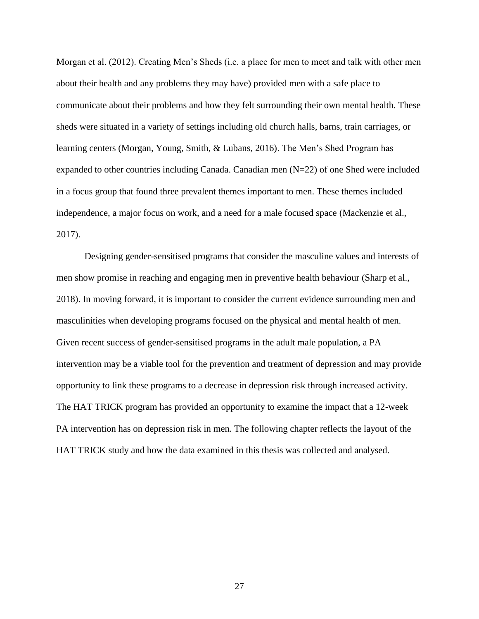Morgan et al. (2012). Creating Men's Sheds (i.e. a place for men to meet and talk with other men about their health and any problems they may have) provided men with a safe place to communicate about their problems and how they felt surrounding their own mental health. These sheds were situated in a variety of settings including old church halls, barns, train carriages, or learning centers (Morgan, Young, Smith, & Lubans, 2016). The Men's Shed Program has expanded to other countries including Canada. Canadian men (N=22) of one Shed were included in a focus group that found three prevalent themes important to men. These themes included independence, a major focus on work, and a need for a male focused space (Mackenzie et al., 2017).

Designing gender-sensitised programs that consider the masculine values and interests of men show promise in reaching and engaging men in preventive health behaviour (Sharp et al., 2018). In moving forward, it is important to consider the current evidence surrounding men and masculinities when developing programs focused on the physical and mental health of men. Given recent success of gender-sensitised programs in the adult male population, a PA intervention may be a viable tool for the prevention and treatment of depression and may provide opportunity to link these programs to a decrease in depression risk through increased activity. The HAT TRICK program has provided an opportunity to examine the impact that a 12-week PA intervention has on depression risk in men. The following chapter reflects the layout of the HAT TRICK study and how the data examined in this thesis was collected and analysed.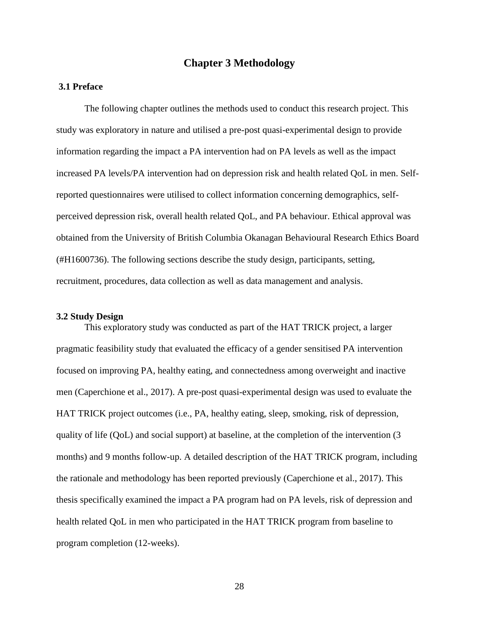# **Chapter 3 Methodology**

# **3.1 Preface**

The following chapter outlines the methods used to conduct this research project. This study was exploratory in nature and utilised a pre-post quasi-experimental design to provide information regarding the impact a PA intervention had on PA levels as well as the impact increased PA levels/PA intervention had on depression risk and health related QoL in men. Selfreported questionnaires were utilised to collect information concerning demographics, selfperceived depression risk, overall health related QoL, and PA behaviour. Ethical approval was obtained from the University of British Columbia Okanagan Behavioural Research Ethics Board (#H1600736). The following sections describe the study design, participants, setting, recruitment, procedures, data collection as well as data management and analysis.

#### **3.2 Study Design**

This exploratory study was conducted as part of the HAT TRICK project, a larger pragmatic feasibility study that evaluated the efficacy of a gender sensitised PA intervention focused on improving PA, healthy eating, and connectedness among overweight and inactive men (Caperchione et al., 2017). A pre-post quasi-experimental design was used to evaluate the HAT TRICK project outcomes (i.e., PA, healthy eating, sleep, smoking, risk of depression, quality of life (QoL) and social support) at baseline, at the completion of the intervention (3 months) and 9 months follow-up. A detailed description of the HAT TRICK program, including the rationale and methodology has been reported previously (Caperchione et al., 2017). This thesis specifically examined the impact a PA program had on PA levels, risk of depression and health related QoL in men who participated in the HAT TRICK program from baseline to program completion (12-weeks).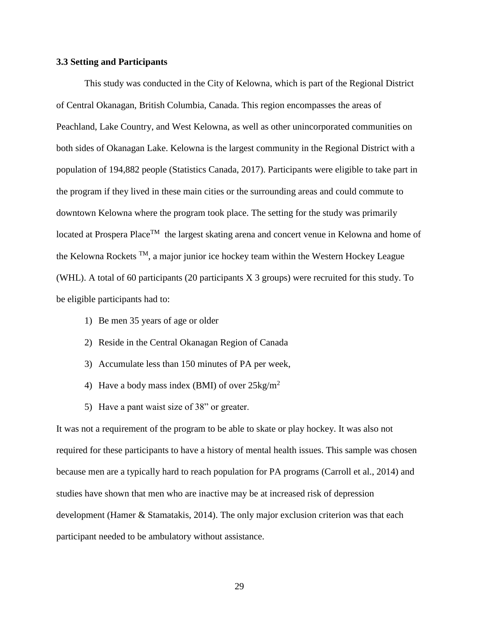#### **3.3 Setting and Participants**

This study was conducted in the City of Kelowna, which is part of the Regional District of Central Okanagan, British Columbia, Canada. This region encompasses the areas of Peachland, Lake Country, and West Kelowna, as well as other unincorporated communities on both sides of Okanagan Lake. Kelowna is the largest community in the Regional District with a population of 194,882 people (Statistics Canada, 2017). Participants were eligible to take part in the program if they lived in these main cities or the surrounding areas and could commute to downtown Kelowna where the program took place. The setting for the study was primarily located at Prospera Place<sup>TM</sup> the largest skating arena and concert venue in Kelowna and home of the Kelowna Rockets  $TM$ , a major junior ice hockey team within the Western Hockey League (WHL). A total of 60 participants (20 participants X 3 groups) were recruited for this study. To be eligible participants had to:

- 1) Be men 35 years of age or older
- 2) Reside in the Central Okanagan Region of Canada
- 3) Accumulate less than 150 minutes of PA per week,
- 4) Have a body mass index (BMI) of over  $25 \text{kg/m}^2$
- 5) Have a pant waist size of 38" or greater.

It was not a requirement of the program to be able to skate or play hockey. It was also not required for these participants to have a history of mental health issues. This sample was chosen because men are a typically hard to reach population for PA programs (Carroll et al., 2014) and studies have shown that men who are inactive may be at increased risk of depression development (Hamer & Stamatakis, 2014). The only major exclusion criterion was that each participant needed to be ambulatory without assistance.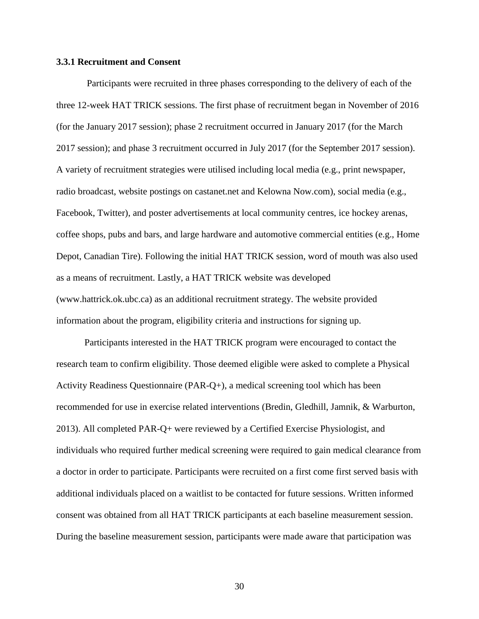## **3.3.1 Recruitment and Consent**

Participants were recruited in three phases corresponding to the delivery of each of the three 12-week HAT TRICK sessions. The first phase of recruitment began in November of 2016 (for the January 2017 session); phase 2 recruitment occurred in January 2017 (for the March 2017 session); and phase 3 recruitment occurred in July 2017 (for the September 2017 session). A variety of recruitment strategies were utilised including local media (e.g., print newspaper, radio broadcast, website postings on castanet.net and Kelowna Now.com), social media (e.g., Facebook, Twitter), and poster advertisements at local community centres, ice hockey arenas, coffee shops, pubs and bars, and large hardware and automotive commercial entities (e.g., Home Depot, Canadian Tire). Following the initial HAT TRICK session, word of mouth was also used as a means of recruitment. Lastly, a HAT TRICK website was developed (www.hattrick.ok.ubc.ca) as an additional recruitment strategy. The website provided information about the program, eligibility criteria and instructions for signing up.

Participants interested in the HAT TRICK program were encouraged to contact the research team to confirm eligibility. Those deemed eligible were asked to complete a Physical Activity Readiness Questionnaire (PAR-Q+), a medical screening tool which has been recommended for use in exercise related interventions (Bredin, Gledhill, Jamnik, & Warburton, 2013). All completed PAR-Q+ were reviewed by a Certified Exercise Physiologist, and individuals who required further medical screening were required to gain medical clearance from a doctor in order to participate. Participants were recruited on a first come first served basis with additional individuals placed on a waitlist to be contacted for future sessions. Written informed consent was obtained from all HAT TRICK participants at each baseline measurement session. During the baseline measurement session, participants were made aware that participation was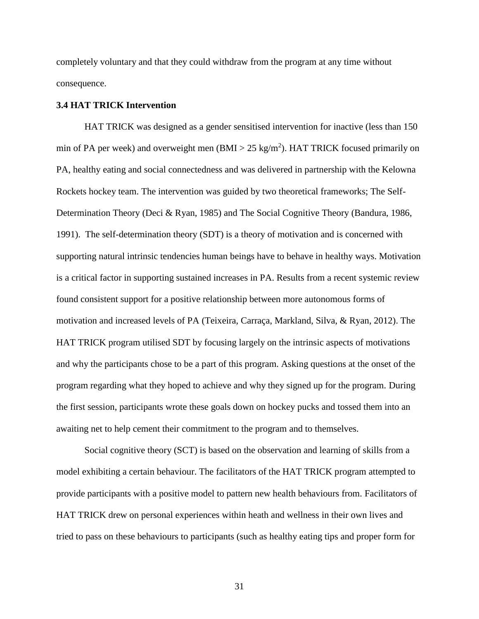completely voluntary and that they could withdraw from the program at any time without consequence.

## **3.4 HAT TRICK Intervention**

HAT TRICK was designed as a gender sensitised intervention for inactive (less than 150 min of PA per week) and overweight men  $(BMI > 25 \text{ kg/m}^2)$ . HAT TRICK focused primarily on PA, healthy eating and social connectedness and was delivered in partnership with the Kelowna Rockets hockey team. The intervention was guided by two theoretical frameworks; The Self-Determination Theory (Deci & Ryan, 1985) and The Social Cognitive Theory (Bandura, 1986, 1991). The self-determination theory (SDT) is a theory of motivation and is concerned with supporting natural intrinsic tendencies human beings have to behave in healthy ways. Motivation is a critical factor in supporting sustained increases in PA. Results from a recent systemic review found consistent support for a positive relationship between more autonomous forms of motivation and increased levels of PA (Teixeira, Carraça, Markland, Silva, & Ryan, 2012). The HAT TRICK program utilised SDT by focusing largely on the intrinsic aspects of motivations and why the participants chose to be a part of this program. Asking questions at the onset of the program regarding what they hoped to achieve and why they signed up for the program. During the first session, participants wrote these goals down on hockey pucks and tossed them into an awaiting net to help cement their commitment to the program and to themselves.

Social cognitive theory (SCT) is based on the observation and learning of skills from a model exhibiting a certain behaviour. The facilitators of the HAT TRICK program attempted to provide participants with a positive model to pattern new health behaviours from. Facilitators of HAT TRICK drew on personal experiences within heath and wellness in their own lives and tried to pass on these behaviours to participants (such as healthy eating tips and proper form for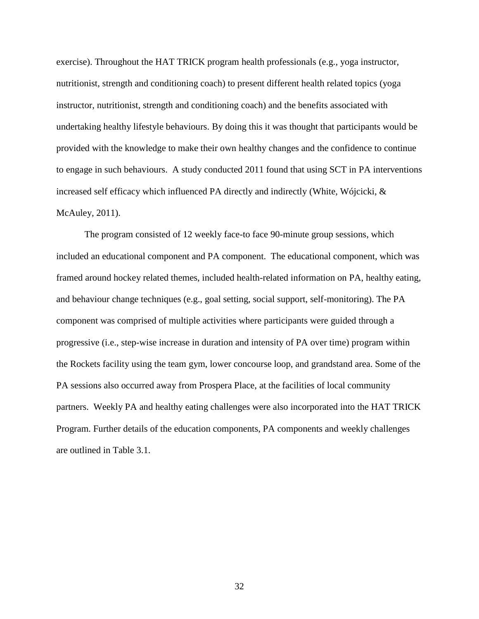exercise). Throughout the HAT TRICK program health professionals (e.g., yoga instructor, nutritionist, strength and conditioning coach) to present different health related topics (yoga instructor, nutritionist, strength and conditioning coach) and the benefits associated with undertaking healthy lifestyle behaviours. By doing this it was thought that participants would be provided with the knowledge to make their own healthy changes and the confidence to continue to engage in such behaviours. A study conducted 2011 found that using SCT in PA interventions increased self efficacy which influenced PA directly and indirectly (White, Wójcicki,  $\&$ McAuley, 2011).

The program consisted of 12 weekly face-to face 90-minute group sessions, which included an educational component and PA component. The educational component, which was framed around hockey related themes, included health-related information on PA, healthy eating, and behaviour change techniques (e.g., goal setting, social support, self-monitoring). The PA component was comprised of multiple activities where participants were guided through a progressive (i.e., step-wise increase in duration and intensity of PA over time) program within the Rockets facility using the team gym, lower concourse loop, and grandstand area. Some of the PA sessions also occurred away from Prospera Place, at the facilities of local community partners. Weekly PA and healthy eating challenges were also incorporated into the HAT TRICK Program. Further details of the education components, PA components and weekly challenges are outlined in Table 3.1.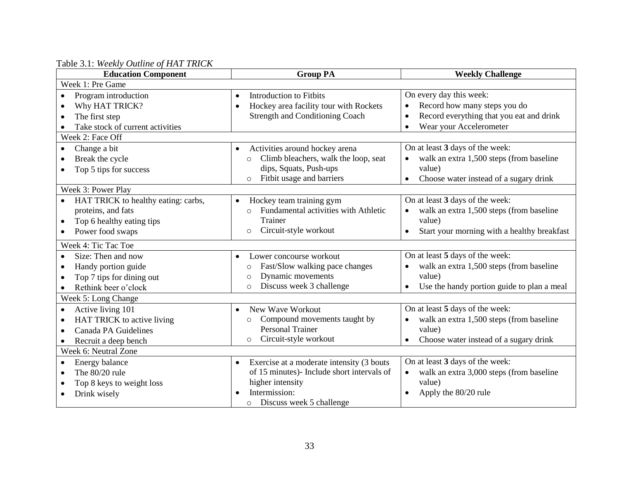Table 3.1: *Weekly Outline of HAT TRICK*

| <b>Education Component</b>          | <b>Group PA</b>                                        | <b>Weekly Challenge</b>                                  |  |  |  |
|-------------------------------------|--------------------------------------------------------|----------------------------------------------------------|--|--|--|
| Week 1: Pre Game                    |                                                        |                                                          |  |  |  |
| Program introduction                | Introduction to Fitbits<br>$\bullet$                   | On every day this week:                                  |  |  |  |
| Why HAT TRICK?                      | Hockey area facility tour with Rockets<br>$\bullet$    | Record how many steps you do<br>$\bullet$                |  |  |  |
| The first step                      | Strength and Conditioning Coach                        | Record everything that you eat and drink<br>$\bullet$    |  |  |  |
| Take stock of current activities    |                                                        | Wear your Accelerometer<br>$\bullet$                     |  |  |  |
| Week 2: Face Off                    |                                                        |                                                          |  |  |  |
| Change a bit                        | Activities around hockey arena<br>$\bullet$            | On at least 3 days of the week:                          |  |  |  |
| Break the cycle                     | Climb bleachers, walk the loop, seat<br>$\Omega$       | walk an extra 1,500 steps (from baseline                 |  |  |  |
| Top 5 tips for success              | dips, Squats, Push-ups                                 | value)                                                   |  |  |  |
|                                     | Fitbit usage and barriers<br>$\circ$                   | Choose water instead of a sugary drink<br>$\bullet$      |  |  |  |
| Week 3: Power Play                  |                                                        |                                                          |  |  |  |
| HAT TRICK to healthy eating: carbs, | Hockey team training gym<br>$\bullet$                  | On at least 3 days of the week:                          |  |  |  |
| proteins, and fats                  | Fundamental activities with Athletic<br>$\circ$        | walk an extra 1,500 steps (from baseline                 |  |  |  |
| Top 6 healthy eating tips           | Trainer                                                | value)                                                   |  |  |  |
| Power food swaps                    | Circuit-style workout<br>$\circ$                       | Start your morning with a healthy breakfast<br>$\bullet$ |  |  |  |
| Week 4: Tic Tac Toe                 |                                                        |                                                          |  |  |  |
| Size: Then and now<br>$\bullet$     | Lower concourse workout<br>$\bullet$                   | On at least 5 days of the week:                          |  |  |  |
| Handy portion guide<br>$\bullet$    | Fast/Slow walking pace changes<br>$\circ$              | walk an extra 1,500 steps (from baseline                 |  |  |  |
| Top 7 tips for dining out           | Dynamic movements<br>$\circ$                           | value)                                                   |  |  |  |
| Rethink beer o'clock                | Discuss week 3 challenge<br>$\circ$                    | Use the handy portion guide to plan a meal<br>$\bullet$  |  |  |  |
| Week 5: Long Change                 |                                                        |                                                          |  |  |  |
| Active living 101<br>$\bullet$      | New Wave Workout<br>$\bullet$                          | On at least 5 days of the week:                          |  |  |  |
| HAT TRICK to active living          | Compound movements taught by<br>$\circ$                | walk an extra 1,500 steps (from baseline                 |  |  |  |
| <b>Canada PA Guidelines</b>         | <b>Personal Trainer</b>                                | value)                                                   |  |  |  |
| Recruit a deep bench                | Circuit-style workout<br>$\circ$                       | Choose water instead of a sugary drink<br>$\bullet$      |  |  |  |
| Week 6: Neutral Zone                |                                                        |                                                          |  |  |  |
| Energy balance<br>$\bullet$         | Exercise at a moderate intensity (3 bouts<br>$\bullet$ | On at least 3 days of the week:                          |  |  |  |
| The 80/20 rule                      | of 15 minutes)- Include short intervals of             | walk an extra 3,000 steps (from baseline                 |  |  |  |
| Top 8 keys to weight loss           | higher intensity                                       | value)                                                   |  |  |  |
| Drink wisely                        | Intermission:                                          | Apply the 80/20 rule<br>$\bullet$                        |  |  |  |
|                                     | o Discuss week 5 challenge                             |                                                          |  |  |  |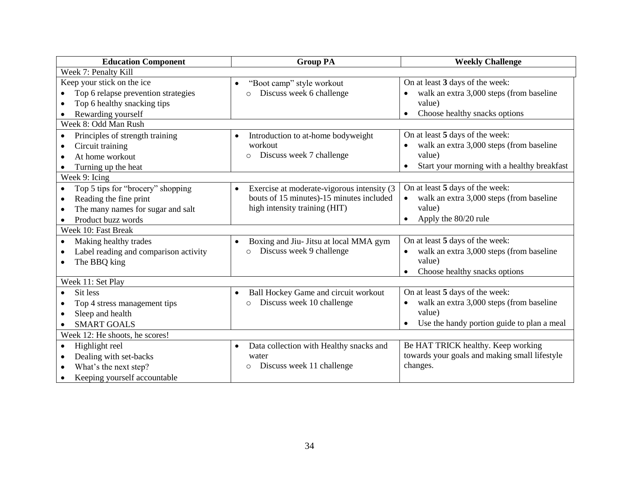| <b>Education Component</b>                     | <b>Group PA</b>                                          | <b>Weekly Challenge</b>                                  |  |  |
|------------------------------------------------|----------------------------------------------------------|----------------------------------------------------------|--|--|
| Week 7: Penalty Kill                           |                                                          |                                                          |  |  |
| Keep your stick on the ice                     | "Boot camp" style workout<br>$\bullet$                   | On at least 3 days of the week:                          |  |  |
| Top 6 relapse prevention strategies            | Discuss week 6 challenge<br>$\circ$                      | walk an extra 3,000 steps (from baseline                 |  |  |
| Top 6 healthy snacking tips                    |                                                          | value)                                                   |  |  |
| Rewarding yourself                             |                                                          | Choose healthy snacks options<br>$\bullet$               |  |  |
| Week 8: Odd Man Rush                           |                                                          |                                                          |  |  |
| Principles of strength training<br>$\bullet$   | Introduction to at-home bodyweight                       | On at least 5 days of the week:                          |  |  |
| Circuit training                               | workout                                                  | walk an extra 3,000 steps (from baseline                 |  |  |
| At home workout                                | Discuss week 7 challenge<br>$\Omega$                     | value)                                                   |  |  |
| Turning up the heat                            |                                                          | Start your morning with a healthy breakfast<br>$\bullet$ |  |  |
| Week 9: Icing                                  |                                                          |                                                          |  |  |
| Top 5 tips for "brocery" shopping<br>$\bullet$ | Exercise at moderate-vigorous intensity (3)<br>$\bullet$ | On at least 5 days of the week:                          |  |  |
| Reading the fine print<br>$\bullet$            | bouts of 15 minutes)-15 minutes included                 | walk an extra 3,000 steps (from baseline                 |  |  |
| The many names for sugar and salt              | high intensity training (HIT)                            | value)                                                   |  |  |
| Product buzz words                             |                                                          | Apply the 80/20 rule<br>$\bullet$                        |  |  |
| Week 10: Fast Break                            |                                                          |                                                          |  |  |
| Making healthy trades<br>$\bullet$             | Boxing and Jiu- Jitsu at local MMA gym<br>$\bullet$      | On at least 5 days of the week:                          |  |  |
| Label reading and comparison activity          | Discuss week 9 challenge<br>$\circ$                      | walk an extra 3,000 steps (from baseline                 |  |  |
| The BBQ king                                   |                                                          | value)                                                   |  |  |
|                                                |                                                          | Choose healthy snacks options<br>$\bullet$               |  |  |
| Week 11: Set Play                              |                                                          |                                                          |  |  |
| Sit less                                       | Ball Hockey Game and circuit workout<br>$\bullet$        | On at least 5 days of the week:                          |  |  |
| Top 4 stress management tips                   | Discuss week 10 challenge<br>$\circ$                     | walk an extra 3,000 steps (from baseline<br>$\bullet$    |  |  |
| Sleep and health                               |                                                          | value)                                                   |  |  |
| <b>SMART GOALS</b>                             |                                                          | Use the handy portion guide to plan a meal               |  |  |
| Week 12: He shoots, he scores!                 |                                                          |                                                          |  |  |
| Highlight reel<br>$\bullet$                    | Data collection with Healthy snacks and<br>$\bullet$     | Be HAT TRICK healthy. Keep working                       |  |  |
| Dealing with set-backs                         | water                                                    | towards your goals and making small lifestyle            |  |  |
| What's the next step?                          | Discuss week 11 challenge<br>$\circ$                     | changes.                                                 |  |  |
| Keeping yourself accountable                   |                                                          |                                                          |  |  |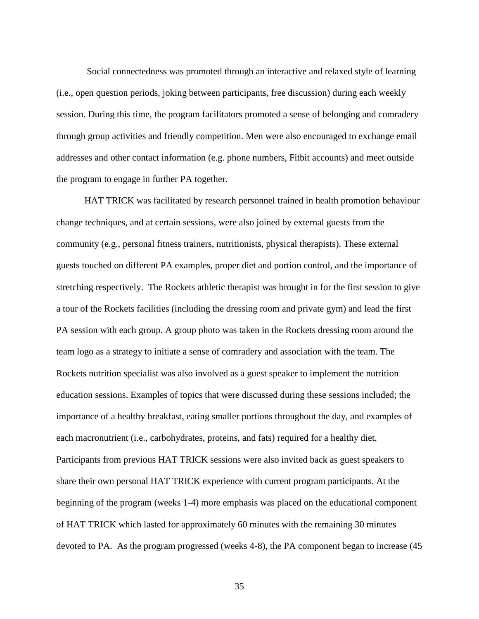Social connectedness was promoted through an interactive and relaxed style of learning (i.e., open question periods, joking between participants, free discussion) during each weekly session. During this time, the program facilitators promoted a sense of belonging and comradery through group activities and friendly competition. Men were also encouraged to exchange email addresses and other contact information (e.g. phone numbers, Fitbit accounts) and meet outside the program to engage in further PA together.

HAT TRICK was facilitated by research personnel trained in health promotion behaviour change techniques, and at certain sessions, were also joined by external guests from the community (e.g., personal fitness trainers, nutritionists, physical therapists). These external guests touched on different PA examples, proper diet and portion control, and the importance of stretching respectively. The Rockets athletic therapist was brought in for the first session to give a tour of the Rockets facilities (including the dressing room and private gym) and lead the first PA session with each group. A group photo was taken in the Rockets dressing room around the team logo as a strategy to initiate a sense of comradery and association with the team. The Rockets nutrition specialist was also involved as a guest speaker to implement the nutrition education sessions. Examples of topics that were discussed during these sessions included; the importance of a healthy breakfast, eating smaller portions throughout the day, and examples of each macronutrient (i.e., carbohydrates, proteins, and fats) required for a healthy diet. Participants from previous HAT TRICK sessions were also invited back as guest speakers to share their own personal HAT TRICK experience with current program participants. At the beginning of the program (weeks 1-4) more emphasis was placed on the educational component of HAT TRICK which lasted for approximately 60 minutes with the remaining 30 minutes devoted to PA. As the program progressed (weeks 4-8), the PA component began to increase (45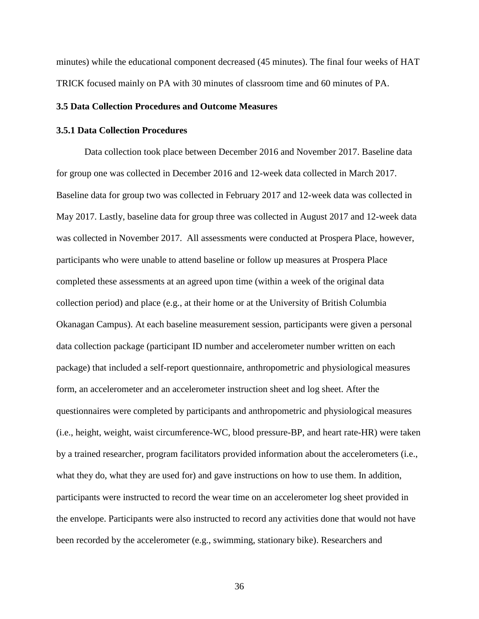minutes) while the educational component decreased (45 minutes). The final four weeks of HAT TRICK focused mainly on PA with 30 minutes of classroom time and 60 minutes of PA.

# **3.5 Data Collection Procedures and Outcome Measures**

## **3.5.1 Data Collection Procedures**

Data collection took place between December 2016 and November 2017. Baseline data for group one was collected in December 2016 and 12-week data collected in March 2017. Baseline data for group two was collected in February 2017 and 12-week data was collected in May 2017. Lastly, baseline data for group three was collected in August 2017 and 12-week data was collected in November 2017. All assessments were conducted at Prospera Place, however, participants who were unable to attend baseline or follow up measures at Prospera Place completed these assessments at an agreed upon time (within a week of the original data collection period) and place (e.g., at their home or at the University of British Columbia Okanagan Campus). At each baseline measurement session, participants were given a personal data collection package (participant ID number and accelerometer number written on each package) that included a self-report questionnaire, anthropometric and physiological measures form, an accelerometer and an accelerometer instruction sheet and log sheet. After the questionnaires were completed by participants and anthropometric and physiological measures (i.e., height, weight, waist circumference-WC, blood pressure-BP, and heart rate-HR) were taken by a trained researcher, program facilitators provided information about the accelerometers (i.e., what they do, what they are used for) and gave instructions on how to use them. In addition, participants were instructed to record the wear time on an accelerometer log sheet provided in the envelope. Participants were also instructed to record any activities done that would not have been recorded by the accelerometer (e.g., swimming, stationary bike). Researchers and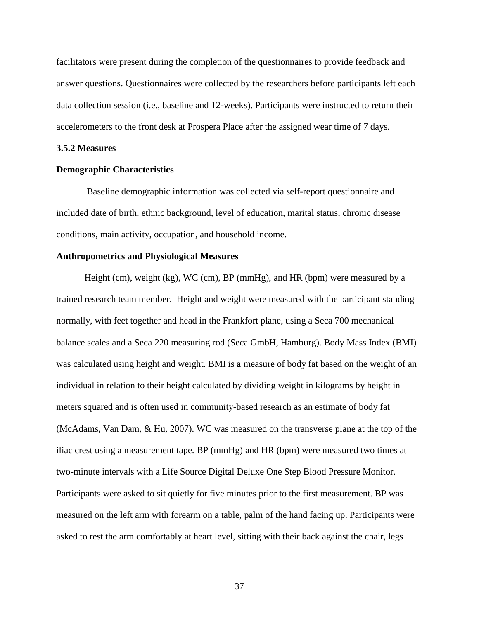facilitators were present during the completion of the questionnaires to provide feedback and answer questions. Questionnaires were collected by the researchers before participants left each data collection session (i.e., baseline and 12-weeks). Participants were instructed to return their accelerometers to the front desk at Prospera Place after the assigned wear time of 7 days.

#### **3.5.2 Measures**

# **Demographic Characteristics**

Baseline demographic information was collected via self-report questionnaire and included date of birth, ethnic background, level of education, marital status, chronic disease conditions, main activity, occupation, and household income.

# **Anthropometrics and Physiological Measures**

Height (cm), weight (kg), WC (cm), BP (mmHg), and HR (bpm) were measured by a trained research team member. Height and weight were measured with the participant standing normally, with feet together and head in the Frankfort plane, using a Seca 700 mechanical balance scales and a Seca 220 measuring rod (Seca GmbH, Hamburg). Body Mass Index (BMI) was calculated using height and weight. BMI is a measure of body fat based on the weight of an individual in relation to their height calculated by dividing weight in kilograms by height in meters squared and is often used in community-based research as an estimate of body fat (McAdams, Van Dam, & Hu, 2007). WC was measured on the transverse plane at the top of the iliac crest using a measurement tape. BP (mmHg) and HR (bpm) were measured two times at two-minute intervals with a Life Source Digital Deluxe One Step Blood Pressure Monitor. Participants were asked to sit quietly for five minutes prior to the first measurement. BP was measured on the left arm with forearm on a table, palm of the hand facing up. Participants were asked to rest the arm comfortably at heart level, sitting with their back against the chair, legs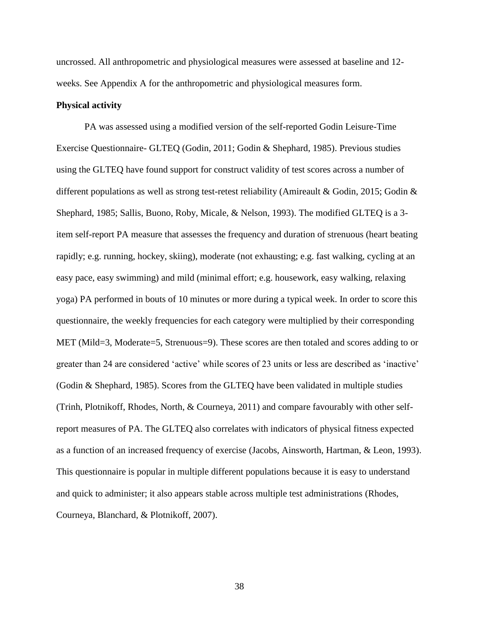uncrossed. All anthropometric and physiological measures were assessed at baseline and 12 weeks. See Appendix A for the anthropometric and physiological measures form.

#### **Physical activity**

PA was assessed using a modified version of the self-reported Godin Leisure-Time Exercise Questionnaire- GLTEQ (Godin, 2011; Godin & Shephard, 1985). Previous studies using the GLTEQ have found support for construct validity of test scores across a number of different populations as well as strong test-retest reliability (Amireault & Godin, 2015; Godin & Shephard, 1985; Sallis, Buono, Roby, Micale, & Nelson, 1993). The modified GLTEQ is a 3 item self-report PA measure that assesses the frequency and duration of strenuous (heart beating rapidly; e.g. running, hockey, skiing), moderate (not exhausting; e.g. fast walking, cycling at an easy pace, easy swimming) and mild (minimal effort; e.g. housework, easy walking, relaxing yoga) PA performed in bouts of 10 minutes or more during a typical week. In order to score this questionnaire, the weekly frequencies for each category were multiplied by their corresponding MET (Mild=3, Moderate=5, Strenuous=9). These scores are then totaled and scores adding to or greater than 24 are considered 'active' while scores of 23 units or less are described as 'inactive' (Godin & Shephard, 1985). Scores from the GLTEQ have been validated in multiple studies (Trinh, Plotnikoff, Rhodes, North, & Courneya, 2011) and compare favourably with other selfreport measures of PA. The GLTEQ also correlates with indicators of physical fitness expected as a function of an increased frequency of exercise (Jacobs, Ainsworth, Hartman, & Leon, 1993). This questionnaire is popular in multiple different populations because it is easy to understand and quick to administer; it also appears stable across multiple test administrations (Rhodes, Courneya, Blanchard, & Plotnikoff, 2007).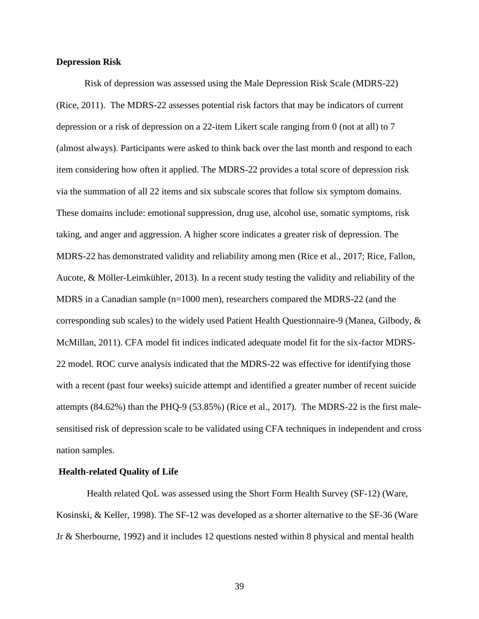## **Depression Risk**

Risk of depression was assessed using the Male Depression Risk Scale (MDRS-22) (Rice, 2011). The MDRS-22 assesses potential risk factors that may be indicators of current depression or a risk of depression on a 22-item Likert scale ranging from 0 (not at all) to 7 (almost always). Participants were asked to think back over the last month and respond to each item considering how often it applied. The MDRS-22 provides a total score of depression risk via the summation of all 22 items and six subscale scores that follow six symptom domains. These domains include: emotional suppression, drug use, alcohol use, somatic symptoms, risk taking, and anger and aggression. A higher score indicates a greater risk of depression. The MDRS-22 has demonstrated validity and reliability among men (Rice et al., 2017; Rice, Fallon, Aucote, & Möller-Leimkühler, 2013). In a recent study testing the validity and reliability of the MDRS in a Canadian sample (n=1000 men), researchers compared the MDRS-22 (and the corresponding sub scales) to the widely used Patient Health Questionnaire-9 (Manea, Gilbody, & McMillan, 2011). CFA model fit indices indicated adequate model fit for the six-factor MDRS-22 model. ROC curve analysis indicated that the MDRS-22 was effective for identifying those with a recent (past four weeks) suicide attempt and identified a greater number of recent suicide attempts (84.62%) than the PHQ-9 (53.85%) (Rice et al., 2017). The MDRS-22 is the first malesensitised risk of depression scale to be validated using CFA techniques in independent and cross nation samples.

# **Health-related Quality of Life**

Health related QoL was assessed using the Short Form Health Survey (SF-12) (Ware, Kosinski, & Keller, 1998). The SF-12 was developed as a shorter alternative to the SF-36 (Ware Jr & Sherbourne, 1992) and it includes 12 questions nested within 8 physical and mental health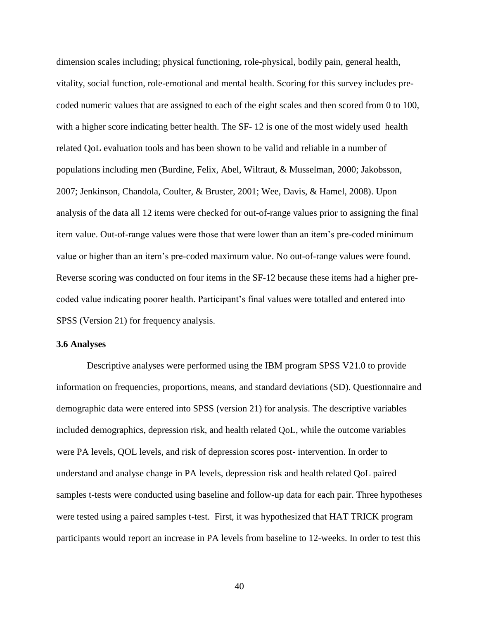dimension scales including; physical functioning, role-physical, bodily pain, general health, vitality, social function, role-emotional and mental health. Scoring for this survey includes precoded numeric values that are assigned to each of the eight scales and then scored from 0 to 100, with a higher score indicating better health. The SF- 12 is one of the most widely used health related QoL evaluation tools and has been shown to be valid and reliable in a number of populations including men (Burdine, Felix, Abel, Wiltraut, & Musselman, 2000; Jakobsson, 2007; Jenkinson, Chandola, Coulter, & Bruster, 2001; Wee, Davis, & Hamel, 2008). Upon analysis of the data all 12 items were checked for out-of-range values prior to assigning the final item value. Out-of-range values were those that were lower than an item's pre-coded minimum value or higher than an item's pre-coded maximum value. No out-of-range values were found. Reverse scoring was conducted on four items in the SF-12 because these items had a higher precoded value indicating poorer health. Participant's final values were totalled and entered into SPSS (Version 21) for frequency analysis.

# **3.6 Analyses**

Descriptive analyses were performed using the IBM program SPSS V21.0 to provide information on frequencies, proportions, means, and standard deviations (SD). Questionnaire and demographic data were entered into SPSS (version 21) for analysis. The descriptive variables included demographics, depression risk, and health related QoL, while the outcome variables were PA levels, QOL levels, and risk of depression scores post- intervention. In order to understand and analyse change in PA levels, depression risk and health related QoL paired samples t-tests were conducted using baseline and follow-up data for each pair. Three hypotheses were tested using a paired samples t-test. First, it was hypothesized that HAT TRICK program participants would report an increase in PA levels from baseline to 12-weeks. In order to test this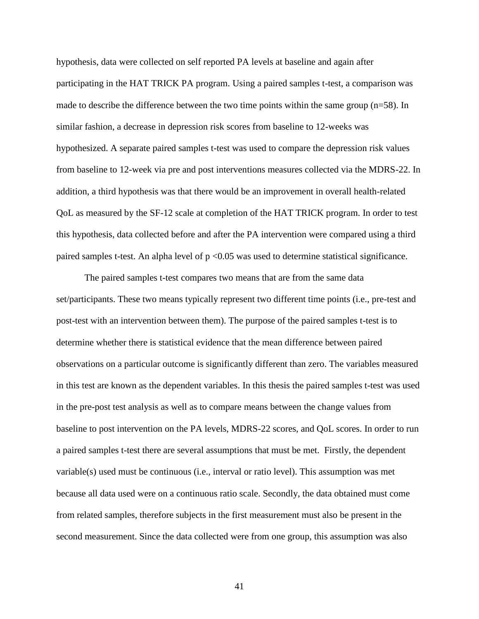hypothesis, data were collected on self reported PA levels at baseline and again after participating in the HAT TRICK PA program. Using a paired samples t-test, a comparison was made to describe the difference between the two time points within the same group (n=58). In similar fashion, a decrease in depression risk scores from baseline to 12-weeks was hypothesized. A separate paired samples t-test was used to compare the depression risk values from baseline to 12-week via pre and post interventions measures collected via the MDRS-22. In addition, a third hypothesis was that there would be an improvement in overall health-related QoL as measured by the SF-12 scale at completion of the HAT TRICK program. In order to test this hypothesis, data collected before and after the PA intervention were compared using a third paired samples t-test. An alpha level of  $p \le 0.05$  was used to determine statistical significance.

The paired samples t-test compares two means that are from the same data set/participants. These two means typically represent two different time points (i.e., pre-test and post-test with an intervention between them). The purpose of the paired samples t-test is to determine whether there is statistical evidence that the mean difference between paired observations on a particular outcome is significantly different than zero. The variables measured in this test are known as the dependent variables. In this thesis the paired samples t-test was used in the pre-post test analysis as well as to compare means between the change values from baseline to post intervention on the PA levels, MDRS-22 scores, and QoL scores. In order to run a paired samples t-test there are several assumptions that must be met. Firstly, the dependent variable(s) used must be continuous (i.e., interval or ratio level). This assumption was met because all data used were on a continuous ratio scale. Secondly, the data obtained must come from related samples, therefore subjects in the first measurement must also be present in the second measurement. Since the data collected were from one group, this assumption was also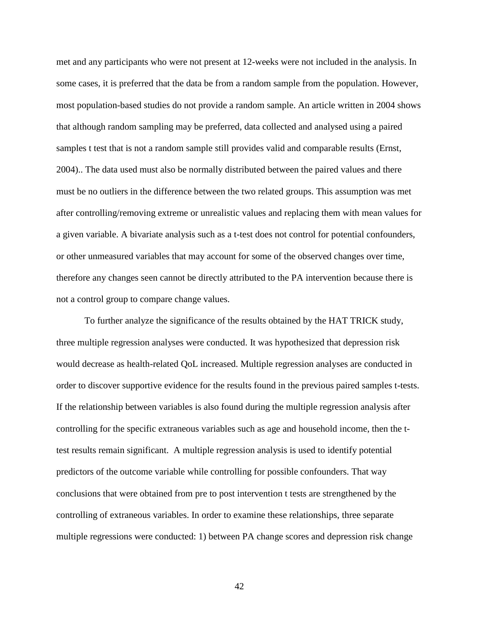met and any participants who were not present at 12-weeks were not included in the analysis. In some cases, it is preferred that the data be from a random sample from the population. However, most population-based studies do not provide a random sample. An article written in 2004 shows that although random sampling may be preferred, data collected and analysed using a paired samples t test that is not a random sample still provides valid and comparable results (Ernst, 2004).. The data used must also be normally distributed between the paired values and there must be no outliers in the difference between the two related groups. This assumption was met after controlling/removing extreme or unrealistic values and replacing them with mean values for a given variable. A bivariate analysis such as a t-test does not control for potential confounders, or other unmeasured variables that may account for some of the observed changes over time, therefore any changes seen cannot be directly attributed to the PA intervention because there is not a control group to compare change values.

To further analyze the significance of the results obtained by the HAT TRICK study, three multiple regression analyses were conducted. It was hypothesized that depression risk would decrease as health-related QoL increased. Multiple regression analyses are conducted in order to discover supportive evidence for the results found in the previous paired samples t-tests. If the relationship between variables is also found during the multiple regression analysis after controlling for the specific extraneous variables such as age and household income, then the ttest results remain significant. A multiple regression analysis is used to identify potential predictors of the outcome variable while controlling for possible confounders. That way conclusions that were obtained from pre to post intervention t tests are strengthened by the controlling of extraneous variables. In order to examine these relationships, three separate multiple regressions were conducted: 1) between PA change scores and depression risk change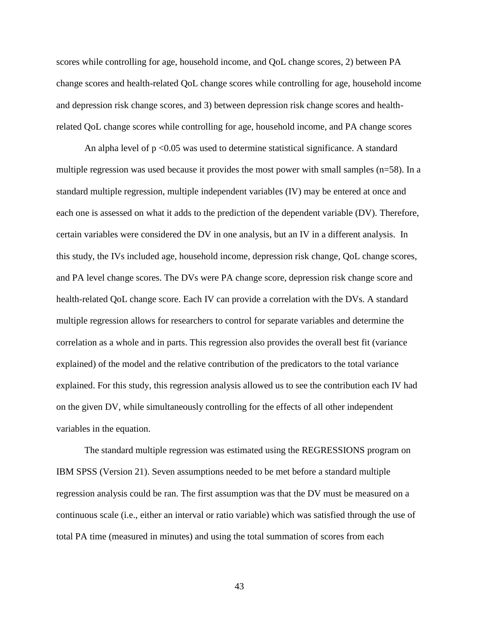scores while controlling for age, household income, and QoL change scores, 2) between PA change scores and health-related QoL change scores while controlling for age, household income and depression risk change scores, and 3) between depression risk change scores and healthrelated QoL change scores while controlling for age, household income, and PA change scores

An alpha level of  $p \le 0.05$  was used to determine statistical significance. A standard multiple regression was used because it provides the most power with small samples (n=58). In a standard multiple regression, multiple independent variables (IV) may be entered at once and each one is assessed on what it adds to the prediction of the dependent variable (DV). Therefore, certain variables were considered the DV in one analysis, but an IV in a different analysis. In this study, the IVs included age, household income, depression risk change, QoL change scores, and PA level change scores. The DVs were PA change score, depression risk change score and health-related QoL change score. Each IV can provide a correlation with the DVs. A standard multiple regression allows for researchers to control for separate variables and determine the correlation as a whole and in parts. This regression also provides the overall best fit (variance explained) of the model and the relative contribution of the predicators to the total variance explained. For this study, this regression analysis allowed us to see the contribution each IV had on the given DV, while simultaneously controlling for the effects of all other independent variables in the equation.

The standard multiple regression was estimated using the REGRESSIONS program on IBM SPSS (Version 21). Seven assumptions needed to be met before a standard multiple regression analysis could be ran. The first assumption was that the DV must be measured on a continuous scale (i.e., either an interval or ratio variable) which was satisfied through the use of total PA time (measured in minutes) and using the total summation of scores from each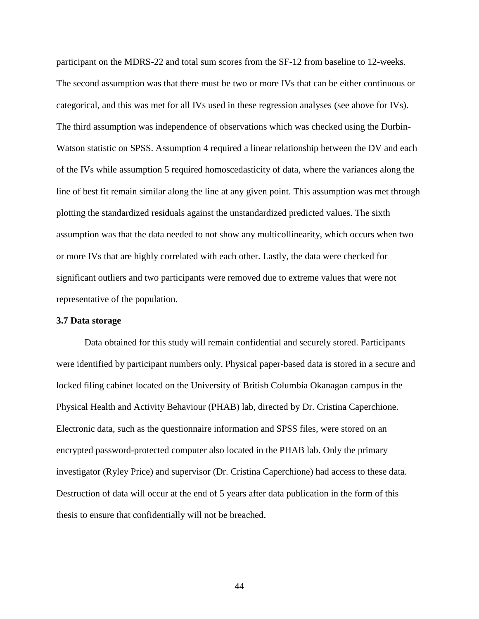participant on the MDRS-22 and total sum scores from the SF-12 from baseline to 12-weeks. The second assumption was that there must be two or more IVs that can be either continuous or categorical, and this was met for all IVs used in these regression analyses (see above for IVs). The third assumption was independence of observations which was checked using the Durbin-Watson statistic on SPSS. Assumption 4 required a linear relationship between the DV and each of the IVs while assumption 5 required homoscedasticity of data, where the variances along the line of best fit remain similar along the line at any given point. This assumption was met through plotting the standardized residuals against the unstandardized predicted values. The sixth assumption was that the data needed to not show any multicollinearity, which occurs when two or more IVs that are highly correlated with each other. Lastly, the data were checked for significant outliers and two participants were removed due to extreme values that were not representative of the population.

# **3.7 Data storage**

Data obtained for this study will remain confidential and securely stored. Participants were identified by participant numbers only. Physical paper-based data is stored in a secure and locked filing cabinet located on the University of British Columbia Okanagan campus in the Physical Health and Activity Behaviour (PHAB) lab, directed by Dr. Cristina Caperchione. Electronic data, such as the questionnaire information and SPSS files, were stored on an encrypted password-protected computer also located in the PHAB lab. Only the primary investigator (Ryley Price) and supervisor (Dr. Cristina Caperchione) had access to these data. Destruction of data will occur at the end of 5 years after data publication in the form of this thesis to ensure that confidentially will not be breached.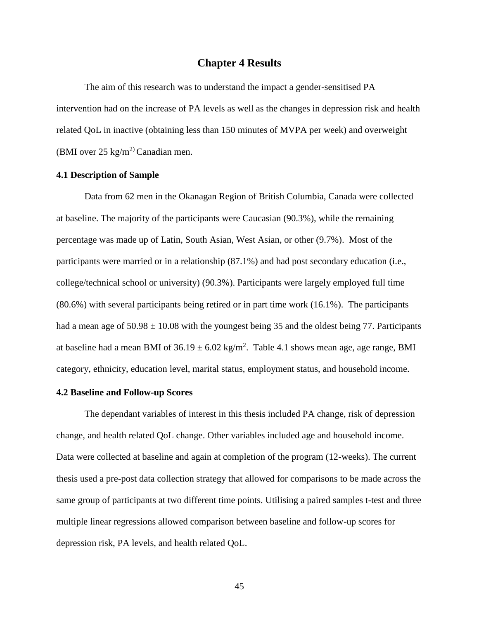# **Chapter 4 Results**

The aim of this research was to understand the impact a gender-sensitised PA intervention had on the increase of PA levels as well as the changes in depression risk and health related QoL in inactive (obtaining less than 150 minutes of MVPA per week) and overweight (BMI over  $25 \text{ kg/m}^2$ ) Canadian men.

## **4.1 Description of Sample**

Data from 62 men in the Okanagan Region of British Columbia, Canada were collected at baseline. The majority of the participants were Caucasian (90.3%), while the remaining percentage was made up of Latin, South Asian, West Asian, or other (9.7%). Most of the participants were married or in a relationship (87.1%) and had post secondary education (i.e., college/technical school or university) (90.3%). Participants were largely employed full time (80.6%) with several participants being retired or in part time work (16.1%). The participants had a mean age of  $50.98 \pm 10.08$  with the youngest being 35 and the oldest being 77. Participants at baseline had a mean BMI of  $36.19 \pm 6.02$  kg/m<sup>2</sup>. Table 4.1 shows mean age, age range, BMI category, ethnicity, education level, marital status, employment status, and household income.

#### **4.2 Baseline and Follow-up Scores**

The dependant variables of interest in this thesis included PA change, risk of depression change, and health related QoL change. Other variables included age and household income. Data were collected at baseline and again at completion of the program (12-weeks). The current thesis used a pre-post data collection strategy that allowed for comparisons to be made across the same group of participants at two different time points. Utilising a paired samples t-test and three multiple linear regressions allowed comparison between baseline and follow-up scores for depression risk, PA levels, and health related QoL.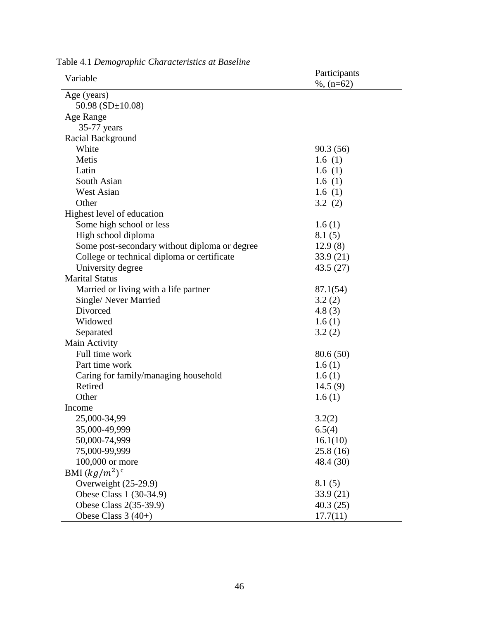| Variable                                      | Participants  |  |  |
|-----------------------------------------------|---------------|--|--|
|                                               | $\%$ , (n=62) |  |  |
| Age (years)                                   |               |  |  |
| 50.98 ( $SD \pm 10.08$ )                      |               |  |  |
| Age Range                                     |               |  |  |
| 35-77 years                                   |               |  |  |
| Racial Background                             |               |  |  |
| White                                         | 90.3(56)      |  |  |
| Metis                                         | 1.6 $(1)$     |  |  |
| Latin                                         | 1.6 $(1)$     |  |  |
| South Asian                                   | 1.6 $(1)$     |  |  |
| West Asian                                    | 1.6 $(1)$     |  |  |
| Other                                         | 3.2(2)        |  |  |
| Highest level of education                    |               |  |  |
| Some high school or less                      | 1.6(1)        |  |  |
| High school diploma                           | 8.1(5)        |  |  |
| Some post-secondary without diploma or degree | 12.9(8)       |  |  |
| College or technical diploma or certificate   | 33.9 (21)     |  |  |
| University degree                             | 43.5(27)      |  |  |
| <b>Marital Status</b>                         |               |  |  |
| Married or living with a life partner         | 87.1(54)      |  |  |
| Single/Never Married                          | 3.2(2)        |  |  |
| Divorced                                      | 4.8(3)        |  |  |
| Widowed                                       | 1.6(1)        |  |  |
| Separated                                     | 3.2(2)        |  |  |
| Main Activity                                 |               |  |  |
| Full time work                                | 80.6(50)      |  |  |
| Part time work                                | 1.6(1)        |  |  |
| Caring for family/managing household          | 1.6(1)        |  |  |
| Retired                                       | 14.5(9)       |  |  |
| Other                                         | 1.6(1)        |  |  |
| Income                                        |               |  |  |
| 25,000-34,99                                  | 3.2(2)        |  |  |
| 35,000-49,999                                 | 6.5(4)        |  |  |
| 50,000-74,999                                 | 16.1(10)      |  |  |
| 75,000-99,999                                 | 25.8(16)      |  |  |
| 100,000 or more                               | 48.4 (30)     |  |  |
| BMI $(kg/m^2)$ <sup>c</sup>                   |               |  |  |
| Overweight (25-29.9)                          | 8.1(5)        |  |  |
| Obese Class 1 (30-34.9)                       | 33.9(21)      |  |  |
| Obese Class 2(35-39.9)                        | 40.3(25)      |  |  |
| Obese Class $3(40+)$                          | 17.7(11)      |  |  |

Table 4.1 *Demographic Characteristics at Baseline*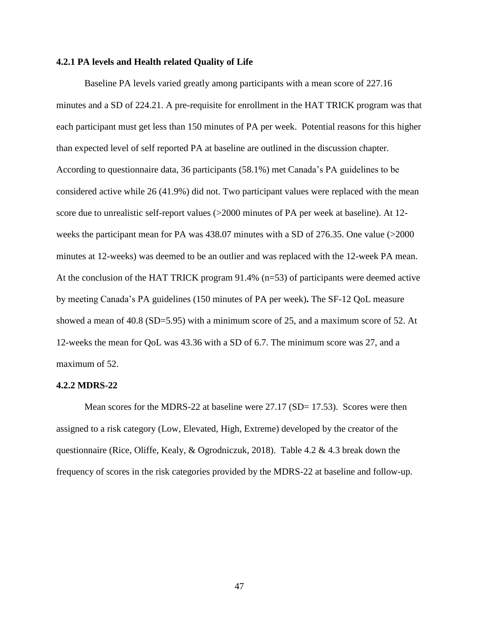## **4.2.1 PA levels and Health related Quality of Life**

 Baseline PA levels varied greatly among participants with a mean score of 227.16 minutes and a SD of 224.21. A pre-requisite for enrollment in the HAT TRICK program was that each participant must get less than 150 minutes of PA per week. Potential reasons for this higher than expected level of self reported PA at baseline are outlined in the discussion chapter. According to questionnaire data, 36 participants (58.1%) met Canada's PA guidelines to be considered active while 26 (41.9%) did not. Two participant values were replaced with the mean score due to unrealistic self-report values (>2000 minutes of PA per week at baseline). At 12 weeks the participant mean for PA was 438.07 minutes with a SD of 276.35. One value (>2000 minutes at 12-weeks) was deemed to be an outlier and was replaced with the 12-week PA mean. At the conclusion of the HAT TRICK program 91.4% (n=53) of participants were deemed active by meeting Canada's PA guidelines (150 minutes of PA per week)**.** The SF-12 QoL measure showed a mean of 40.8 (SD=5.95) with a minimum score of 25, and a maximum score of 52. At 12-weeks the mean for QoL was 43.36 with a SD of 6.7. The minimum score was 27, and a maximum of 52.

#### **4.2.2 MDRS-22**

Mean scores for the MDRS-22 at baseline were 27.17 (SD= 17.53). Scores were then assigned to a risk category (Low, Elevated, High, Extreme) developed by the creator of the questionnaire (Rice, Oliffe, Kealy, & Ogrodniczuk, 2018). Table 4.2 & 4.3 break down the frequency of scores in the risk categories provided by the MDRS-22 at baseline and follow-up.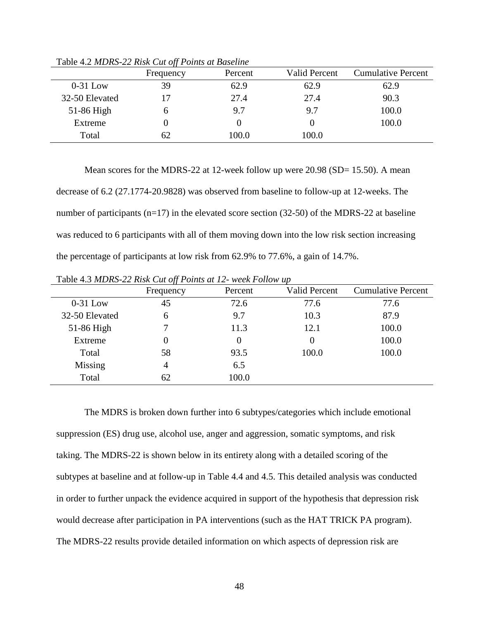|                | Frequency | Percent | Valid Percent | <b>Cumulative Percent</b> |
|----------------|-----------|---------|---------------|---------------------------|
| $0-31$ Low     | 39        | 62.9    | 62.9          | 62.9                      |
| 32-50 Elevated |           | 27.4    | 27.4          | 90.3                      |
| $51-86$ High   |           | 9.7     | 9.7           | 100.0                     |
| Extreme        |           |         |               | 100.0                     |
| Total          | 62        | 100.0   | 100.0         |                           |

Table 4.2 *MDRS-22 Risk Cut off Points at Baseline*

Mean scores for the MDRS-22 at 12-week follow up were 20.98 (SD= 15.50). A mean decrease of 6.2 (27.1774-20.9828) was observed from baseline to follow-up at 12-weeks. The number of participants (n=17) in the elevated score section (32-50) of the MDRS-22 at baseline was reduced to 6 participants with all of them moving down into the low risk section increasing the percentage of participants at low risk from 62.9% to 77.6%, a gain of 14.7%.

|                | $\cdot$<br>Frequency | Percent  | <b>Valid Percent</b> | <b>Cumulative Percent</b> |
|----------------|----------------------|----------|----------------------|---------------------------|
| $0-31$ Low     | 45                   | 72.6     | 77.6                 | 77.6                      |
| 32-50 Elevated | 6                    | 9.7      | 10.3                 | 87.9                      |
| 51-86 High     | 7                    | 11.3     | 12.1                 | 100.0                     |
| Extreme        | 0                    | $\Omega$ |                      | 100.0                     |
| Total          | 58                   | 93.5     | 100.0                | 100.0                     |
| Missing        | 4                    | 6.5      |                      |                           |
| Total          | 62                   | 100.0    |                      |                           |

Table 4.3 *MDRS-22 Risk Cut off Points at 12- week Follow up*

The MDRS is broken down further into 6 subtypes/categories which include emotional suppression (ES) drug use, alcohol use, anger and aggression, somatic symptoms, and risk taking. The MDRS-22 is shown below in its entirety along with a detailed scoring of the subtypes at baseline and at follow-up in Table 4.4 and 4.5. This detailed analysis was conducted in order to further unpack the evidence acquired in support of the hypothesis that depression risk would decrease after participation in PA interventions (such as the HAT TRICK PA program). The MDRS-22 results provide detailed information on which aspects of depression risk are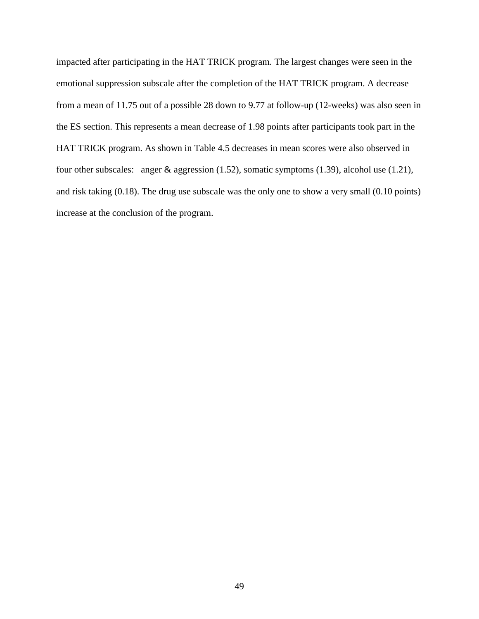impacted after participating in the HAT TRICK program. The largest changes were seen in the emotional suppression subscale after the completion of the HAT TRICK program. A decrease from a mean of 11.75 out of a possible 28 down to 9.77 at follow-up (12-weeks) was also seen in the ES section. This represents a mean decrease of 1.98 points after participants took part in the HAT TRICK program. As shown in Table 4.5 decreases in mean scores were also observed in four other subscales: anger & aggression (1.52), somatic symptoms (1.39), alcohol use (1.21), and risk taking (0.18). The drug use subscale was the only one to show a very small (0.10 points) increase at the conclusion of the program.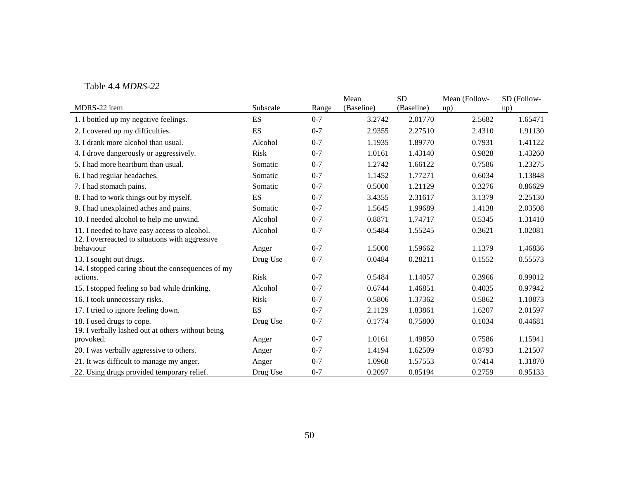Table 4.4 *MDRS-22*

|                                                   |             |         | Mean       | <b>SD</b>  | Mean (Follow- | SD (Follow- |
|---------------------------------------------------|-------------|---------|------------|------------|---------------|-------------|
| MDRS-22 item                                      | Subscale    | Range   | (Baseline) | (Baseline) | up)           | up)         |
| 1. I bottled up my negative feelings.             | ES          | $0 - 7$ | 3.2742     | 2.01770    | 2.5682        | 1.65471     |
| 2. I covered up my difficulties.                  | ES          | $0 - 7$ | 2.9355     | 2.27510    | 2.4310        | 1.91130     |
| 3. I drank more alcohol than usual.               | Alcohol     | $0 - 7$ | 1.1935     | 1.89770    | 0.7931        | 1.41122     |
| 4. I drove dangerously or aggressively.           | Risk        | $0 - 7$ | 1.0161     | 1.43140    | 0.9828        | 1.43260     |
| 5. I had more heartburn than usual.               | Somatic     | $0 - 7$ | 1.2742     | 1.66122    | 0.7586        | 1.23275     |
| 6. I had regular headaches.                       | Somatic     | $0 - 7$ | 1.1452     | 1.77271    | 0.6034        | 1.13848     |
| 7. I had stomach pains.                           | Somatic     | $0 - 7$ | 0.5000     | 1.21129    | 0.3276        | 0.86629     |
| 8. I had to work things out by myself.            | <b>ES</b>   | $0 - 7$ | 3.4355     | 2.31617    | 3.1379        | 2.25130     |
| 9. I had unexplained aches and pains.             | Somatic     | $0 - 7$ | 1.5645     | 1.99689    | 1.4138        | 2.03508     |
| 10. I needed alcohol to help me unwind.           | Alcohol     | $0 - 7$ | 0.8871     | 1.74717    | 0.5345        | 1.31410     |
| 11. I needed to have easy access to alcohol.      | Alcohol     | $0 - 7$ | 0.5484     | 1.55245    | 0.3621        | 1.02081     |
| 12. I overreacted to situations with aggressive   |             |         |            |            |               |             |
| behaviour                                         | Anger       | $0 - 7$ | 1.5000     | 1.59662    | 1.1379        | 1.46836     |
| 13. I sought out drugs.                           | Drug Use    | $0 - 7$ | 0.0484     | 0.28211    | 0.1552        | 0.55573     |
| 14. I stopped caring about the consequences of my |             |         |            |            |               |             |
| actions.                                          | Risk        | $0 - 7$ | 0.5484     | 1.14057    | 0.3966        | 0.99012     |
| 15. I stopped feeling so bad while drinking.      | Alcohol     | $0 - 7$ | 0.6744     | 1.46851    | 0.4035        | 0.97942     |
| 16. I took unnecessary risks.                     | <b>Risk</b> | $0 - 7$ | 0.5806     | 1.37362    | 0.5862        | 1.10873     |
| 17. I tried to ignore feeling down.               | ES          | $0 - 7$ | 2.1129     | 1.83861    | 1.6207        | 2.01597     |
| 18. I used drugs to cope.                         | Drug Use    | $0 - 7$ | 0.1774     | 0.75800    | 0.1034        | 0.44681     |
| 19. I verbally lashed out at others without being |             |         |            |            |               |             |
| provoked.                                         | Anger       | $0 - 7$ | 1.0161     | 1.49850    | 0.7586        | 1.15941     |
| 20. I was verbally aggressive to others.          | Anger       | $0 - 7$ | 1.4194     | 1.62509    | 0.8793        | 1.21507     |
| 21. It was difficult to manage my anger.          | Anger       | $0 - 7$ | 1.0968     | 1.57553    | 0.7414        | 1.31870     |
| 22. Using drugs provided temporary relief.        | Drug Use    | $0 - 7$ | 0.2097     | 0.85194    | 0.2759        | 0.95133     |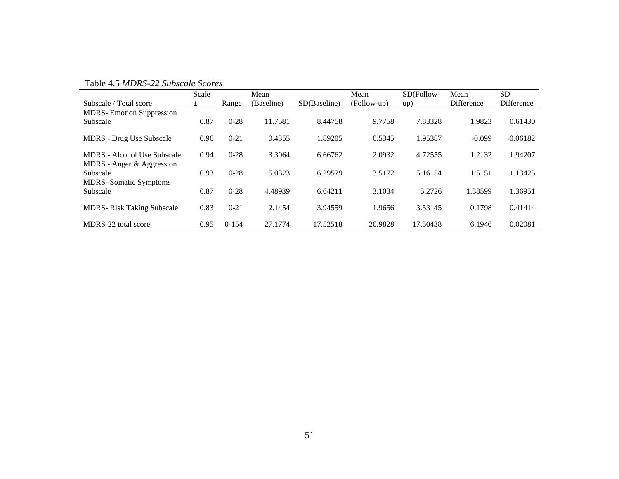| Taone i <i>io mpind 22 dhoscai</i> c dcorca |       |          |              |              |             |            |            |            |
|---------------------------------------------|-------|----------|--------------|--------------|-------------|------------|------------|------------|
|                                             | Scale |          | Mean<br>Mean |              |             | SD(Follow- | Mean       | <b>SD</b>  |
| Subscale / Total score                      | 土     | Range    | (Baseline)   | SD(Baseline) | (Follow-up) | up)        | Difference | Difference |
| <b>MDRS-Emotion Suppression</b>             |       |          |              |              |             |            |            |            |
| Subscale                                    | 0.87  | $0 - 28$ | 11.7581      | 8.44758      | 9.7758      | 7.83328    | 1.9823     | 0.61430    |
|                                             |       |          |              |              |             |            |            |            |
| <b>MDRS</b> - Drug Use Subscale             | 0.96  | $0 - 21$ | 0.4355       | 1.89205      | 0.5345      | 1.95387    | $-0.099$   | $-0.06182$ |
| <b>MDRS</b> - Alcohol Use Subscale          | 0.94  | $0-28$   | 3.3064       | 6.66762      | 2.0932      | 4.72555    | 1.2132     | 1.94207    |
| MDRS - Anger & Aggression                   |       |          |              |              |             |            |            |            |
| Subscale                                    | 0.93  | $0 - 28$ | 5.0323       | 6.29579      | 3.5172      | 5.16154    | 1.5151     | 1.13425    |
| <b>MDRS-Somatic Symptoms</b>                |       |          |              |              |             |            |            |            |
| Subscale                                    | 0.87  | $0 - 28$ | 4.48939      | 6.64211      | 3.1034      | 5.2726     | 1.38599    | 1.36951    |
|                                             |       |          |              |              |             |            |            |            |
| <b>MDRS-Risk Taking Subscale</b>            | 0.83  | $0 - 21$ | 2.1454       | 3.94559      | 1.9656      | 3.53145    | 0.1798     | 0.41414    |
|                                             |       |          |              |              |             |            |            |            |
| MDRS-22 total score                         | 0.95  | $0-154$  | 27.1774      | 17.52518     | 20.9828     | 17.50438   | 6.1946     | 0.02081    |

Table 4.5 *MDRS-22 Subscale Scores*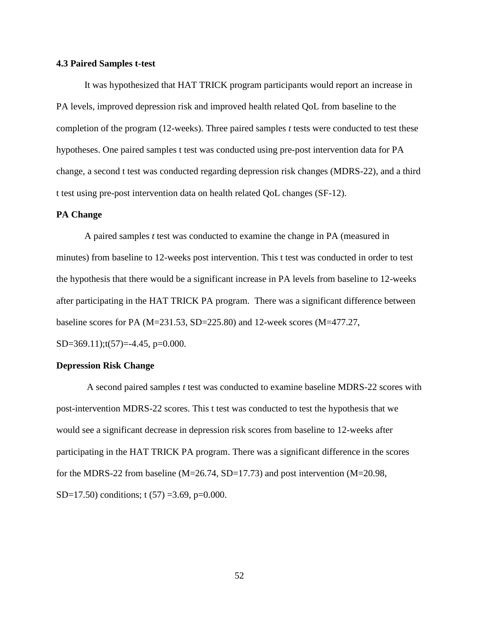## **4.3 Paired Samples t-test**

It was hypothesized that HAT TRICK program participants would report an increase in PA levels, improved depression risk and improved health related QoL from baseline to the completion of the program (12-weeks). Three paired samples *t* tests were conducted to test these hypotheses. One paired samples t test was conducted using pre-post intervention data for PA change, a second t test was conducted regarding depression risk changes (MDRS-22), and a third t test using pre-post intervention data on health related QoL changes (SF-12).

# **PA Change**

A paired samples *t* test was conducted to examine the change in PA (measured in minutes) from baseline to 12-weeks post intervention. This t test was conducted in order to test the hypothesis that there would be a significant increase in PA levels from baseline to 12-weeks after participating in the HAT TRICK PA program. There was a significant difference between baseline scores for PA (M=231.53, SD=225.80) and 12-week scores (M=477.27,

 $SD=369.11$ ;t(57)=-4.45, p=0.000.

# **Depression Risk Change**

A second paired samples *t* test was conducted to examine baseline MDRS-22 scores with post-intervention MDRS-22 scores. This t test was conducted to test the hypothesis that we would see a significant decrease in depression risk scores from baseline to 12-weeks after participating in the HAT TRICK PA program. There was a significant difference in the scores for the MDRS-22 from baseline  $(M=26.74, SD=17.73)$  and post intervention  $(M=20.98,$ SD=17.50) conditions; t  $(57)$  =3.69, p=0.000.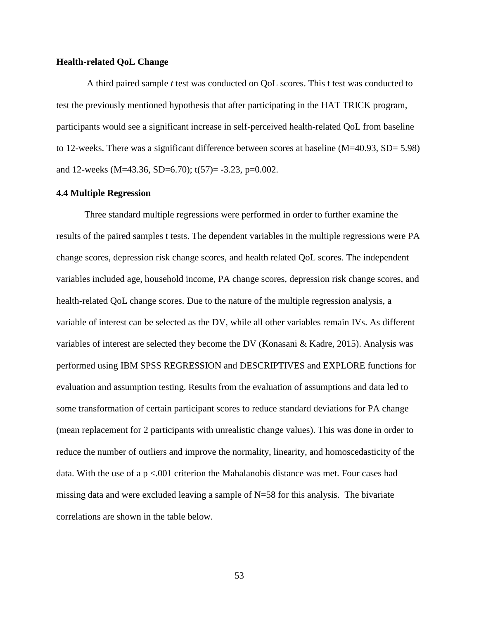#### **Health-related QoL Change**

A third paired sample *t* test was conducted on QoL scores. This t test was conducted to test the previously mentioned hypothesis that after participating in the HAT TRICK program, participants would see a significant increase in self-perceived health-related QoL from baseline to 12-weeks. There was a significant difference between scores at baseline (M=40.93, SD= 5.98) and 12-weeks (M=43.36, SD=6.70);  $t(57)$ = -3.23, p=0.002.

### **4.4 Multiple Regression**

Three standard multiple regressions were performed in order to further examine the results of the paired samples t tests. The dependent variables in the multiple regressions were PA change scores, depression risk change scores, and health related QoL scores. The independent variables included age, household income, PA change scores, depression risk change scores, and health-related QoL change scores. Due to the nature of the multiple regression analysis, a variable of interest can be selected as the DV, while all other variables remain IVs. As different variables of interest are selected they become the DV (Konasani & Kadre, 2015). Analysis was performed using IBM SPSS REGRESSION and DESCRIPTIVES and EXPLORE functions for evaluation and assumption testing. Results from the evaluation of assumptions and data led to some transformation of certain participant scores to reduce standard deviations for PA change (mean replacement for 2 participants with unrealistic change values). This was done in order to reduce the number of outliers and improve the normality, linearity, and homoscedasticity of the data. With the use of a  $p \le 0.001$  criterion the Mahalanobis distance was met. Four cases had missing data and were excluded leaving a sample of N=58 for this analysis. The bivariate correlations are shown in the table below.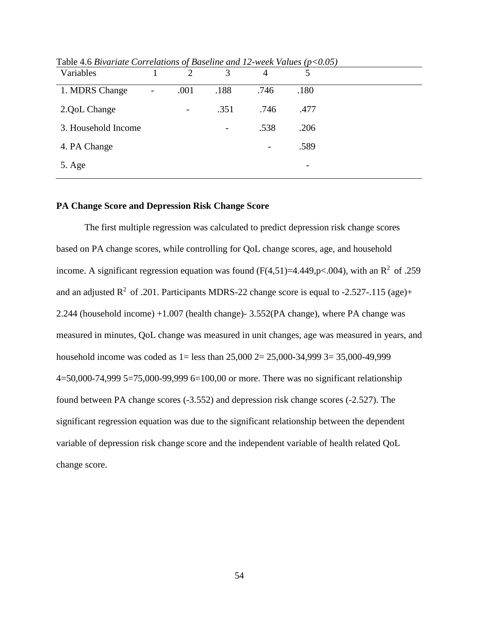| Variables           | $\mathcal{D}_{\mathcal{L}}$ | 3                        | 4              |                          |  |
|---------------------|-----------------------------|--------------------------|----------------|--------------------------|--|
| 1. MDRS Change      | .001                        | .188                     | .746           | .180                     |  |
| 2.QoL Change        | -                           | .351                     | .746           | .477                     |  |
| 3. Household Income |                             | $\overline{\phantom{a}}$ | .538           | .206                     |  |
| 4. PA Change        |                             |                          | $\overline{a}$ | .589                     |  |
| 5. Age              |                             |                          |                | $\overline{\phantom{a}}$ |  |

Table 4.6 *Bivariate Correlations of Baseline and 12-week Values (p<0.05)*

# **PA Change Score and Depression Risk Change Score**

The first multiple regression was calculated to predict depression risk change scores based on PA change scores, while controlling for QoL change scores, age, and household income. A significant regression equation was found  $(F(4,51)=4.449, p<.004)$ , with an  $\mathbb{R}^2$  of .259 and an adjusted  $R^2$  of .201. Participants MDRS-22 change score is equal to -2.527-.115 (age)+ 2.244 (household income) +1.007 (health change)- 3.552(PA change), where PA change was measured in minutes, QoL change was measured in unit changes, age was measured in years, and household income was coded as 1= less than 25,000 2= 25,000-34,999 3= 35,000-49,999 4=50,000-74,999 5=75,000-99,999 6=100,00 or more. There was no significant relationship found between PA change scores (-3.552) and depression risk change scores (-2.527). The significant regression equation was due to the significant relationship between the dependent variable of depression risk change score and the independent variable of health related QoL change score.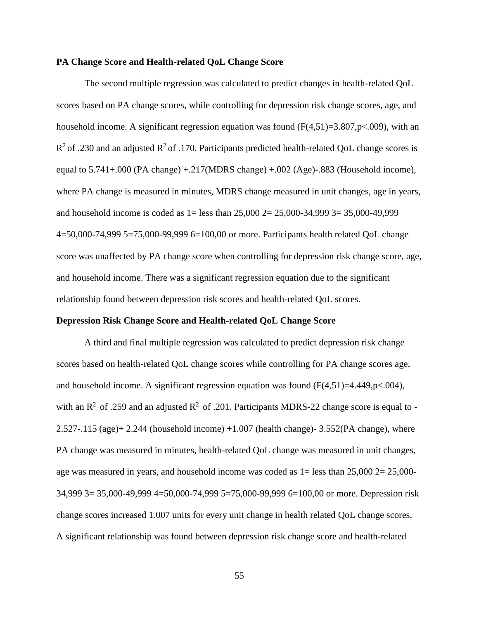### **PA Change Score and Health-related QoL Change Score**

The second multiple regression was calculated to predict changes in health-related QoL scores based on PA change scores, while controlling for depression risk change scores, age, and household income. A significant regression equation was found  $(F(4,51)=3.807, p<.009)$ , with an  $R<sup>2</sup>$  of .230 and an adjusted  $R<sup>2</sup>$  of .170. Participants predicted health-related QoL change scores is equal to  $5.741+0.00$  (PA change)  $+.217(MDRS \text{ change}) +.002$  (Age) $-.883$  (Household income), where PA change is measured in minutes, MDRS change measured in unit changes, age in years, and household income is coded as  $1 =$  less than  $25,000 \, 2 = 25,000 \, 34,999 \, 3 = 35,000 \, 49,999$ 4=50,000-74,999 5=75,000-99,999 6=100,00 or more. Participants health related QoL change score was unaffected by PA change score when controlling for depression risk change score, age, and household income. There was a significant regression equation due to the significant relationship found between depression risk scores and health-related QoL scores.

### **Depression Risk Change Score and Health-related QoL Change Score**

A third and final multiple regression was calculated to predict depression risk change scores based on health-related QoL change scores while controlling for PA change scores age, and household income. A significant regression equation was found  $(F(4,51)=4.449, p<.004)$ , with an  $R^2$  of .259 and an adjusted  $R^2$  of .201. Participants MDRS-22 change score is equal to -2.527-.115 (age)+ 2.244 (household income) +1.007 (health change)- 3.552(PA change), where PA change was measured in minutes, health-related QoL change was measured in unit changes, age was measured in years, and household income was coded as  $1 =$  less than  $25,000 = 25,000$ -34,999 3= 35,000-49,999 4=50,000-74,999 5=75,000-99,999 6=100,00 or more. Depression risk change scores increased 1.007 units for every unit change in health related QoL change scores. A significant relationship was found between depression risk change score and health-related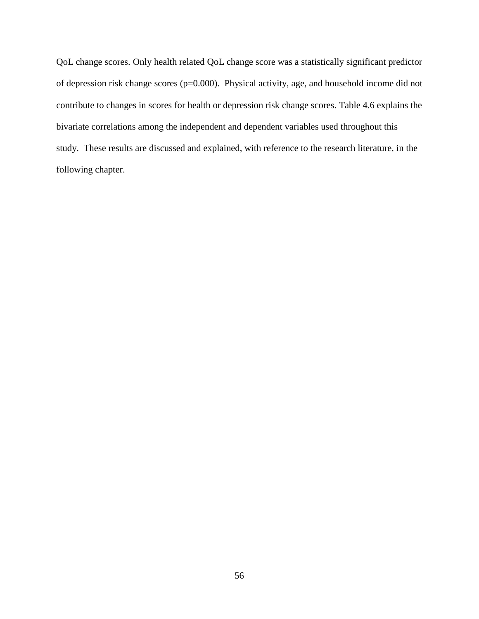QoL change scores. Only health related QoL change score was a statistically significant predictor of depression risk change scores (p=0.000). Physical activity, age, and household income did not contribute to changes in scores for health or depression risk change scores. Table 4.6 explains the bivariate correlations among the independent and dependent variables used throughout this study. These results are discussed and explained, with reference to the research literature, in the following chapter.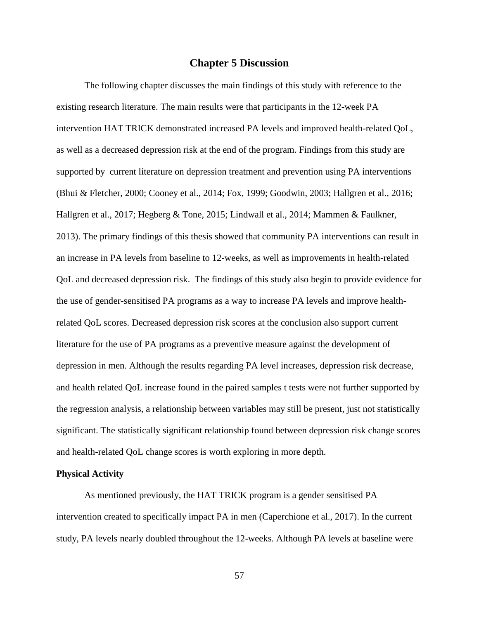# **Chapter 5 Discussion**

The following chapter discusses the main findings of this study with reference to the existing research literature. The main results were that participants in the 12-week PA intervention HAT TRICK demonstrated increased PA levels and improved health-related QoL, as well as a decreased depression risk at the end of the program. Findings from this study are supported by current literature on depression treatment and prevention using PA interventions (Bhui & Fletcher, 2000; Cooney et al., 2014; Fox, 1999; Goodwin, 2003; Hallgren et al., 2016; Hallgren et al., 2017; Hegberg & Tone, 2015; Lindwall et al., 2014; Mammen & Faulkner, 2013). The primary findings of this thesis showed that community PA interventions can result in an increase in PA levels from baseline to 12-weeks, as well as improvements in health-related QoL and decreased depression risk. The findings of this study also begin to provide evidence for the use of gender-sensitised PA programs as a way to increase PA levels and improve healthrelated QoL scores. Decreased depression risk scores at the conclusion also support current literature for the use of PA programs as a preventive measure against the development of depression in men. Although the results regarding PA level increases, depression risk decrease, and health related QoL increase found in the paired samples t tests were not further supported by the regression analysis, a relationship between variables may still be present, just not statistically significant. The statistically significant relationship found between depression risk change scores and health-related QoL change scores is worth exploring in more depth.

#### **Physical Activity**

As mentioned previously, the HAT TRICK program is a gender sensitised PA intervention created to specifically impact PA in men (Caperchione et al., 2017). In the current study, PA levels nearly doubled throughout the 12-weeks. Although PA levels at baseline were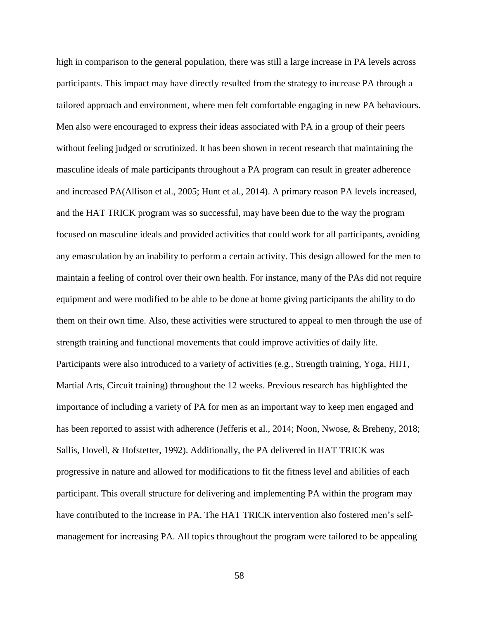high in comparison to the general population, there was still a large increase in PA levels across participants. This impact may have directly resulted from the strategy to increase PA through a tailored approach and environment, where men felt comfortable engaging in new PA behaviours. Men also were encouraged to express their ideas associated with PA in a group of their peers without feeling judged or scrutinized. It has been shown in recent research that maintaining the masculine ideals of male participants throughout a PA program can result in greater adherence and increased PA(Allison et al., 2005; Hunt et al., 2014). A primary reason PA levels increased, and the HAT TRICK program was so successful, may have been due to the way the program focused on masculine ideals and provided activities that could work for all participants, avoiding any emasculation by an inability to perform a certain activity. This design allowed for the men to maintain a feeling of control over their own health. For instance, many of the PAs did not require equipment and were modified to be able to be done at home giving participants the ability to do them on their own time. Also, these activities were structured to appeal to men through the use of strength training and functional movements that could improve activities of daily life. Participants were also introduced to a variety of activities (e.g., Strength training, Yoga, HIIT, Martial Arts, Circuit training) throughout the 12 weeks. Previous research has highlighted the importance of including a variety of PA for men as an important way to keep men engaged and has been reported to assist with adherence (Jefferis et al., 2014; Noon, Nwose, & Breheny, 2018; Sallis, Hovell, & Hofstetter, 1992). Additionally, the PA delivered in HAT TRICK was progressive in nature and allowed for modifications to fit the fitness level and abilities of each participant. This overall structure for delivering and implementing PA within the program may have contributed to the increase in PA. The HAT TRICK intervention also fostered men's selfmanagement for increasing PA. All topics throughout the program were tailored to be appealing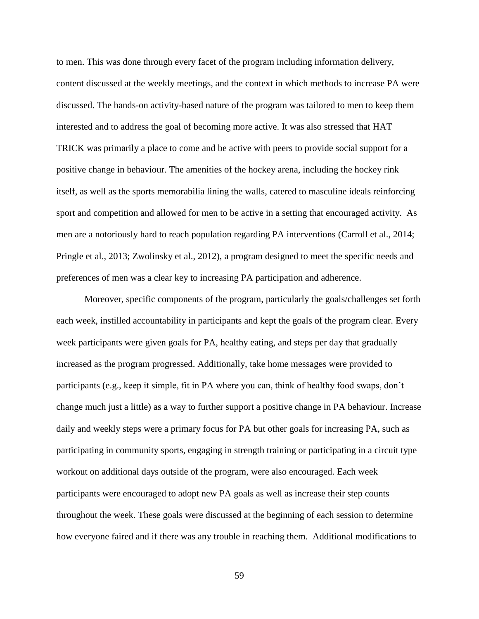to men. This was done through every facet of the program including information delivery, content discussed at the weekly meetings, and the context in which methods to increase PA were discussed. The hands-on activity-based nature of the program was tailored to men to keep them interested and to address the goal of becoming more active. It was also stressed that HAT TRICK was primarily a place to come and be active with peers to provide social support for a positive change in behaviour. The amenities of the hockey arena, including the hockey rink itself, as well as the sports memorabilia lining the walls, catered to masculine ideals reinforcing sport and competition and allowed for men to be active in a setting that encouraged activity. As men are a notoriously hard to reach population regarding PA interventions (Carroll et al., 2014; Pringle et al., 2013; Zwolinsky et al., 2012), a program designed to meet the specific needs and preferences of men was a clear key to increasing PA participation and adherence.

Moreover, specific components of the program, particularly the goals/challenges set forth each week, instilled accountability in participants and kept the goals of the program clear. Every week participants were given goals for PA, healthy eating, and steps per day that gradually increased as the program progressed. Additionally, take home messages were provided to participants (e.g., keep it simple, fit in PA where you can, think of healthy food swaps, don't change much just a little) as a way to further support a positive change in PA behaviour. Increase daily and weekly steps were a primary focus for PA but other goals for increasing PA, such as participating in community sports, engaging in strength training or participating in a circuit type workout on additional days outside of the program, were also encouraged. Each week participants were encouraged to adopt new PA goals as well as increase their step counts throughout the week. These goals were discussed at the beginning of each session to determine how everyone faired and if there was any trouble in reaching them. Additional modifications to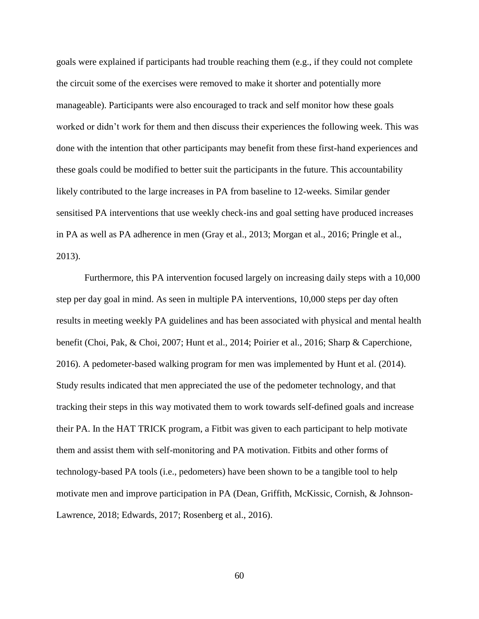goals were explained if participants had trouble reaching them (e.g., if they could not complete the circuit some of the exercises were removed to make it shorter and potentially more manageable). Participants were also encouraged to track and self monitor how these goals worked or didn't work for them and then discuss their experiences the following week. This was done with the intention that other participants may benefit from these first-hand experiences and these goals could be modified to better suit the participants in the future. This accountability likely contributed to the large increases in PA from baseline to 12-weeks. Similar gender sensitised PA interventions that use weekly check-ins and goal setting have produced increases in PA as well as PA adherence in men (Gray et al., 2013; Morgan et al., 2016; Pringle et al., 2013).

Furthermore, this PA intervention focused largely on increasing daily steps with a 10,000 step per day goal in mind. As seen in multiple PA interventions, 10,000 steps per day often results in meeting weekly PA guidelines and has been associated with physical and mental health benefit (Choi, Pak, & Choi, 2007; Hunt et al., 2014; Poirier et al., 2016; Sharp & Caperchione, 2016). A pedometer-based walking program for men was implemented by Hunt et al. (2014). Study results indicated that men appreciated the use of the pedometer technology, and that tracking their steps in this way motivated them to work towards self-defined goals and increase their PA. In the HAT TRICK program, a Fitbit was given to each participant to help motivate them and assist them with self-monitoring and PA motivation. Fitbits and other forms of technology-based PA tools (i.e., pedometers) have been shown to be a tangible tool to help motivate men and improve participation in PA (Dean, Griffith, McKissic, Cornish, & Johnson-Lawrence, 2018; Edwards, 2017; Rosenberg et al., 2016).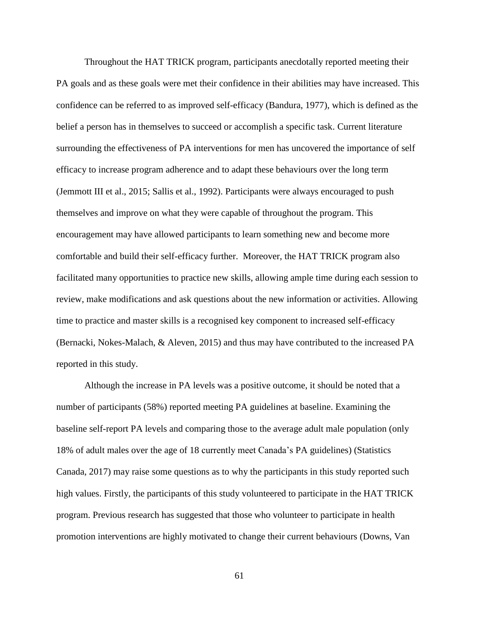Throughout the HAT TRICK program, participants anecdotally reported meeting their PA goals and as these goals were met their confidence in their abilities may have increased. This confidence can be referred to as improved self-efficacy (Bandura, 1977), which is defined as the belief a person has in themselves to succeed or accomplish a specific task. Current literature surrounding the effectiveness of PA interventions for men has uncovered the importance of self efficacy to increase program adherence and to adapt these behaviours over the long term (Jemmott III et al., 2015; Sallis et al., 1992). Participants were always encouraged to push themselves and improve on what they were capable of throughout the program. This encouragement may have allowed participants to learn something new and become more comfortable and build their self-efficacy further. Moreover, the HAT TRICK program also facilitated many opportunities to practice new skills, allowing ample time during each session to review, make modifications and ask questions about the new information or activities. Allowing time to practice and master skills is a recognised key component to increased self-efficacy (Bernacki, Nokes-Malach, & Aleven, 2015) and thus may have contributed to the increased PA reported in this study.

Although the increase in PA levels was a positive outcome, it should be noted that a number of participants (58%) reported meeting PA guidelines at baseline. Examining the baseline self-report PA levels and comparing those to the average adult male population (only 18% of adult males over the age of 18 currently meet Canada's PA guidelines) (Statistics Canada, 2017) may raise some questions as to why the participants in this study reported such high values. Firstly, the participants of this study volunteered to participate in the HAT TRICK program. Previous research has suggested that those who volunteer to participate in health promotion interventions are highly motivated to change their current behaviours (Downs, Van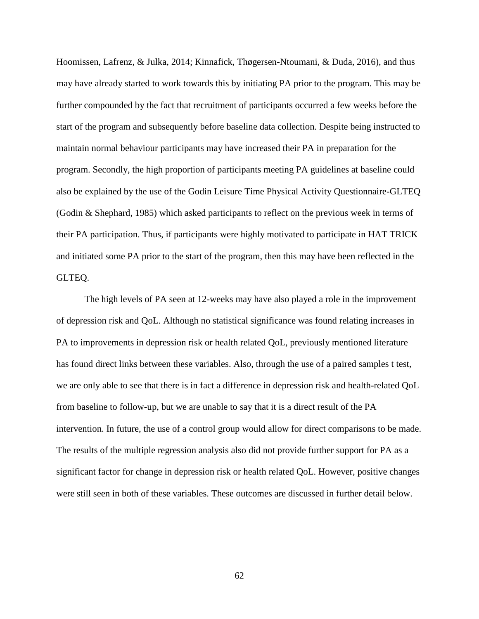Hoomissen, Lafrenz, & Julka, 2014; Kinnafick, Thøgersen-Ntoumani, & Duda, 2016), and thus may have already started to work towards this by initiating PA prior to the program. This may be further compounded by the fact that recruitment of participants occurred a few weeks before the start of the program and subsequently before baseline data collection. Despite being instructed to maintain normal behaviour participants may have increased their PA in preparation for the program. Secondly, the high proportion of participants meeting PA guidelines at baseline could also be explained by the use of the Godin Leisure Time Physical Activity Questionnaire-GLTEQ (Godin & Shephard, 1985) which asked participants to reflect on the previous week in terms of their PA participation. Thus, if participants were highly motivated to participate in HAT TRICK and initiated some PA prior to the start of the program, then this may have been reflected in the GLTEQ.

The high levels of PA seen at 12-weeks may have also played a role in the improvement of depression risk and QoL. Although no statistical significance was found relating increases in PA to improvements in depression risk or health related QoL, previously mentioned literature has found direct links between these variables. Also, through the use of a paired samples t test, we are only able to see that there is in fact a difference in depression risk and health-related QoL from baseline to follow-up, but we are unable to say that it is a direct result of the PA intervention. In future, the use of a control group would allow for direct comparisons to be made. The results of the multiple regression analysis also did not provide further support for PA as a significant factor for change in depression risk or health related QoL. However, positive changes were still seen in both of these variables. These outcomes are discussed in further detail below.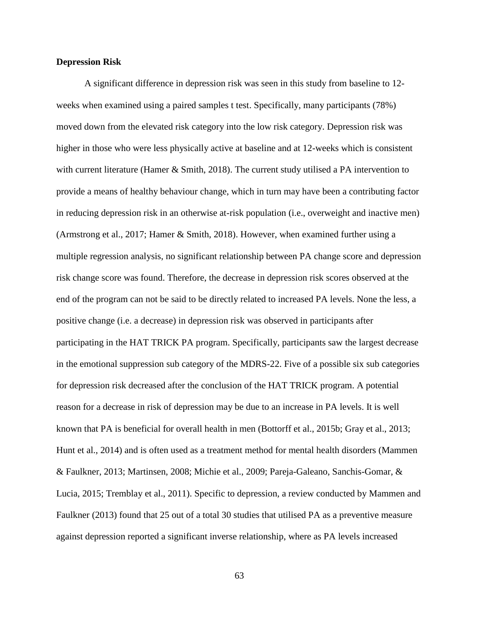# **Depression Risk**

A significant difference in depression risk was seen in this study from baseline to 12 weeks when examined using a paired samples t test. Specifically, many participants (78%) moved down from the elevated risk category into the low risk category. Depression risk was higher in those who were less physically active at baseline and at 12-weeks which is consistent with current literature (Hamer & Smith, 2018). The current study utilised a PA intervention to provide a means of healthy behaviour change, which in turn may have been a contributing factor in reducing depression risk in an otherwise at-risk population (i.e., overweight and inactive men) (Armstrong et al., 2017; Hamer & Smith, 2018). However, when examined further using a multiple regression analysis, no significant relationship between PA change score and depression risk change score was found. Therefore, the decrease in depression risk scores observed at the end of the program can not be said to be directly related to increased PA levels. None the less, a positive change (i.e. a decrease) in depression risk was observed in participants after participating in the HAT TRICK PA program. Specifically, participants saw the largest decrease in the emotional suppression sub category of the MDRS-22. Five of a possible six sub categories for depression risk decreased after the conclusion of the HAT TRICK program. A potential reason for a decrease in risk of depression may be due to an increase in PA levels. It is well known that PA is beneficial for overall health in men (Bottorff et al., 2015b; Gray et al., 2013; Hunt et al., 2014) and is often used as a treatment method for mental health disorders (Mammen & Faulkner, 2013; Martinsen, 2008; Michie et al., 2009; Pareja-Galeano, Sanchis-Gomar, & Lucia, 2015; Tremblay et al., 2011). Specific to depression, a review conducted by Mammen and Faulkner (2013) found that 25 out of a total 30 studies that utilised PA as a preventive measure against depression reported a significant inverse relationship, where as PA levels increased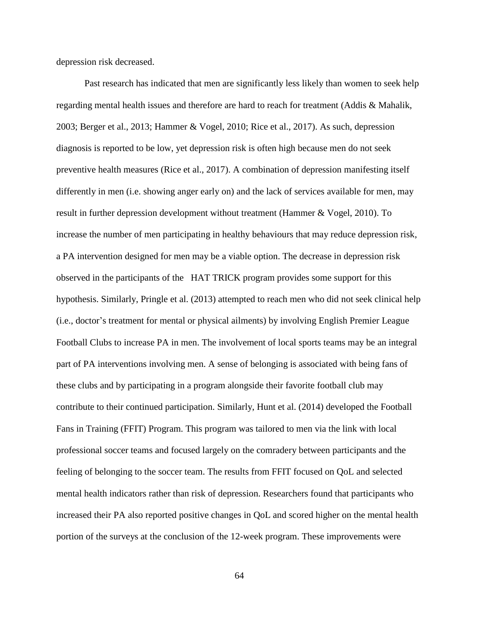depression risk decreased.

Past research has indicated that men are significantly less likely than women to seek help regarding mental health issues and therefore are hard to reach for treatment (Addis & Mahalik, 2003; Berger et al., 2013; Hammer & Vogel, 2010; Rice et al., 2017). As such, depression diagnosis is reported to be low, yet depression risk is often high because men do not seek preventive health measures (Rice et al., 2017). A combination of depression manifesting itself differently in men (i.e. showing anger early on) and the lack of services available for men, may result in further depression development without treatment (Hammer & Vogel, 2010). To increase the number of men participating in healthy behaviours that may reduce depression risk, a PA intervention designed for men may be a viable option. The decrease in depression risk observed in the participants of the HAT TRICK program provides some support for this hypothesis. Similarly, Pringle et al. (2013) attempted to reach men who did not seek clinical help (i.e., doctor's treatment for mental or physical ailments) by involving English Premier League Football Clubs to increase PA in men. The involvement of local sports teams may be an integral part of PA interventions involving men. A sense of belonging is associated with being fans of these clubs and by participating in a program alongside their favorite football club may contribute to their continued participation. Similarly, Hunt et al. (2014) developed the Football Fans in Training (FFIT) Program. This program was tailored to men via the link with local professional soccer teams and focused largely on the comradery between participants and the feeling of belonging to the soccer team. The results from FFIT focused on QoL and selected mental health indicators rather than risk of depression. Researchers found that participants who increased their PA also reported positive changes in QoL and scored higher on the mental health portion of the surveys at the conclusion of the 12-week program. These improvements were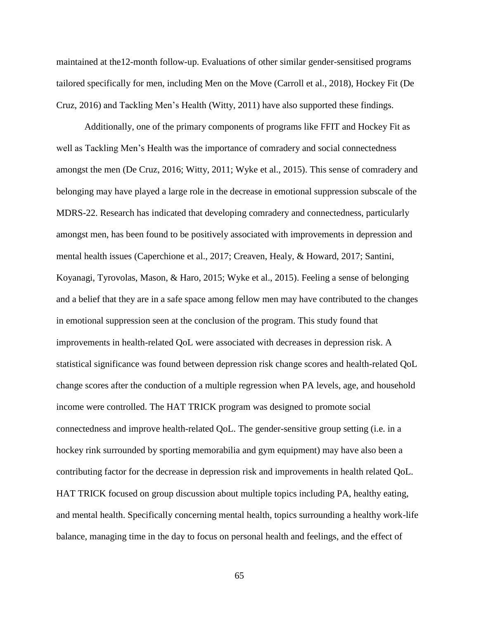maintained at the12-month follow-up. Evaluations of other similar gender-sensitised programs tailored specifically for men, including Men on the Move (Carroll et al., 2018), Hockey Fit (De Cruz, 2016) and Tackling Men's Health (Witty, 2011) have also supported these findings.

Additionally, one of the primary components of programs like FFIT and Hockey Fit as well as Tackling Men's Health was the importance of comradery and social connectedness amongst the men (De Cruz, 2016; Witty, 2011; Wyke et al., 2015). This sense of comradery and belonging may have played a large role in the decrease in emotional suppression subscale of the MDRS-22. Research has indicated that developing comradery and connectedness, particularly amongst men, has been found to be positively associated with improvements in depression and mental health issues (Caperchione et al., 2017; Creaven, Healy, & Howard, 2017; Santini, Koyanagi, Tyrovolas, Mason, & Haro, 2015; Wyke et al., 2015). Feeling a sense of belonging and a belief that they are in a safe space among fellow men may have contributed to the changes in emotional suppression seen at the conclusion of the program. This study found that improvements in health-related QoL were associated with decreases in depression risk. A statistical significance was found between depression risk change scores and health-related QoL change scores after the conduction of a multiple regression when PA levels, age, and household income were controlled. The HAT TRICK program was designed to promote social connectedness and improve health-related QoL. The gender-sensitive group setting (i.e. in a hockey rink surrounded by sporting memorabilia and gym equipment) may have also been a contributing factor for the decrease in depression risk and improvements in health related QoL. HAT TRICK focused on group discussion about multiple topics including PA, healthy eating, and mental health. Specifically concerning mental health, topics surrounding a healthy work-life balance, managing time in the day to focus on personal health and feelings, and the effect of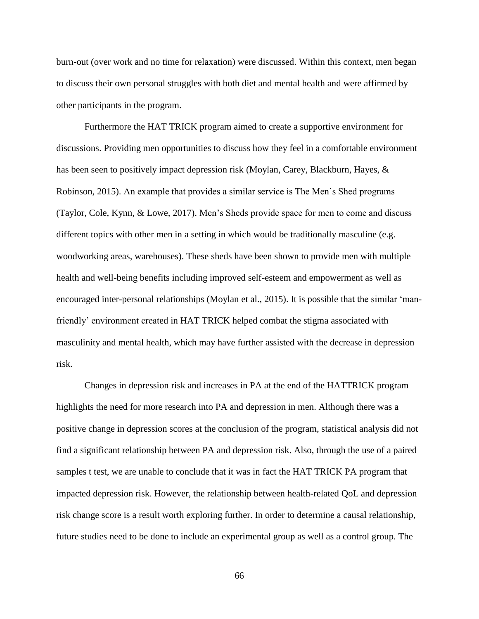burn-out (over work and no time for relaxation) were discussed. Within this context, men began to discuss their own personal struggles with both diet and mental health and were affirmed by other participants in the program.

Furthermore the HAT TRICK program aimed to create a supportive environment for discussions. Providing men opportunities to discuss how they feel in a comfortable environment has been seen to positively impact depression risk (Moylan, Carey, Blackburn, Hayes, & Robinson, 2015). An example that provides a similar service is The Men's Shed programs (Taylor, Cole, Kynn, & Lowe, 2017). Men's Sheds provide space for men to come and discuss different topics with other men in a setting in which would be traditionally masculine (e.g. woodworking areas, warehouses). These sheds have been shown to provide men with multiple health and well-being benefits including improved self-esteem and empowerment as well as encouraged inter-personal relationships (Moylan et al., 2015). It is possible that the similar 'manfriendly' environment created in HAT TRICK helped combat the stigma associated with masculinity and mental health, which may have further assisted with the decrease in depression risk.

Changes in depression risk and increases in PA at the end of the HATTRICK program highlights the need for more research into PA and depression in men. Although there was a positive change in depression scores at the conclusion of the program, statistical analysis did not find a significant relationship between PA and depression risk. Also, through the use of a paired samples t test, we are unable to conclude that it was in fact the HAT TRICK PA program that impacted depression risk. However, the relationship between health-related QoL and depression risk change score is a result worth exploring further. In order to determine a causal relationship, future studies need to be done to include an experimental group as well as a control group. The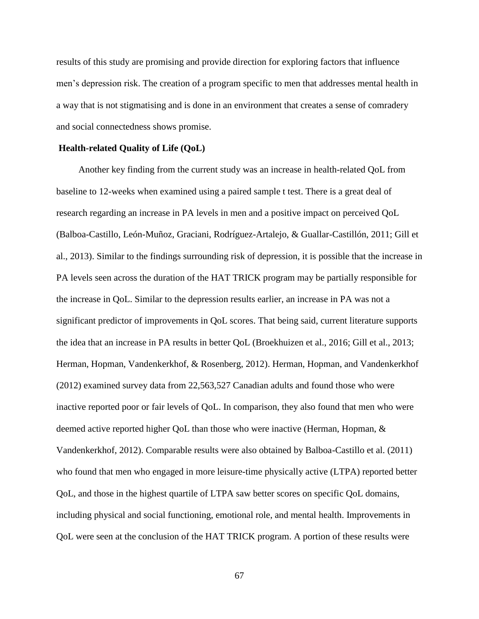results of this study are promising and provide direction for exploring factors that influence men's depression risk. The creation of a program specific to men that addresses mental health in a way that is not stigmatising and is done in an environment that creates a sense of comradery and social connectedness shows promise.

#### **Health-related Quality of Life (QoL)**

Another key finding from the current study was an increase in health-related QoL from baseline to 12-weeks when examined using a paired sample t test. There is a great deal of research regarding an increase in PA levels in men and a positive impact on perceived QoL (Balboa-Castillo, León-Muñoz, Graciani, Rodríguez-Artalejo, & Guallar-Castillón, 2011; Gill et al., 2013). Similar to the findings surrounding risk of depression, it is possible that the increase in PA levels seen across the duration of the HAT TRICK program may be partially responsible for the increase in QoL. Similar to the depression results earlier, an increase in PA was not a significant predictor of improvements in QoL scores. That being said, current literature supports the idea that an increase in PA results in better QoL (Broekhuizen et al., 2016; Gill et al., 2013; Herman, Hopman, Vandenkerkhof, & Rosenberg, 2012). Herman, Hopman, and Vandenkerkhof (2012) examined survey data from 22,563,527 Canadian adults and found those who were inactive reported poor or fair levels of QoL. In comparison, they also found that men who were deemed active reported higher QoL than those who were inactive (Herman, Hopman, & Vandenkerkhof, 2012). Comparable results were also obtained by Balboa-Castillo et al. (2011) who found that men who engaged in more leisure-time physically active (LTPA) reported better QoL, and those in the highest quartile of LTPA saw better scores on specific QoL domains, including physical and social functioning, emotional role, and mental health. Improvements in QoL were seen at the conclusion of the HAT TRICK program. A portion of these results were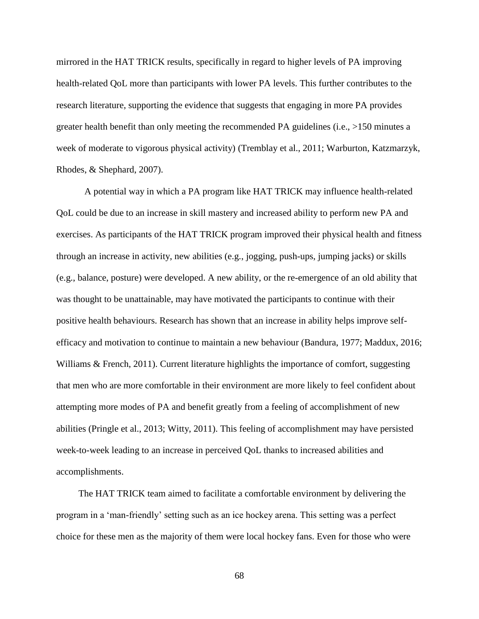mirrored in the HAT TRICK results, specifically in regard to higher levels of PA improving health-related QoL more than participants with lower PA levels. This further contributes to the research literature, supporting the evidence that suggests that engaging in more PA provides greater health benefit than only meeting the recommended PA guidelines (i.e., >150 minutes a week of moderate to vigorous physical activity) (Tremblay et al., 2011; Warburton, Katzmarzyk, Rhodes, & Shephard, 2007).

A potential way in which a PA program like HAT TRICK may influence health-related QoL could be due to an increase in skill mastery and increased ability to perform new PA and exercises. As participants of the HAT TRICK program improved their physical health and fitness through an increase in activity, new abilities (e.g., jogging, push-ups, jumping jacks) or skills (e.g., balance, posture) were developed. A new ability, or the re-emergence of an old ability that was thought to be unattainable, may have motivated the participants to continue with their positive health behaviours. Research has shown that an increase in ability helps improve selfefficacy and motivation to continue to maintain a new behaviour (Bandura, 1977; Maddux, 2016; Williams & French, 2011). Current literature highlights the importance of comfort, suggesting that men who are more comfortable in their environment are more likely to feel confident about attempting more modes of PA and benefit greatly from a feeling of accomplishment of new abilities (Pringle et al., 2013; Witty, 2011). This feeling of accomplishment may have persisted week-to-week leading to an increase in perceived QoL thanks to increased abilities and accomplishments.

The HAT TRICK team aimed to facilitate a comfortable environment by delivering the program in a 'man-friendly' setting such as an ice hockey arena. This setting was a perfect choice for these men as the majority of them were local hockey fans. Even for those who were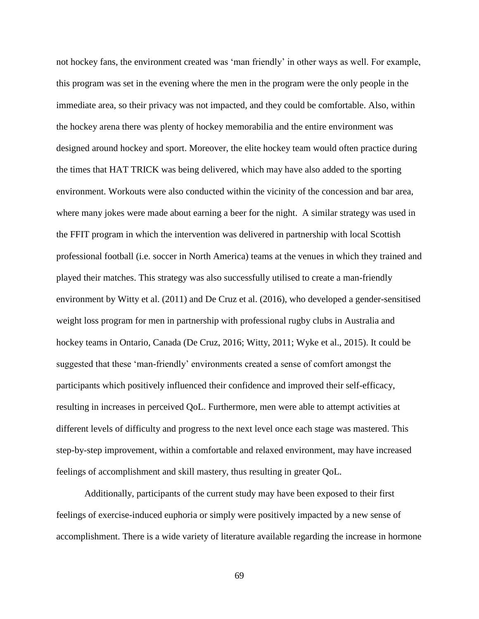not hockey fans, the environment created was 'man friendly' in other ways as well. For example, this program was set in the evening where the men in the program were the only people in the immediate area, so their privacy was not impacted, and they could be comfortable. Also, within the hockey arena there was plenty of hockey memorabilia and the entire environment was designed around hockey and sport. Moreover, the elite hockey team would often practice during the times that HAT TRICK was being delivered, which may have also added to the sporting environment. Workouts were also conducted within the vicinity of the concession and bar area, where many jokes were made about earning a beer for the night. A similar strategy was used in the FFIT program in which the intervention was delivered in partnership with local Scottish professional football (i.e. soccer in North America) teams at the venues in which they trained and played their matches. This strategy was also successfully utilised to create a man-friendly environment by Witty et al. (2011) and De Cruz et al. (2016), who developed a gender-sensitised weight loss program for men in partnership with professional rugby clubs in Australia and hockey teams in Ontario, Canada (De Cruz, 2016; Witty, 2011; Wyke et al., 2015). It could be suggested that these 'man-friendly' environments created a sense of comfort amongst the participants which positively influenced their confidence and improved their self-efficacy, resulting in increases in perceived QoL. Furthermore, men were able to attempt activities at different levels of difficulty and progress to the next level once each stage was mastered. This step-by-step improvement, within a comfortable and relaxed environment, may have increased feelings of accomplishment and skill mastery, thus resulting in greater QoL.

Additionally, participants of the current study may have been exposed to their first feelings of exercise-induced euphoria or simply were positively impacted by a new sense of accomplishment. There is a wide variety of literature available regarding the increase in hormone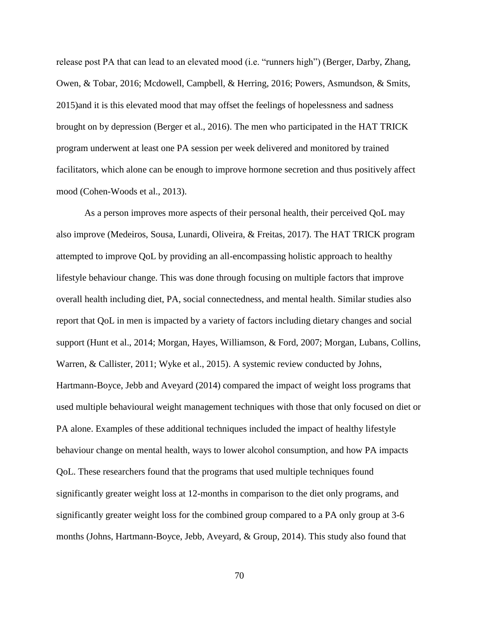release post PA that can lead to an elevated mood (i.e. "runners high") (Berger, Darby, Zhang, Owen, & Tobar, 2016; Mcdowell, Campbell, & Herring, 2016; Powers, Asmundson, & Smits, 2015)and it is this elevated mood that may offset the feelings of hopelessness and sadness brought on by depression (Berger et al., 2016). The men who participated in the HAT TRICK program underwent at least one PA session per week delivered and monitored by trained facilitators, which alone can be enough to improve hormone secretion and thus positively affect mood (Cohen-Woods et al., 2013).

As a person improves more aspects of their personal health, their perceived QoL may also improve (Medeiros, Sousa, Lunardi, Oliveira, & Freitas, 2017). The HAT TRICK program attempted to improve QoL by providing an all-encompassing holistic approach to healthy lifestyle behaviour change. This was done through focusing on multiple factors that improve overall health including diet, PA, social connectedness, and mental health. Similar studies also report that QoL in men is impacted by a variety of factors including dietary changes and social support (Hunt et al., 2014; Morgan, Hayes, Williamson, & Ford, 2007; Morgan, Lubans, Collins, Warren, & Callister, 2011; Wyke et al., 2015). A systemic review conducted by Johns, Hartmann-Boyce, Jebb and Aveyard (2014) compared the impact of weight loss programs that used multiple behavioural weight management techniques with those that only focused on diet or PA alone. Examples of these additional techniques included the impact of healthy lifestyle behaviour change on mental health, ways to lower alcohol consumption, and how PA impacts QoL. These researchers found that the programs that used multiple techniques found significantly greater weight loss at 12-months in comparison to the diet only programs, and significantly greater weight loss for the combined group compared to a PA only group at 3-6 months (Johns, Hartmann-Boyce, Jebb, Aveyard, & Group, 2014). This study also found that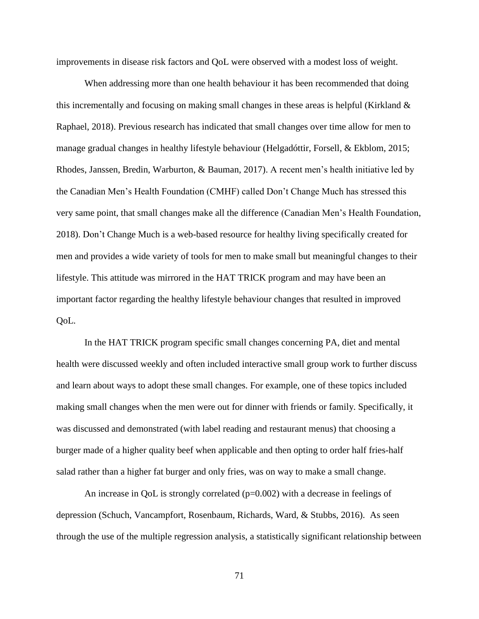improvements in disease risk factors and QoL were observed with a modest loss of weight.

When addressing more than one health behaviour it has been recommended that doing this incrementally and focusing on making small changes in these areas is helpful (Kirkland  $\&$ Raphael, 2018). Previous research has indicated that small changes over time allow for men to manage gradual changes in healthy lifestyle behaviour (Helgadóttir, Forsell, & Ekblom, 2015; Rhodes, Janssen, Bredin, Warburton, & Bauman, 2017). A recent men's health initiative led by the Canadian Men's Health Foundation (CMHF) called Don't Change Much has stressed this very same point, that small changes make all the difference (Canadian Men's Health Foundation, 2018). Don't Change Much is a web-based resource for healthy living specifically created for men and provides a wide variety of tools for men to make small but meaningful changes to their lifestyle. This attitude was mirrored in the HAT TRICK program and may have been an important factor regarding the healthy lifestyle behaviour changes that resulted in improved QoL.

In the HAT TRICK program specific small changes concerning PA, diet and mental health were discussed weekly and often included interactive small group work to further discuss and learn about ways to adopt these small changes. For example, one of these topics included making small changes when the men were out for dinner with friends or family. Specifically, it was discussed and demonstrated (with label reading and restaurant menus) that choosing a burger made of a higher quality beef when applicable and then opting to order half fries-half salad rather than a higher fat burger and only fries, was on way to make a small change.

An increase in QoL is strongly correlated  $(p=0.002)$  with a decrease in feelings of depression (Schuch, Vancampfort, Rosenbaum, Richards, Ward, & Stubbs, 2016). As seen through the use of the multiple regression analysis, a statistically significant relationship between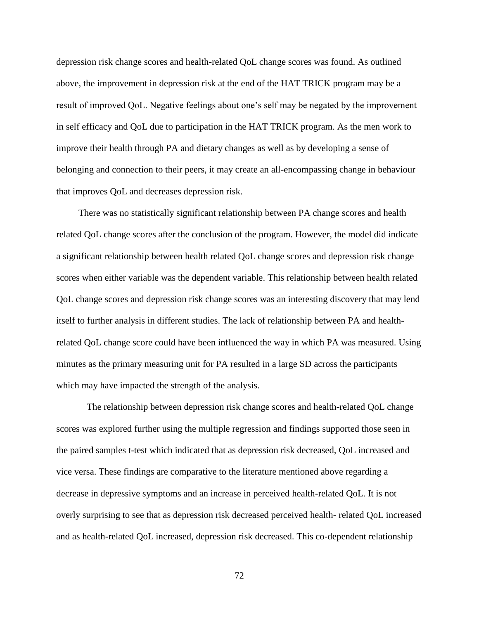depression risk change scores and health-related QoL change scores was found. As outlined above, the improvement in depression risk at the end of the HAT TRICK program may be a result of improved QoL. Negative feelings about one's self may be negated by the improvement in self efficacy and QoL due to participation in the HAT TRICK program. As the men work to improve their health through PA and dietary changes as well as by developing a sense of belonging and connection to their peers, it may create an all-encompassing change in behaviour that improves QoL and decreases depression risk.

There was no statistically significant relationship between PA change scores and health related QoL change scores after the conclusion of the program. However, the model did indicate a significant relationship between health related QoL change scores and depression risk change scores when either variable was the dependent variable. This relationship between health related QoL change scores and depression risk change scores was an interesting discovery that may lend itself to further analysis in different studies. The lack of relationship between PA and healthrelated QoL change score could have been influenced the way in which PA was measured. Using minutes as the primary measuring unit for PA resulted in a large SD across the participants which may have impacted the strength of the analysis.

The relationship between depression risk change scores and health-related QoL change scores was explored further using the multiple regression and findings supported those seen in the paired samples t-test which indicated that as depression risk decreased, QoL increased and vice versa. These findings are comparative to the literature mentioned above regarding a decrease in depressive symptoms and an increase in perceived health-related QoL. It is not overly surprising to see that as depression risk decreased perceived health- related QoL increased and as health-related QoL increased, depression risk decreased. This co-dependent relationship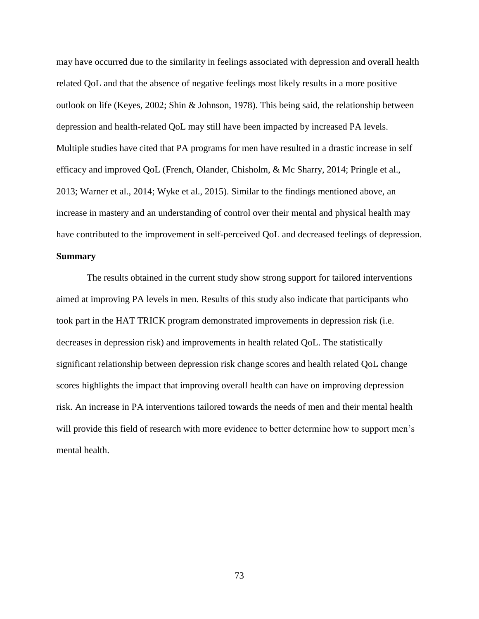may have occurred due to the similarity in feelings associated with depression and overall health related QoL and that the absence of negative feelings most likely results in a more positive outlook on life (Keyes, 2002; Shin & Johnson, 1978). This being said, the relationship between depression and health-related QoL may still have been impacted by increased PA levels. Multiple studies have cited that PA programs for men have resulted in a drastic increase in self efficacy and improved QoL (French, Olander, Chisholm, & Mc Sharry, 2014; Pringle et al., 2013; Warner et al., 2014; Wyke et al., 2015). Similar to the findings mentioned above, an increase in mastery and an understanding of control over their mental and physical health may have contributed to the improvement in self-perceived QoL and decreased feelings of depression.

# **Summary**

The results obtained in the current study show strong support for tailored interventions aimed at improving PA levels in men. Results of this study also indicate that participants who took part in the HAT TRICK program demonstrated improvements in depression risk (i.e. decreases in depression risk) and improvements in health related QoL. The statistically significant relationship between depression risk change scores and health related QoL change scores highlights the impact that improving overall health can have on improving depression risk. An increase in PA interventions tailored towards the needs of men and their mental health will provide this field of research with more evidence to better determine how to support men's mental health.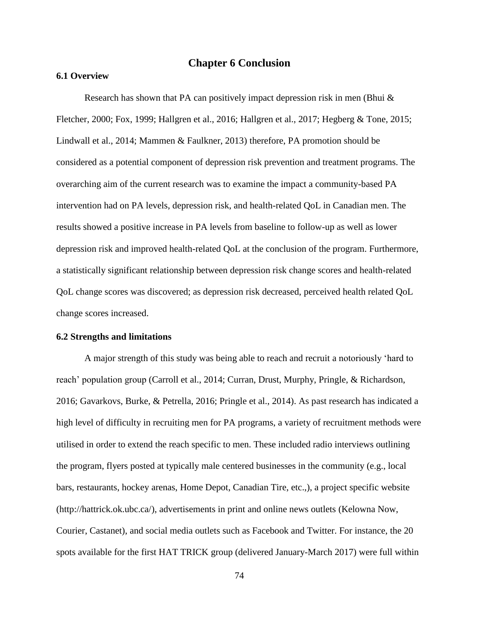# **Chapter 6 Conclusion**

## **6.1 Overview**

Research has shown that PA can positively impact depression risk in men (Bhui & Fletcher, 2000; Fox, 1999; Hallgren et al., 2016; Hallgren et al., 2017; Hegberg & Tone, 2015; Lindwall et al., 2014; Mammen & Faulkner, 2013) therefore, PA promotion should be considered as a potential component of depression risk prevention and treatment programs. The overarching aim of the current research was to examine the impact a community-based PA intervention had on PA levels, depression risk, and health-related QoL in Canadian men. The results showed a positive increase in PA levels from baseline to follow-up as well as lower depression risk and improved health-related QoL at the conclusion of the program. Furthermore, a statistically significant relationship between depression risk change scores and health-related QoL change scores was discovered; as depression risk decreased, perceived health related QoL change scores increased.

### **6.2 Strengths and limitations**

A major strength of this study was being able to reach and recruit a notoriously 'hard to reach' population group (Carroll et al., 2014; Curran, Drust, Murphy, Pringle, & Richardson, 2016; Gavarkovs, Burke, & Petrella, 2016; Pringle et al., 2014). As past research has indicated a high level of difficulty in recruiting men for PA programs, a variety of recruitment methods were utilised in order to extend the reach specific to men. These included radio interviews outlining the program, flyers posted at typically male centered businesses in the community (e.g., local bars, restaurants, hockey arenas, Home Depot, Canadian Tire, etc.,), a project specific website (http://hattrick.ok.ubc.ca/), advertisements in print and online news outlets (Kelowna Now, Courier, Castanet), and social media outlets such as Facebook and Twitter. For instance, the 20 spots available for the first HAT TRICK group (delivered January-March 2017) were full within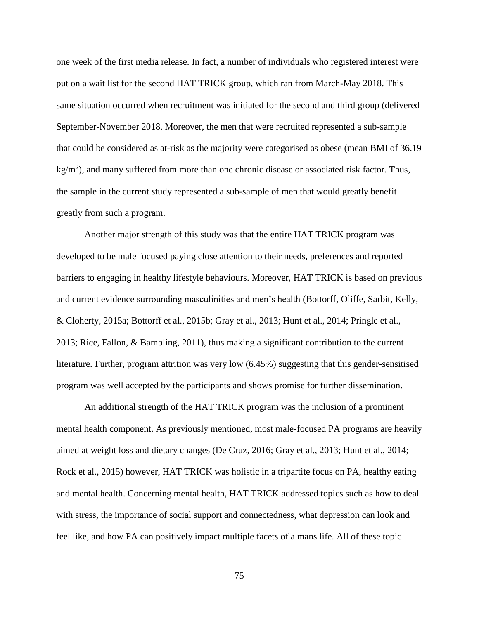one week of the first media release. In fact, a number of individuals who registered interest were put on a wait list for the second HAT TRICK group, which ran from March-May 2018. This same situation occurred when recruitment was initiated for the second and third group (delivered September-November 2018. Moreover, the men that were recruited represented a sub-sample that could be considered as at-risk as the majority were categorised as obese (mean BMI of 36.19  $kg/m<sup>2</sup>$ ), and many suffered from more than one chronic disease or associated risk factor. Thus, the sample in the current study represented a sub-sample of men that would greatly benefit greatly from such a program.

Another major strength of this study was that the entire HAT TRICK program was developed to be male focused paying close attention to their needs, preferences and reported barriers to engaging in healthy lifestyle behaviours. Moreover, HAT TRICK is based on previous and current evidence surrounding masculinities and men's health (Bottorff, Oliffe, Sarbit, Kelly, & Cloherty, 2015a; Bottorff et al., 2015b; Gray et al., 2013; Hunt et al., 2014; Pringle et al., 2013; Rice, Fallon, & Bambling, 2011), thus making a significant contribution to the current literature. Further, program attrition was very low (6.45%) suggesting that this gender-sensitised program was well accepted by the participants and shows promise for further dissemination.

An additional strength of the HAT TRICK program was the inclusion of a prominent mental health component. As previously mentioned, most male-focused PA programs are heavily aimed at weight loss and dietary changes (De Cruz, 2016; Gray et al., 2013; Hunt et al., 2014; Rock et al., 2015) however, HAT TRICK was holistic in a tripartite focus on PA, healthy eating and mental health. Concerning mental health, HAT TRICK addressed topics such as how to deal with stress, the importance of social support and connectedness, what depression can look and feel like, and how PA can positively impact multiple facets of a mans life. All of these topic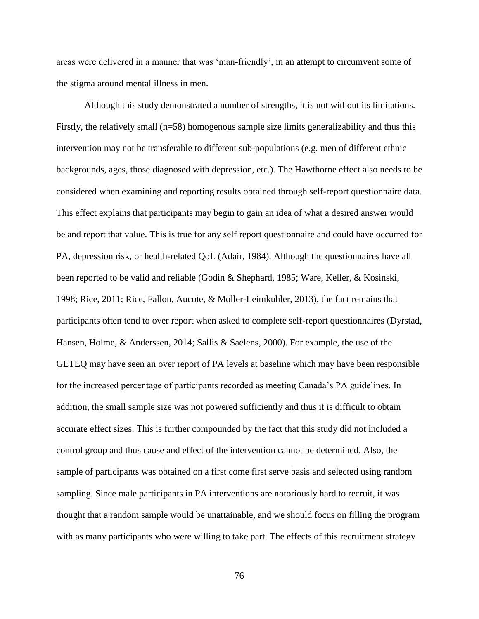areas were delivered in a manner that was 'man-friendly', in an attempt to circumvent some of the stigma around mental illness in men.

Although this study demonstrated a number of strengths, it is not without its limitations. Firstly, the relatively small (n=58) homogenous sample size limits generalizability and thus this intervention may not be transferable to different sub-populations (e.g. men of different ethnic backgrounds, ages, those diagnosed with depression, etc.). The Hawthorne effect also needs to be considered when examining and reporting results obtained through self-report questionnaire data. This effect explains that participants may begin to gain an idea of what a desired answer would be and report that value. This is true for any self report questionnaire and could have occurred for PA, depression risk, or health-related QoL (Adair, 1984). Although the questionnaires have all been reported to be valid and reliable (Godin & Shephard, 1985; Ware, Keller, & Kosinski, 1998; Rice, 2011; Rice, Fallon, Aucote, & Moller-Leimkuhler, 2013), the fact remains that participants often tend to over report when asked to complete self-report questionnaires (Dyrstad, Hansen, Holme, & Anderssen, 2014; Sallis & Saelens, 2000). For example, the use of the GLTEQ may have seen an over report of PA levels at baseline which may have been responsible for the increased percentage of participants recorded as meeting Canada's PA guidelines. In addition, the small sample size was not powered sufficiently and thus it is difficult to obtain accurate effect sizes. This is further compounded by the fact that this study did not included a control group and thus cause and effect of the intervention cannot be determined. Also, the sample of participants was obtained on a first come first serve basis and selected using random sampling. Since male participants in PA interventions are notoriously hard to recruit, it was thought that a random sample would be unattainable, and we should focus on filling the program with as many participants who were willing to take part. The effects of this recruitment strategy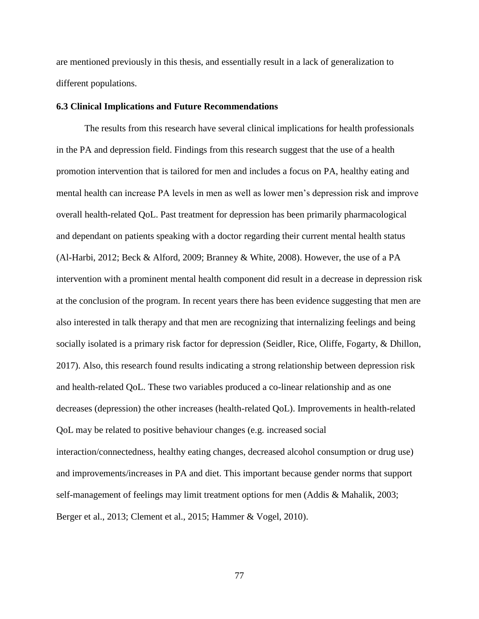are mentioned previously in this thesis, and essentially result in a lack of generalization to different populations.

#### **6.3 Clinical Implications and Future Recommendations**

The results from this research have several clinical implications for health professionals in the PA and depression field. Findings from this research suggest that the use of a health promotion intervention that is tailored for men and includes a focus on PA, healthy eating and mental health can increase PA levels in men as well as lower men's depression risk and improve overall health-related QoL. Past treatment for depression has been primarily pharmacological and dependant on patients speaking with a doctor regarding their current mental health status (Al-Harbi, 2012; Beck & Alford, 2009; Branney & White, 2008). However, the use of a PA intervention with a prominent mental health component did result in a decrease in depression risk at the conclusion of the program. In recent years there has been evidence suggesting that men are also interested in talk therapy and that men are recognizing that internalizing feelings and being socially isolated is a primary risk factor for depression (Seidler, Rice, Oliffe, Fogarty, & Dhillon, 2017). Also, this research found results indicating a strong relationship between depression risk and health-related QoL. These two variables produced a co-linear relationship and as one decreases (depression) the other increases (health-related QoL). Improvements in health-related QoL may be related to positive behaviour changes (e.g. increased social interaction/connectedness, healthy eating changes, decreased alcohol consumption or drug use) and improvements/increases in PA and diet. This important because gender norms that support self-management of feelings may limit treatment options for men (Addis & Mahalik, 2003; Berger et al., 2013; Clement et al., 2015; Hammer & Vogel, 2010).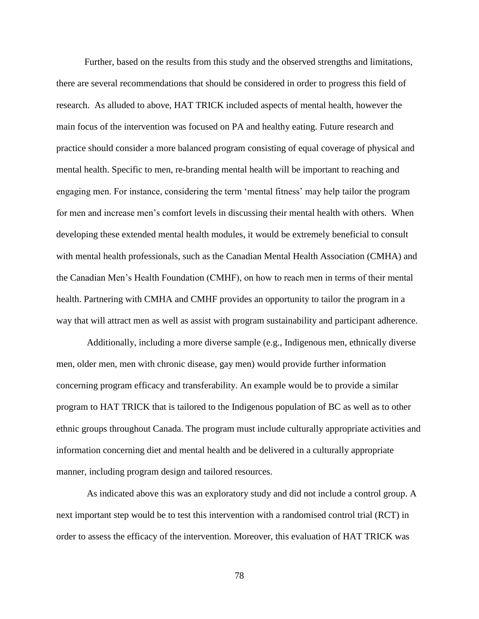Further, based on the results from this study and the observed strengths and limitations, there are several recommendations that should be considered in order to progress this field of research. As alluded to above, HAT TRICK included aspects of mental health, however the main focus of the intervention was focused on PA and healthy eating. Future research and practice should consider a more balanced program consisting of equal coverage of physical and mental health. Specific to men, re-branding mental health will be important to reaching and engaging men. For instance, considering the term 'mental fitness' may help tailor the program for men and increase men's comfort levels in discussing their mental health with others. When developing these extended mental health modules, it would be extremely beneficial to consult with mental health professionals, such as the Canadian Mental Health Association (CMHA) and the Canadian Men's Health Foundation (CMHF), on how to reach men in terms of their mental health. Partnering with CMHA and CMHF provides an opportunity to tailor the program in a way that will attract men as well as assist with program sustainability and participant adherence.

Additionally, including a more diverse sample (e.g., Indigenous men, ethnically diverse men, older men, men with chronic disease, gay men) would provide further information concerning program efficacy and transferability. An example would be to provide a similar program to HAT TRICK that is tailored to the Indigenous population of BC as well as to other ethnic groups throughout Canada. The program must include culturally appropriate activities and information concerning diet and mental health and be delivered in a culturally appropriate manner, including program design and tailored resources.

As indicated above this was an exploratory study and did not include a control group. A next important step would be to test this intervention with a randomised control trial (RCT) in order to assess the efficacy of the intervention. Moreover, this evaluation of HAT TRICK was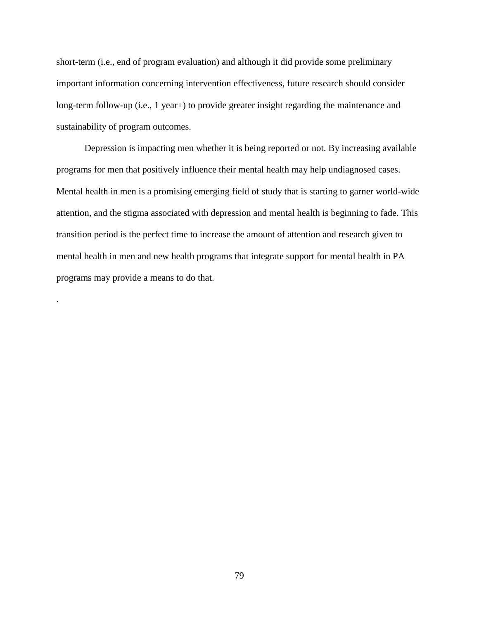short-term (i.e., end of program evaluation) and although it did provide some preliminary important information concerning intervention effectiveness, future research should consider long-term follow-up (i.e., 1 year+) to provide greater insight regarding the maintenance and sustainability of program outcomes.

Depression is impacting men whether it is being reported or not. By increasing available programs for men that positively influence their mental health may help undiagnosed cases. Mental health in men is a promising emerging field of study that is starting to garner world-wide attention, and the stigma associated with depression and mental health is beginning to fade. This transition period is the perfect time to increase the amount of attention and research given to mental health in men and new health programs that integrate support for mental health in PA programs may provide a means to do that.

.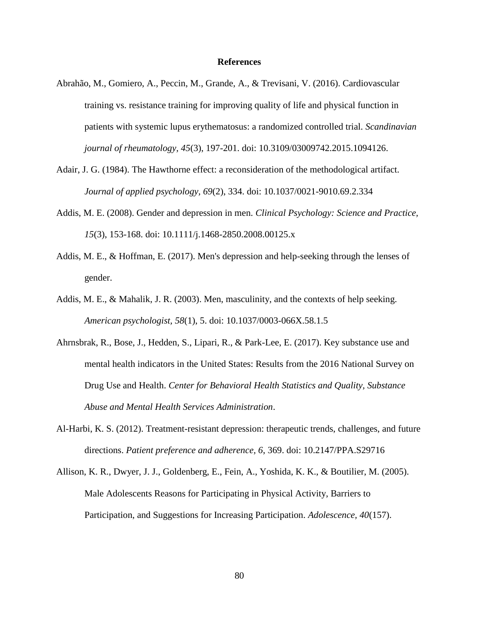### **References**

- Abrahão, M., Gomiero, A., Peccin, M., Grande, A., & Trevisani, V. (2016). Cardiovascular training vs. resistance training for improving quality of life and physical function in patients with systemic lupus erythematosus: a randomized controlled trial. *Scandinavian journal of rheumatology, 45*(3), 197-201. doi: 10.3109/03009742.2015.1094126.
- Adair, J. G. (1984). The Hawthorne effect: a reconsideration of the methodological artifact. *Journal of applied psychology, 69*(2), 334. doi: 10.1037/0021-9010.69.2.334
- Addis, M. E. (2008). Gender and depression in men. *Clinical Psychology: Science and Practice, 15*(3), 153-168. doi: 10.1111/j.1468-2850.2008.00125.x
- Addis, M. E., & Hoffman, E. (2017). Men's depression and help-seeking through the lenses of gender.
- Addis, M. E., & Mahalik, J. R. (2003). Men, masculinity, and the contexts of help seeking. *American psychologist, 58*(1), 5. doi: 10.1037/0003-066X.58.1.5
- Ahrnsbrak, R., Bose, J., Hedden, S., Lipari, R., & Park-Lee, E. (2017). Key substance use and mental health indicators in the United States: Results from the 2016 National Survey on Drug Use and Health. *Center for Behavioral Health Statistics and Quality, Substance Abuse and Mental Health Services Administration*.
- Al-Harbi, K. S. (2012). Treatment-resistant depression: therapeutic trends, challenges, and future directions. *Patient preference and adherence, 6*, 369. doi: 10.2147/PPA.S29716
- Allison, K. R., Dwyer, J. J., Goldenberg, E., Fein, A., Yoshida, K. K., & Boutilier, M. (2005). Male Adolescents Reasons for Participating in Physical Activity, Barriers to Participation, and Suggestions for Increasing Participation. *Adolescence, 40*(157).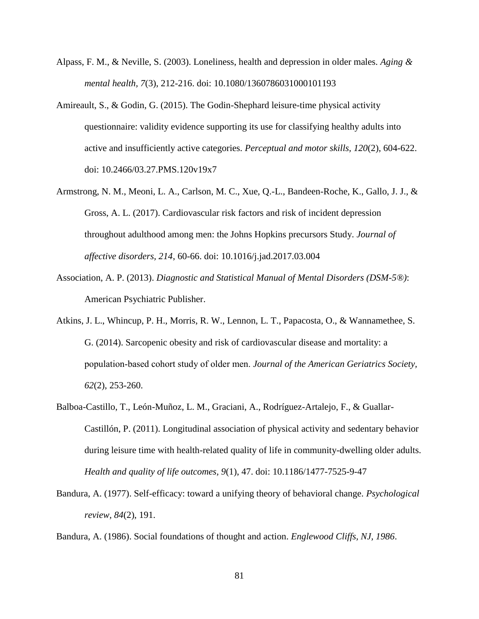- Alpass, F. M., & Neville, S. (2003). Loneliness, health and depression in older males. *Aging & mental health, 7*(3), 212-216. doi: 10.1080/1360786031000101193
- Amireault, S., & Godin, G. (2015). The Godin-Shephard leisure-time physical activity questionnaire: validity evidence supporting its use for classifying healthy adults into active and insufficiently active categories. *Perceptual and motor skills, 120*(2), 604-622. doi: 10.2466/03.27.PMS.120v19x7
- Armstrong, N. M., Meoni, L. A., Carlson, M. C., Xue, Q.-L., Bandeen-Roche, K., Gallo, J. J., & Gross, A. L. (2017). Cardiovascular risk factors and risk of incident depression throughout adulthood among men: the Johns Hopkins precursors Study. *Journal of affective disorders, 214*, 60-66. doi: 10.1016/j.jad.2017.03.004
- Association, A. P. (2013). *Diagnostic and Statistical Manual of Mental Disorders (DSM-5®)*: American Psychiatric Publisher.
- Atkins, J. L., Whincup, P. H., Morris, R. W., Lennon, L. T., Papacosta, O., & Wannamethee, S. G. (2014). Sarcopenic obesity and risk of cardiovascular disease and mortality: a population‐based cohort study of older men. *Journal of the American Geriatrics Society, 62*(2), 253-260.
- Balboa-Castillo, T., León-Muñoz, L. M., Graciani, A., Rodríguez-Artalejo, F., & Guallar-Castillón, P. (2011). Longitudinal association of physical activity and sedentary behavior during leisure time with health-related quality of life in community-dwelling older adults. *Health and quality of life outcomes, 9*(1), 47. doi: 10.1186/1477-7525-9-47
- Bandura, A. (1977). Self-efficacy: toward a unifying theory of behavioral change. *Psychological review, 84*(2), 191.

Bandura, A. (1986). Social foundations of thought and action. *Englewood Cliffs, NJ, 1986*.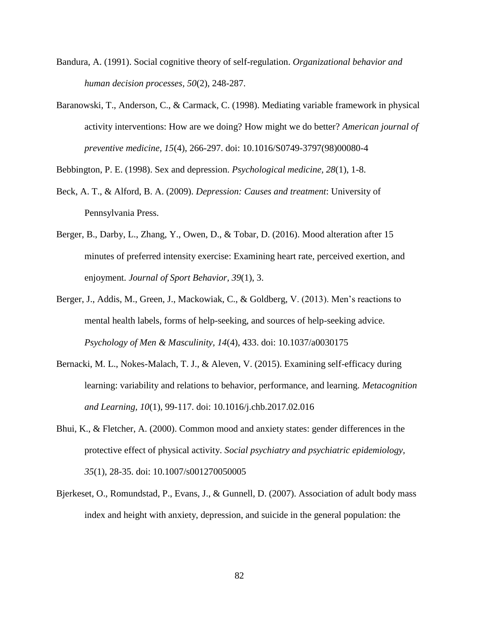- Bandura, A. (1991). Social cognitive theory of self-regulation. *Organizational behavior and human decision processes, 50*(2), 248-287.
- Baranowski, T., Anderson, C., & Carmack, C. (1998). Mediating variable framework in physical activity interventions: How are we doing? How might we do better? *American journal of preventive medicine, 15*(4), 266-297. doi: 10.1016/S0749-3797(98)00080-4

Bebbington, P. E. (1998). Sex and depression. *Psychological medicine, 28*(1), 1-8.

- Beck, A. T., & Alford, B. A. (2009). *Depression: Causes and treatment*: University of Pennsylvania Press.
- Berger, B., Darby, L., Zhang, Y., Owen, D., & Tobar, D. (2016). Mood alteration after 15 minutes of preferred intensity exercise: Examining heart rate, perceived exertion, and enjoyment. *Journal of Sport Behavior, 39*(1), 3.
- Berger, J., Addis, M., Green, J., Mackowiak, C., & Goldberg, V. (2013). Men's reactions to mental health labels, forms of help-seeking, and sources of help-seeking advice. *Psychology of Men & Masculinity, 14*(4), 433. doi: 10.1037/a0030175
- Bernacki, M. L., Nokes-Malach, T. J., & Aleven, V. (2015). Examining self-efficacy during learning: variability and relations to behavior, performance, and learning. *Metacognition and Learning, 10*(1), 99-117. doi: 10.1016/j.chb.2017.02.016
- Bhui, K., & Fletcher, A. (2000). Common mood and anxiety states: gender differences in the protective effect of physical activity. *Social psychiatry and psychiatric epidemiology, 35*(1), 28-35. doi: 10.1007/s001270050005
- Bjerkeset, O., Romundstad, P., Evans, J., & Gunnell, D. (2007). Association of adult body mass index and height with anxiety, depression, and suicide in the general population: the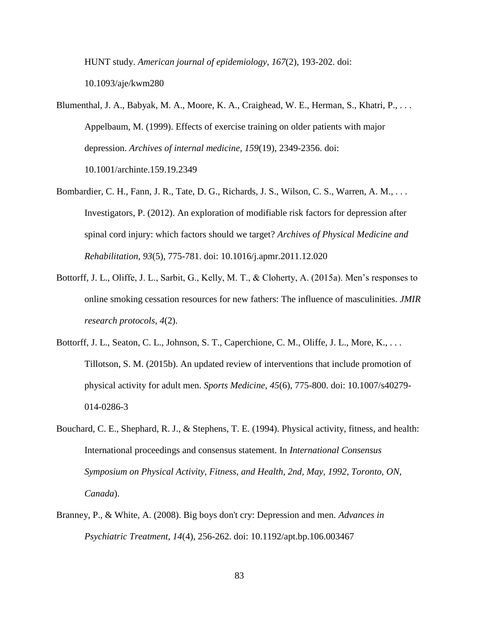HUNT study. *American journal of epidemiology, 167*(2), 193-202. doi: 10.1093/aje/kwm280

- Blumenthal, J. A., Babyak, M. A., Moore, K. A., Craighead, W. E., Herman, S., Khatri, P., . . . Appelbaum, M. (1999). Effects of exercise training on older patients with major depression. *Archives of internal medicine, 159*(19), 2349-2356. doi: 10.1001/archinte.159.19.2349
- Bombardier, C. H., Fann, J. R., Tate, D. G., Richards, J. S., Wilson, C. S., Warren, A. M., . . . Investigators, P. (2012). An exploration of modifiable risk factors for depression after spinal cord injury: which factors should we target? *Archives of Physical Medicine and Rehabilitation, 93*(5), 775-781. doi: 10.1016/j.apmr.2011.12.020
- Bottorff, J. L., Oliffe, J. L., Sarbit, G., Kelly, M. T., & Cloherty, A. (2015a). Men's responses to online smoking cessation resources for new fathers: The influence of masculinities. *JMIR research protocols, 4*(2).
- Bottorff, J. L., Seaton, C. L., Johnson, S. T., Caperchione, C. M., Oliffe, J. L., More, K., ... Tillotson, S. M. (2015b). An updated review of interventions that include promotion of physical activity for adult men. *Sports Medicine, 45*(6), 775-800. doi: 10.1007/s40279- 014-0286-3
- Bouchard, C. E., Shephard, R. J., & Stephens, T. E. (1994). Physical activity, fitness, and health: International proceedings and consensus statement*.* In *International Consensus Symposium on Physical Activity, Fitness, and Health, 2nd, May, 1992, Toronto, ON, Canada*).
- Branney, P., & White, A. (2008). Big boys don't cry: Depression and men. *Advances in Psychiatric Treatment, 14*(4), 256-262. doi: 10.1192/apt.bp.106.003467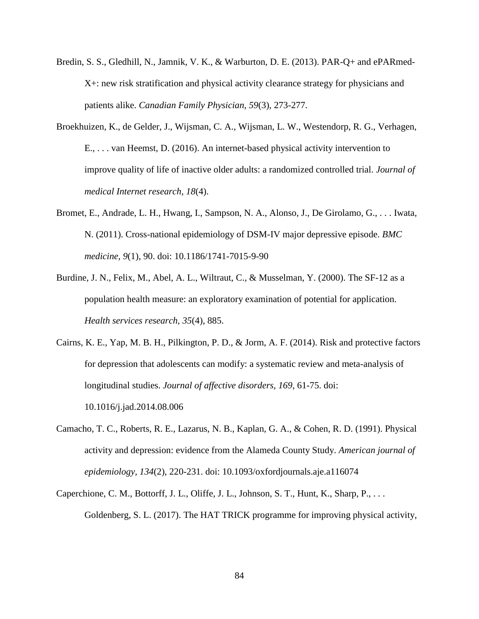- Bredin, S. S., Gledhill, N., Jamnik, V. K., & Warburton, D. E. (2013). PAR-Q+ and ePARmed-X+: new risk stratification and physical activity clearance strategy for physicians and patients alike. *Canadian Family Physician, 59*(3), 273-277.
- Broekhuizen, K., de Gelder, J., Wijsman, C. A., Wijsman, L. W., Westendorp, R. G., Verhagen, E., . . . van Heemst, D. (2016). An internet-based physical activity intervention to improve quality of life of inactive older adults: a randomized controlled trial. *Journal of medical Internet research, 18*(4).
- Bromet, E., Andrade, L. H., Hwang, I., Sampson, N. A., Alonso, J., De Girolamo, G., . . . Iwata, N. (2011). Cross-national epidemiology of DSM-IV major depressive episode. *BMC medicine, 9*(1), 90. doi: 10.1186/1741-7015-9-90
- Burdine, J. N., Felix, M., Abel, A. L., Wiltraut, C., & Musselman, Y. (2000). The SF-12 as a population health measure: an exploratory examination of potential for application. *Health services research, 35*(4), 885.
- Cairns, K. E., Yap, M. B. H., Pilkington, P. D., & Jorm, A. F. (2014). Risk and protective factors for depression that adolescents can modify: a systematic review and meta-analysis of longitudinal studies. *Journal of affective disorders, 169*, 61-75. doi: 10.1016/j.jad.2014.08.006
- Camacho, T. C., Roberts, R. E., Lazarus, N. B., Kaplan, G. A., & Cohen, R. D. (1991). Physical activity and depression: evidence from the Alameda County Study. *American journal of epidemiology, 134*(2), 220-231. doi: 10.1093/oxfordjournals.aje.a116074
- Caperchione, C. M., Bottorff, J. L., Oliffe, J. L., Johnson, S. T., Hunt, K., Sharp, P., . . . Goldenberg, S. L. (2017). The HAT TRICK programme for improving physical activity,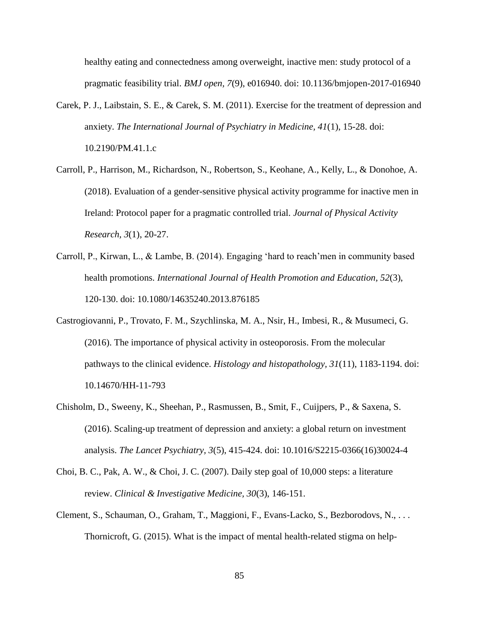healthy eating and connectedness among overweight, inactive men: study protocol of a pragmatic feasibility trial. *BMJ open, 7*(9), e016940. doi: 10.1136/bmjopen-2017-016940

- Carek, P. J., Laibstain, S. E., & Carek, S. M. (2011). Exercise for the treatment of depression and anxiety. *The International Journal of Psychiatry in Medicine, 41*(1), 15-28. doi: 10.2190/PM.41.1.c
- Carroll, P., Harrison, M., Richardson, N., Robertson, S., Keohane, A., Kelly, L., & Donohoe, A. (2018). Evaluation of a gender-sensitive physical activity programme for inactive men in Ireland: Protocol paper for a pragmatic controlled trial. *Journal of Physical Activity Research, 3*(1), 20-27.
- Carroll, P., Kirwan, L., & Lambe, B. (2014). Engaging 'hard to reach'men in community based health promotions. *International Journal of Health Promotion and Education, 52*(3), 120-130. doi: 10.1080/14635240.2013.876185
- Castrogiovanni, P., Trovato, F. M., Szychlinska, M. A., Nsir, H., Imbesi, R., & Musumeci, G. (2016). The importance of physical activity in osteoporosis. From the molecular pathways to the clinical evidence. *Histology and histopathology, 31*(11), 1183-1194. doi: 10.14670/HH-11-793
- Chisholm, D., Sweeny, K., Sheehan, P., Rasmussen, B., Smit, F., Cuijpers, P., & Saxena, S. (2016). Scaling-up treatment of depression and anxiety: a global return on investment analysis. *The Lancet Psychiatry, 3*(5), 415-424. doi: 10.1016/S2215-0366(16)30024-4
- Choi, B. C., Pak, A. W., & Choi, J. C. (2007). Daily step goal of 10,000 steps: a literature review. *Clinical & Investigative Medicine, 30*(3), 146-151.
- Clement, S., Schauman, O., Graham, T., Maggioni, F., Evans-Lacko, S., Bezborodovs, N., . . . Thornicroft, G. (2015). What is the impact of mental health-related stigma on help-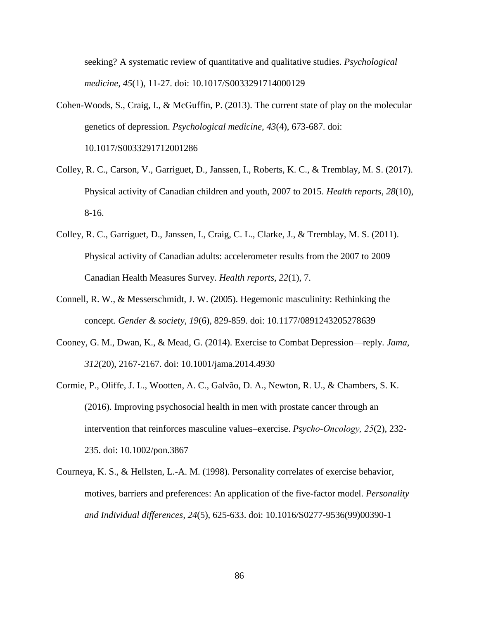seeking? A systematic review of quantitative and qualitative studies. *Psychological medicine, 45*(1), 11-27. doi: 10.1017/S0033291714000129

- Cohen-Woods, S., Craig, I., & McGuffin, P. (2013). The current state of play on the molecular genetics of depression. *Psychological medicine, 43*(4), 673-687. doi: 10.1017/S0033291712001286
- Colley, R. C., Carson, V., Garriguet, D., Janssen, I., Roberts, K. C., & Tremblay, M. S. (2017). Physical activity of Canadian children and youth, 2007 to 2015. *Health reports, 28*(10), 8-16.
- Colley, R. C., Garriguet, D., Janssen, I., Craig, C. L., Clarke, J., & Tremblay, M. S. (2011). Physical activity of Canadian adults: accelerometer results from the 2007 to 2009 Canadian Health Measures Survey. *Health reports, 22*(1), 7.
- Connell, R. W., & Messerschmidt, J. W. (2005). Hegemonic masculinity: Rethinking the concept. *Gender & society, 19*(6), 829-859. doi: 10.1177/0891243205278639
- Cooney, G. M., Dwan, K., & Mead, G. (2014). Exercise to Combat Depression—reply. *Jama, 312*(20), 2167-2167. doi: 10.1001/jama.2014.4930
- Cormie, P., Oliffe, J. L., Wootten, A. C., Galvão, D. A., Newton, R. U., & Chambers, S. K. (2016). Improving psychosocial health in men with prostate cancer through an intervention that reinforces masculine values–exercise. *Psycho‐Oncology, 25*(2), 232- 235. doi: 10.1002/pon.3867
- Courneya, K. S., & Hellsten, L.-A. M. (1998). Personality correlates of exercise behavior, motives, barriers and preferences: An application of the five-factor model. *Personality and Individual differences, 24*(5), 625-633. doi: 10.1016/S0277-9536(99)00390-1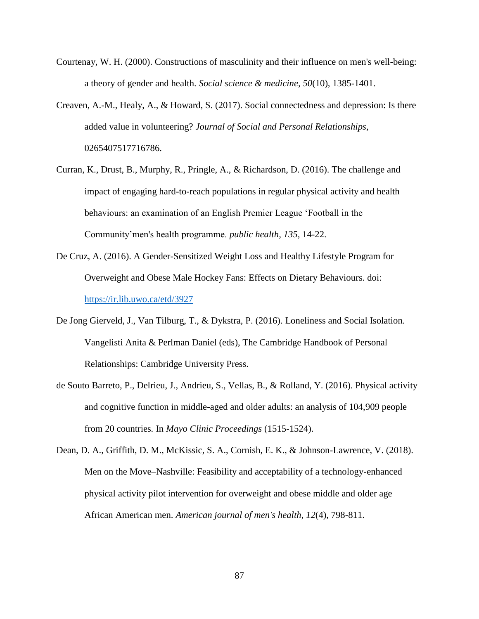- Courtenay, W. H. (2000). Constructions of masculinity and their influence on men's well-being: a theory of gender and health. *Social science & medicine, 50*(10), 1385-1401.
- Creaven, A.-M., Healy, A., & Howard, S. (2017). Social connectedness and depression: Is there added value in volunteering? *Journal of Social and Personal Relationships*, 0265407517716786.
- Curran, K., Drust, B., Murphy, R., Pringle, A., & Richardson, D. (2016). The challenge and impact of engaging hard-to-reach populations in regular physical activity and health behaviours: an examination of an English Premier League 'Football in the Community'men's health programme. *public health, 135*, 14-22.
- De Cruz, A. (2016). A Gender-Sensitized Weight Loss and Healthy Lifestyle Program for Overweight and Obese Male Hockey Fans: Effects on Dietary Behaviours. doi: <https://ir.lib.uwo.ca/etd/3927>
- De Jong Gierveld, J., Van Tilburg, T., & Dykstra, P. (2016). Loneliness and Social Isolation. Vangelisti Anita & Perlman Daniel (eds), The Cambridge Handbook of Personal Relationships: Cambridge University Press.
- de Souto Barreto, P., Delrieu, J., Andrieu, S., Vellas, B., & Rolland, Y. (2016). Physical activity and cognitive function in middle-aged and older adults: an analysis of 104,909 people from 20 countries*.* In *Mayo Clinic Proceedings* (1515-1524).
- Dean, D. A., Griffith, D. M., McKissic, S. A., Cornish, E. K., & Johnson-Lawrence, V. (2018). Men on the Move–Nashville: Feasibility and acceptability of a technology-enhanced physical activity pilot intervention for overweight and obese middle and older age African American men. *American journal of men's health, 12*(4), 798-811.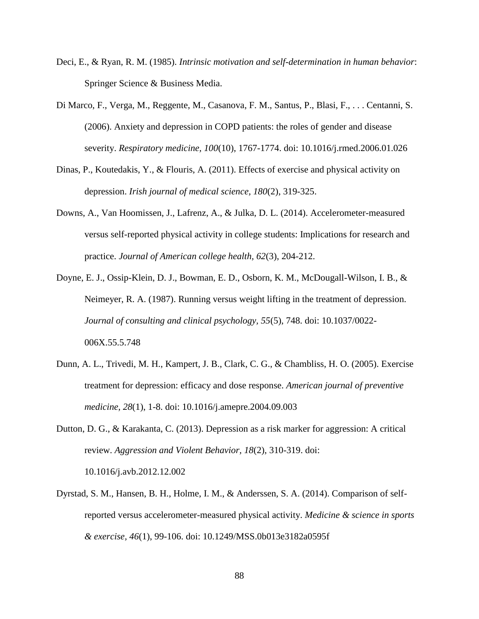- Deci, E., & Ryan, R. M. (1985). *Intrinsic motivation and self-determination in human behavior*: Springer Science & Business Media.
- Di Marco, F., Verga, M., Reggente, M., Casanova, F. M., Santus, P., Blasi, F., . . . Centanni, S. (2006). Anxiety and depression in COPD patients: the roles of gender and disease severity. *Respiratory medicine, 100*(10), 1767-1774. doi: 10.1016/j.rmed.2006.01.026
- Dinas, P., Koutedakis, Y., & Flouris, A. (2011). Effects of exercise and physical activity on depression. *Irish journal of medical science, 180*(2), 319-325.
- Downs, A., Van Hoomissen, J., Lafrenz, A., & Julka, D. L. (2014). Accelerometer-measured versus self-reported physical activity in college students: Implications for research and practice. *Journal of American college health, 62*(3), 204-212.
- Doyne, E. J., Ossip-Klein, D. J., Bowman, E. D., Osborn, K. M., McDougall-Wilson, I. B., & Neimeyer, R. A. (1987). Running versus weight lifting in the treatment of depression. *Journal of consulting and clinical psychology, 55*(5), 748. doi: 10.1037/0022- 006X.55.5.748
- Dunn, A. L., Trivedi, M. H., Kampert, J. B., Clark, C. G., & Chambliss, H. O. (2005). Exercise treatment for depression: efficacy and dose response. *American journal of preventive medicine, 28*(1), 1-8. doi: 10.1016/j.amepre.2004.09.003
- Dutton, D. G., & Karakanta, C. (2013). Depression as a risk marker for aggression: A critical review. *Aggression and Violent Behavior, 18*(2), 310-319. doi: 10.1016/j.avb.2012.12.002
- Dyrstad, S. M., Hansen, B. H., Holme, I. M., & Anderssen, S. A. (2014). Comparison of selfreported versus accelerometer-measured physical activity. *Medicine & science in sports & exercise, 46*(1), 99-106. doi: 10.1249/MSS.0b013e3182a0595f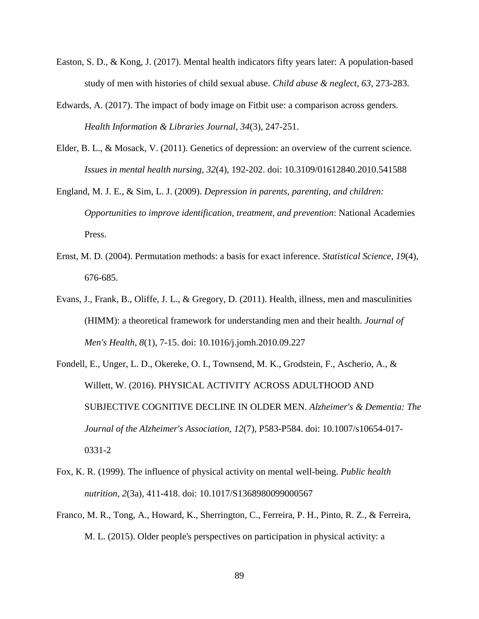- Easton, S. D., & Kong, J. (2017). Mental health indicators fifty years later: A population-based study of men with histories of child sexual abuse. *Child abuse & neglect, 63*, 273-283.
- Edwards, A. (2017). The impact of body image on Fitbit use: a comparison across genders. *Health Information & Libraries Journal, 34*(3), 247-251.
- Elder, B. L., & Mosack, V. (2011). Genetics of depression: an overview of the current science. *Issues in mental health nursing, 32*(4), 192-202. doi: 10.3109/01612840.2010.541588
- England, M. J. E., & Sim, L. J. (2009). *Depression in parents, parenting, and children: Opportunities to improve identification, treatment, and prevention*: National Academies Press.
- Ernst, M. D. (2004). Permutation methods: a basis for exact inference. *Statistical Science, 19*(4), 676-685.
- Evans, J., Frank, B., Oliffe, J. L., & Gregory, D. (2011). Health, illness, men and masculinities (HIMM): a theoretical framework for understanding men and their health. *Journal of Men's Health, 8*(1), 7-15. doi: 10.1016/j.jomh.2010.09.227
- Fondell, E., Unger, L. D., Okereke, O. I., Townsend, M. K., Grodstein, F., Ascherio, A., & Willett, W. (2016). PHYSICAL ACTIVITY ACROSS ADULTHOOD AND SUBJECTIVE COGNITIVE DECLINE IN OLDER MEN. *Alzheimer's & Dementia: The Journal of the Alzheimer's Association, 12*(7), P583-P584. doi: 10.1007/s10654-017- 0331-2
- Fox, K. R. (1999). The influence of physical activity on mental well-being. *Public health nutrition, 2*(3a), 411-418. doi: 10.1017/S1368980099000567
- Franco, M. R., Tong, A., Howard, K., Sherrington, C., Ferreira, P. H., Pinto, R. Z., & Ferreira, M. L. (2015). Older people's perspectives on participation in physical activity: a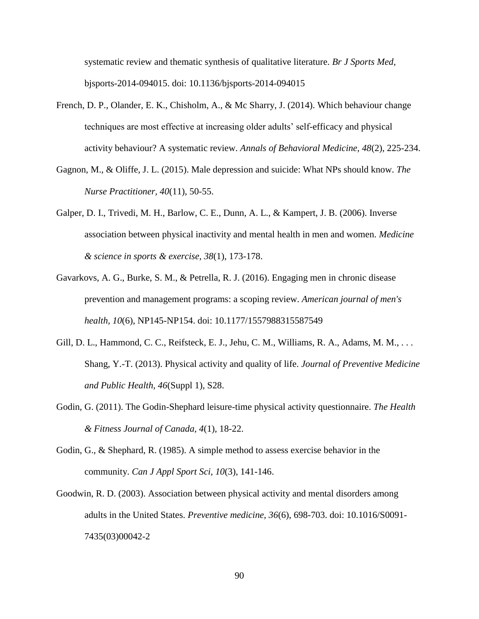systematic review and thematic synthesis of qualitative literature. *Br J Sports Med*, bjsports-2014-094015. doi: 10.1136/bjsports-2014-094015

- French, D. P., Olander, E. K., Chisholm, A., & Mc Sharry, J. (2014). Which behaviour change techniques are most effective at increasing older adults' self-efficacy and physical activity behaviour? A systematic review. *Annals of Behavioral Medicine, 48*(2), 225-234.
- Gagnon, M., & Oliffe, J. L. (2015). Male depression and suicide: What NPs should know. *The Nurse Practitioner, 40*(11), 50-55.
- Galper, D. I., Trivedi, M. H., Barlow, C. E., Dunn, A. L., & Kampert, J. B. (2006). Inverse association between physical inactivity and mental health in men and women. *Medicine & science in sports & exercise, 38*(1), 173-178.
- Gavarkovs, A. G., Burke, S. M., & Petrella, R. J. (2016). Engaging men in chronic disease prevention and management programs: a scoping review. *American journal of men's health, 10*(6), NP145-NP154. doi: 10.1177/1557988315587549
- Gill, D. L., Hammond, C. C., Reifsteck, E. J., Jehu, C. M., Williams, R. A., Adams, M. M., . . . Shang, Y.-T. (2013). Physical activity and quality of life. *Journal of Preventive Medicine and Public Health, 46*(Suppl 1), S28.
- Godin, G. (2011). The Godin-Shephard leisure-time physical activity questionnaire. *The Health & Fitness Journal of Canada, 4*(1), 18-22.
- Godin, G., & Shephard, R. (1985). A simple method to assess exercise behavior in the community. *Can J Appl Sport Sci, 10*(3), 141-146.
- Goodwin, R. D. (2003). Association between physical activity and mental disorders among adults in the United States. *Preventive medicine, 36*(6), 698-703. doi: 10.1016/S0091- 7435(03)00042-2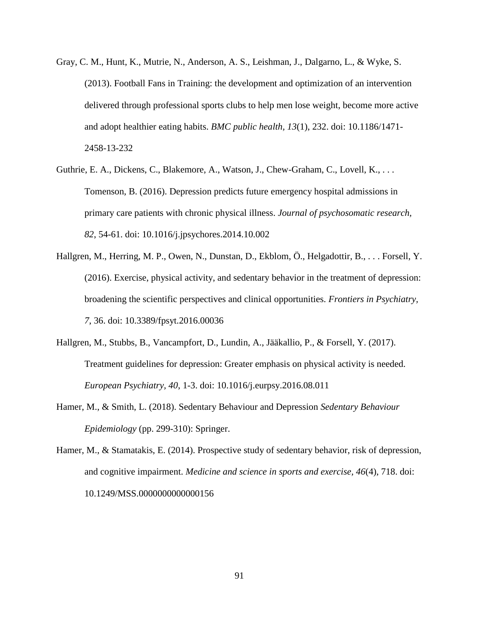- Gray, C. M., Hunt, K., Mutrie, N., Anderson, A. S., Leishman, J., Dalgarno, L., & Wyke, S. (2013). Football Fans in Training: the development and optimization of an intervention delivered through professional sports clubs to help men lose weight, become more active and adopt healthier eating habits. *BMC public health, 13*(1), 232. doi: 10.1186/1471- 2458-13-232
- Guthrie, E. A., Dickens, C., Blakemore, A., Watson, J., Chew-Graham, C., Lovell, K., . . . Tomenson, B. (2016). Depression predicts future emergency hospital admissions in primary care patients with chronic physical illness. *Journal of psychosomatic research, 82*, 54-61. doi: 10.1016/j.jpsychores.2014.10.002
- Hallgren, M., Herring, M. P., Owen, N., Dunstan, D., Ekblom, Ö., Helgadottir, B., . . . Forsell, Y. (2016). Exercise, physical activity, and sedentary behavior in the treatment of depression: broadening the scientific perspectives and clinical opportunities. *Frontiers in Psychiatry, 7*, 36. doi: 10.3389/fpsyt.2016.00036
- Hallgren, M., Stubbs, B., Vancampfort, D., Lundin, A., Jääkallio, P., & Forsell, Y. (2017). Treatment guidelines for depression: Greater emphasis on physical activity is needed. *European Psychiatry, 40*, 1-3. doi: 10.1016/j.eurpsy.2016.08.011
- Hamer, M., & Smith, L. (2018). Sedentary Behaviour and Depression *Sedentary Behaviour Epidemiology* (pp. 299-310): Springer.
- Hamer, M., & Stamatakis, E. (2014). Prospective study of sedentary behavior, risk of depression, and cognitive impairment. *Medicine and science in sports and exercise, 46*(4), 718. doi: 10.1249/MSS.0000000000000156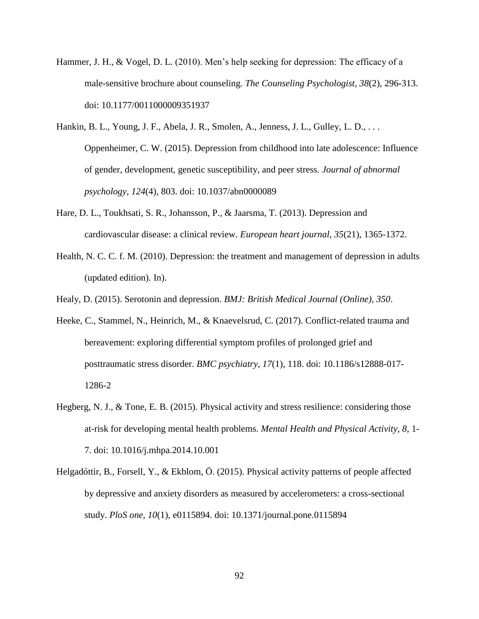- Hammer, J. H., & Vogel, D. L. (2010). Men's help seeking for depression: The efficacy of a male-sensitive brochure about counseling. *The Counseling Psychologist, 38*(2), 296-313. doi: 10.1177/0011000009351937
- Hankin, B. L., Young, J. F., Abela, J. R., Smolen, A., Jenness, J. L., Gulley, L. D., . . . Oppenheimer, C. W. (2015). Depression from childhood into late adolescence: Influence of gender, development, genetic susceptibility, and peer stress. *Journal of abnormal psychology, 124*(4), 803. doi: 10.1037/abn0000089
- Hare, D. L., Toukhsati, S. R., Johansson, P., & Jaarsma, T. (2013). Depression and cardiovascular disease: a clinical review. *European heart journal, 35*(21), 1365-1372.
- Health, N. C. C. f. M. (2010). Depression: the treatment and management of depression in adults (updated edition)*.* In).
- Healy, D. (2015). Serotonin and depression. *BMJ: British Medical Journal (Online), 350*.
- Heeke, C., Stammel, N., Heinrich, M., & Knaevelsrud, C. (2017). Conflict-related trauma and bereavement: exploring differential symptom profiles of prolonged grief and posttraumatic stress disorder. *BMC psychiatry, 17*(1), 118. doi: 10.1186/s12888-017- 1286-2
- Hegberg, N. J., & Tone, E. B. (2015). Physical activity and stress resilience: considering those at-risk for developing mental health problems. *Mental Health and Physical Activity, 8*, 1- 7. doi: 10.1016/j.mhpa.2014.10.001
- Helgadóttir, B., Forsell, Y., & Ekblom, Ö. (2015). Physical activity patterns of people affected by depressive and anxiety disorders as measured by accelerometers: a cross-sectional study. *PloS one, 10*(1), e0115894. doi: 10.1371/journal.pone.0115894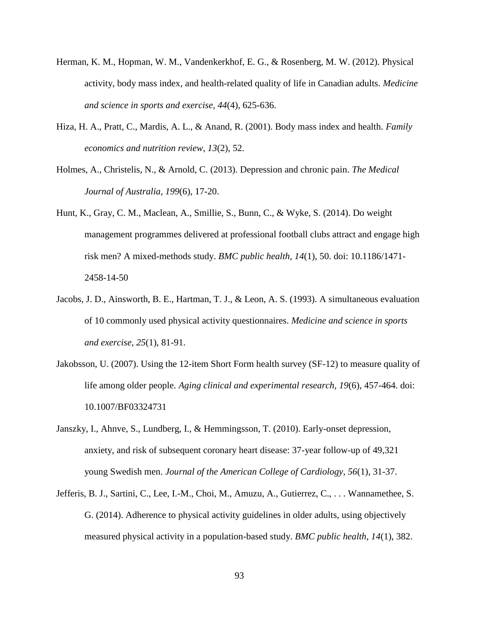- Herman, K. M., Hopman, W. M., Vandenkerkhof, E. G., & Rosenberg, M. W. (2012). Physical activity, body mass index, and health-related quality of life in Canadian adults. *Medicine and science in sports and exercise, 44*(4), 625-636.
- Hiza, H. A., Pratt, C., Mardis, A. L., & Anand, R. (2001). Body mass index and health. *Family economics and nutrition review, 13*(2), 52.
- Holmes, A., Christelis, N., & Arnold, C. (2013). Depression and chronic pain. *The Medical Journal of Australia, 199*(6), 17-20.
- Hunt, K., Gray, C. M., Maclean, A., Smillie, S., Bunn, C., & Wyke, S. (2014). Do weight management programmes delivered at professional football clubs attract and engage high risk men? A mixed-methods study. *BMC public health, 14*(1), 50. doi: 10.1186/1471- 2458-14-50
- Jacobs, J. D., Ainsworth, B. E., Hartman, T. J., & Leon, A. S. (1993). A simultaneous evaluation of 10 commonly used physical activity questionnaires. *Medicine and science in sports and exercise, 25*(1), 81-91.
- Jakobsson, U. (2007). Using the 12-item Short Form health survey (SF-12) to measure quality of life among older people. *Aging clinical and experimental research, 19*(6), 457-464. doi: 10.1007/BF03324731
- Janszky, I., Ahnve, S., Lundberg, I., & Hemmingsson, T. (2010). Early-onset depression, anxiety, and risk of subsequent coronary heart disease: 37-year follow-up of 49,321 young Swedish men. *Journal of the American College of Cardiology, 56*(1), 31-37.
- Jefferis, B. J., Sartini, C., Lee, I.-M., Choi, M., Amuzu, A., Gutierrez, C., . . . Wannamethee, S. G. (2014). Adherence to physical activity guidelines in older adults, using objectively measured physical activity in a population-based study. *BMC public health, 14*(1), 382.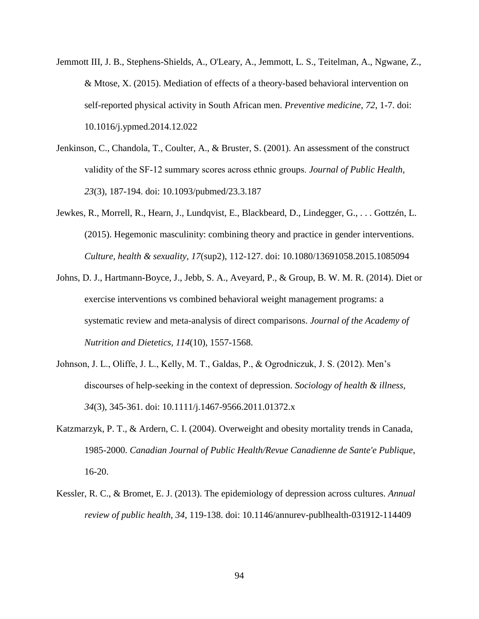- Jemmott III, J. B., Stephens-Shields, A., O'Leary, A., Jemmott, L. S., Teitelman, A., Ngwane, Z., & Mtose, X. (2015). Mediation of effects of a theory-based behavioral intervention on self-reported physical activity in South African men. *Preventive medicine, 72*, 1-7. doi: 10.1016/j.ypmed.2014.12.022
- Jenkinson, C., Chandola, T., Coulter, A., & Bruster, S. (2001). An assessment of the construct validity of the SF‐12 summary scores across ethnic groups. *Journal of Public Health, 23*(3), 187-194. doi: 10.1093/pubmed/23.3.187
- Jewkes, R., Morrell, R., Hearn, J., Lundqvist, E., Blackbeard, D., Lindegger, G., . . . Gottzén, L. (2015). Hegemonic masculinity: combining theory and practice in gender interventions. *Culture, health & sexuality, 17*(sup2), 112-127. doi: 10.1080/13691058.2015.1085094
- Johns, D. J., Hartmann-Boyce, J., Jebb, S. A., Aveyard, P., & Group, B. W. M. R. (2014). Diet or exercise interventions vs combined behavioral weight management programs: a systematic review and meta-analysis of direct comparisons. *Journal of the Academy of Nutrition and Dietetics, 114*(10), 1557-1568.
- Johnson, J. L., Oliffe, J. L., Kelly, M. T., Galdas, P., & Ogrodniczuk, J. S. (2012). Men's discourses of help‐seeking in the context of depression. *Sociology of health & illness, 34*(3), 345-361. doi: 10.1111/j.1467-9566.2011.01372.x
- Katzmarzyk, P. T., & Ardern, C. I. (2004). Overweight and obesity mortality trends in Canada, 1985-2000. *Canadian Journal of Public Health/Revue Canadienne de Sante'e Publique*, 16-20.
- Kessler, R. C., & Bromet, E. J. (2013). The epidemiology of depression across cultures. *Annual review of public health, 34*, 119-138. doi: 10.1146/annurev-publhealth-031912-114409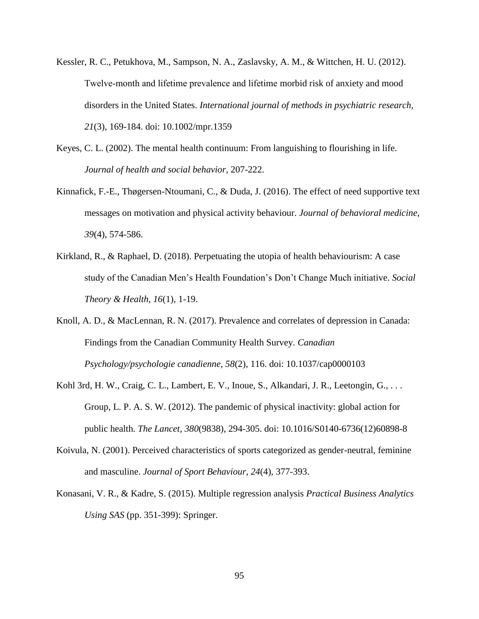- Kessler, R. C., Petukhova, M., Sampson, N. A., Zaslavsky, A. M., & Wittchen, H. U. (2012). Twelve‐month and lifetime prevalence and lifetime morbid risk of anxiety and mood disorders in the United States. *International journal of methods in psychiatric research, 21*(3), 169-184. doi: 10.1002/mpr.1359
- Keyes, C. L. (2002). The mental health continuum: From languishing to flourishing in life. *Journal of health and social behavior*, 207-222.
- Kinnafick, F.-E., Thøgersen-Ntoumani, C., & Duda, J. (2016). The effect of need supportive text messages on motivation and physical activity behaviour. *Journal of behavioral medicine, 39*(4), 574-586.
- Kirkland, R., & Raphael, D. (2018). Perpetuating the utopia of health behaviourism: A case study of the Canadian Men's Health Foundation's Don't Change Much initiative. *Social Theory & Health, 16*(1), 1-19.
- Knoll, A. D., & MacLennan, R. N. (2017). Prevalence and correlates of depression in Canada: Findings from the Canadian Community Health Survey. *Canadian Psychology/psychologie canadienne, 58*(2), 116. doi: 10.1037/cap0000103
- Kohl 3rd, H. W., Craig, C. L., Lambert, E. V., Inoue, S., Alkandari, J. R., Leetongin, G., . . . Group, L. P. A. S. W. (2012). The pandemic of physical inactivity: global action for public health. *The Lancet, 380*(9838), 294-305. doi: 10.1016/S0140-6736(12)60898-8
- Koivula, N. (2001). Perceived characteristics of sports categorized as gender-neutral, feminine and masculine. *Journal of Sport Behaviour, 24*(4), 377-393.
- Konasani, V. R., & Kadre, S. (2015). Multiple regression analysis *Practical Business Analytics Using SAS* (pp. 351-399): Springer.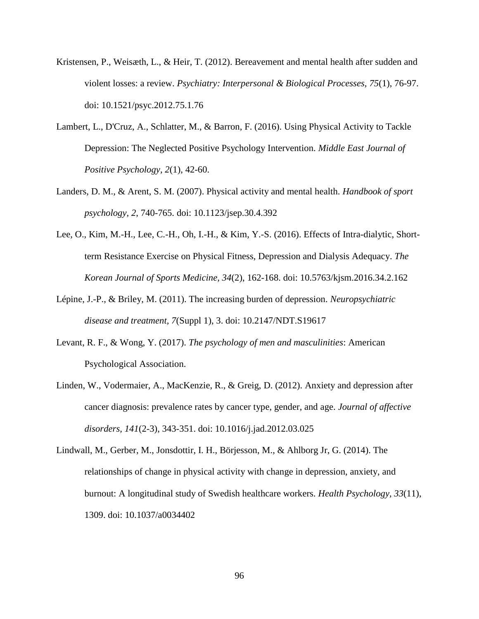- Kristensen, P., Weisæth, L., & Heir, T. (2012). Bereavement and mental health after sudden and violent losses: a review. *Psychiatry: Interpersonal & Biological Processes, 75*(1), 76-97. doi: 10.1521/psyc.2012.75.1.76
- Lambert, L., D'Cruz, A., Schlatter, M., & Barron, F. (2016). Using Physical Activity to Tackle Depression: The Neglected Positive Psychology Intervention. *Middle East Journal of Positive Psychology, 2*(1), 42-60.
- Landers, D. M., & Arent, S. M. (2007). Physical activity and mental health. *Handbook of sport psychology, 2*, 740-765. doi: 10.1123/jsep.30.4.392
- Lee, O., Kim, M.-H., Lee, C.-H., Oh, I.-H., & Kim, Y.-S. (2016). Effects of Intra-dialytic, Shortterm Resistance Exercise on Physical Fitness, Depression and Dialysis Adequacy. *The Korean Journal of Sports Medicine, 34*(2), 162-168. doi: 10.5763/kjsm.2016.34.2.162
- Lépine, J.-P., & Briley, M. (2011). The increasing burden of depression. *Neuropsychiatric disease and treatment, 7*(Suppl 1), 3. doi: 10.2147/NDT.S19617
- Levant, R. F., & Wong, Y. (2017). *The psychology of men and masculinities*: American Psychological Association.
- Linden, W., Vodermaier, A., MacKenzie, R., & Greig, D. (2012). Anxiety and depression after cancer diagnosis: prevalence rates by cancer type, gender, and age. *Journal of affective disorders, 141*(2-3), 343-351. doi: 10.1016/j.jad.2012.03.025
- Lindwall, M., Gerber, M., Jonsdottir, I. H., Börjesson, M., & Ahlborg Jr, G. (2014). The relationships of change in physical activity with change in depression, anxiety, and burnout: A longitudinal study of Swedish healthcare workers. *Health Psychology, 33*(11), 1309. doi: 10.1037/a0034402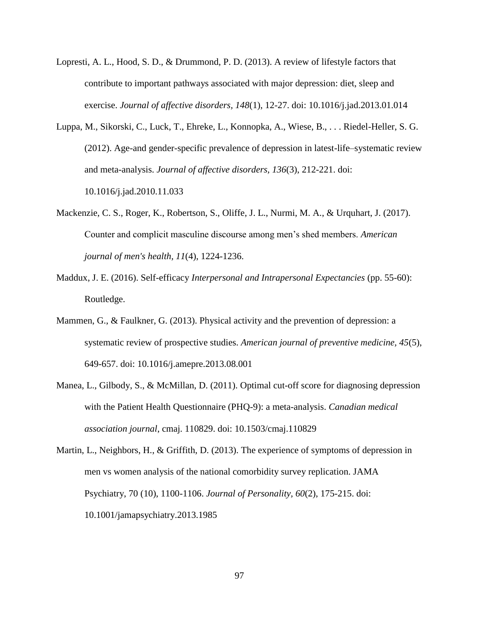- Lopresti, A. L., Hood, S. D., & Drummond, P. D. (2013). A review of lifestyle factors that contribute to important pathways associated with major depression: diet, sleep and exercise. *Journal of affective disorders, 148*(1), 12-27. doi: 10.1016/j.jad.2013.01.014
- Luppa, M., Sikorski, C., Luck, T., Ehreke, L., Konnopka, A., Wiese, B., . . . Riedel-Heller, S. G. (2012). Age-and gender-specific prevalence of depression in latest-life–systematic review and meta-analysis. *Journal of affective disorders, 136*(3), 212-221. doi: 10.1016/j.jad.2010.11.033
- Mackenzie, C. S., Roger, K., Robertson, S., Oliffe, J. L., Nurmi, M. A., & Urquhart, J. (2017). Counter and complicit masculine discourse among men's shed members. *American journal of men's health, 11*(4), 1224-1236.
- Maddux, J. E. (2016). Self-efficacy *Interpersonal and Intrapersonal Expectancies* (pp. 55-60): Routledge.
- Mammen, G., & Faulkner, G. (2013). Physical activity and the prevention of depression: a systematic review of prospective studies. *American journal of preventive medicine, 45*(5), 649-657. doi: 10.1016/j.amepre.2013.08.001
- Manea, L., Gilbody, S., & McMillan, D. (2011). Optimal cut-off score for diagnosing depression with the Patient Health Questionnaire (PHQ-9): a meta-analysis. *Canadian medical association journal*, cmaj. 110829. doi: 10.1503/cmaj.110829
- Martin, L., Neighbors, H., & Griffith, D. (2013). The experience of symptoms of depression in men vs women analysis of the national comorbidity survey replication. JAMA Psychiatry, 70 (10), 1100-1106. *Journal of Personality, 60*(2), 175-215. doi: 10.1001/jamapsychiatry.2013.1985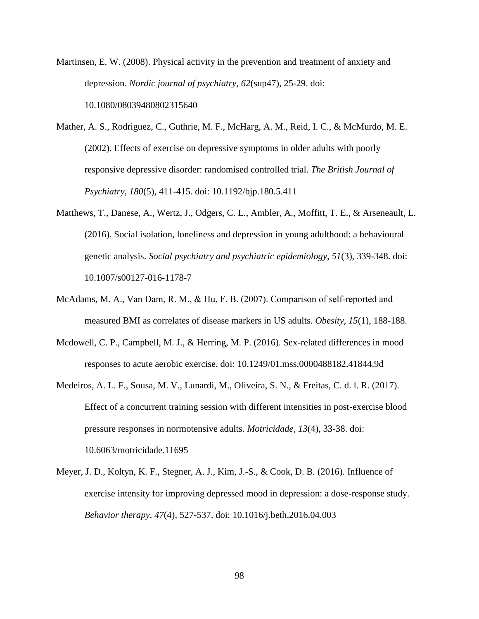Martinsen, E. W. (2008). Physical activity in the prevention and treatment of anxiety and depression. *Nordic journal of psychiatry, 62*(sup47), 25-29. doi: 10.1080/08039480802315640

- Mather, A. S., Rodriguez, C., Guthrie, M. F., McHarg, A. M., Reid, I. C., & McMurdo, M. E. (2002). Effects of exercise on depressive symptoms in older adults with poorly responsive depressive disorder: randomised controlled trial. *The British Journal of Psychiatry, 180*(5), 411-415. doi: 10.1192/bjp.180.5.411
- Matthews, T., Danese, A., Wertz, J., Odgers, C. L., Ambler, A., Moffitt, T. E., & Arseneault, L. (2016). Social isolation, loneliness and depression in young adulthood: a behavioural genetic analysis. *Social psychiatry and psychiatric epidemiology, 51*(3), 339-348. doi: 10.1007/s00127-016-1178-7
- McAdams, M. A., Van Dam, R. M., & Hu, F. B. (2007). Comparison of self‐reported and measured BMI as correlates of disease markers in US adults. *Obesity, 15*(1), 188-188.
- Mcdowell, C. P., Campbell, M. J., & Herring, M. P. (2016). Sex-related differences in mood responses to acute aerobic exercise. doi: 10.1249/01.mss.0000488182.41844.9d
- Medeiros, A. L. F., Sousa, M. V., Lunardi, M., Oliveira, S. N., & Freitas, C. d. l. R. (2017). Effect of a concurrent training session with different intensities in post-exercise blood pressure responses in normotensive adults. *Motricidade, 13*(4), 33-38. doi: 10.6063/motricidade.11695
- Meyer, J. D., Koltyn, K. F., Stegner, A. J., Kim, J.-S., & Cook, D. B. (2016). Influence of exercise intensity for improving depressed mood in depression: a dose-response study. *Behavior therapy, 47*(4), 527-537. doi: 10.1016/j.beth.2016.04.003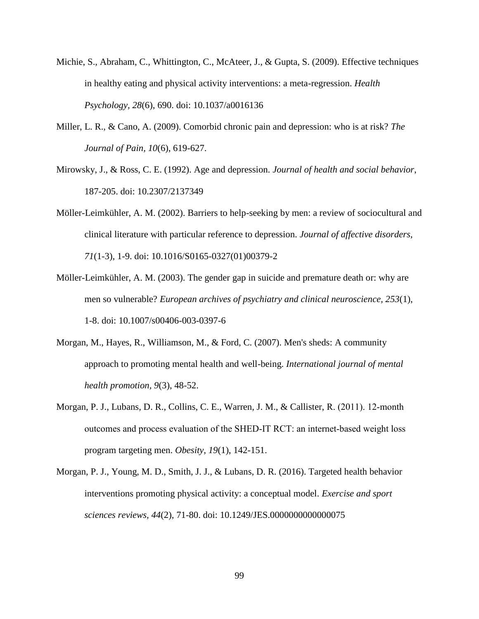- Michie, S., Abraham, C., Whittington, C., McAteer, J., & Gupta, S. (2009). Effective techniques in healthy eating and physical activity interventions: a meta-regression. *Health Psychology, 28*(6), 690. doi: 10.1037/a0016136
- Miller, L. R., & Cano, A. (2009). Comorbid chronic pain and depression: who is at risk? *The Journal of Pain, 10*(6), 619-627.
- Mirowsky, J., & Ross, C. E. (1992). Age and depression. *Journal of health and social behavior*, 187-205. doi: 10.2307/2137349
- Möller-Leimkühler, A. M. (2002). Barriers to help-seeking by men: a review of sociocultural and clinical literature with particular reference to depression. *Journal of affective disorders, 71*(1-3), 1-9. doi: 10.1016/S0165-0327(01)00379-2
- Möller-Leimkühler, A. M. (2003). The gender gap in suicide and premature death or: why are men so vulnerable? *European archives of psychiatry and clinical neuroscience, 253*(1), 1-8. doi: 10.1007/s00406-003-0397-6
- Morgan, M., Hayes, R., Williamson, M., & Ford, C. (2007). Men's sheds: A community approach to promoting mental health and well-being. *International journal of mental health promotion, 9*(3), 48-52.
- Morgan, P. J., Lubans, D. R., Collins, C. E., Warren, J. M., & Callister, R. (2011). 12-month outcomes and process evaluation of the SHED‐IT RCT: an internet‐based weight loss program targeting men. *Obesity, 19*(1), 142-151.
- Morgan, P. J., Young, M. D., Smith, J. J., & Lubans, D. R. (2016). Targeted health behavior interventions promoting physical activity: a conceptual model. *Exercise and sport sciences reviews, 44*(2), 71-80. doi: 10.1249/JES.0000000000000075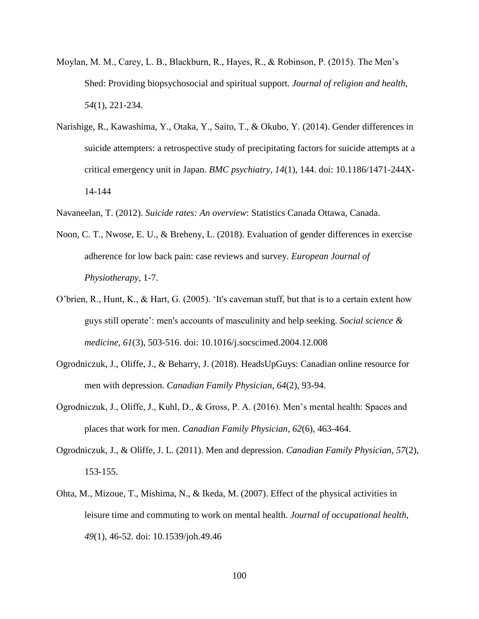- Moylan, M. M., Carey, L. B., Blackburn, R., Hayes, R., & Robinson, P. (2015). The Men's Shed: Providing biopsychosocial and spiritual support. *Journal of religion and health, 54*(1), 221-234.
- Narishige, R., Kawashima, Y., Otaka, Y., Saito, T., & Okubo, Y. (2014). Gender differences in suicide attempters: a retrospective study of precipitating factors for suicide attempts at a critical emergency unit in Japan. *BMC psychiatry, 14*(1), 144. doi: 10.1186/1471-244X-14-144
- Navaneelan, T. (2012). *Suicide rates: An overview*: Statistics Canada Ottawa, Canada.
- Noon, C. T., Nwose, E. U., & Breheny, L. (2018). Evaluation of gender differences in exercise adherence for low back pain: case reviews and survey. *European Journal of Physiotherapy*, 1-7.
- O'brien, R., Hunt, K., & Hart, G. (2005). 'It's caveman stuff, but that is to a certain extent how guys still operate': men's accounts of masculinity and help seeking. *Social science & medicine, 61*(3), 503-516. doi: 10.1016/j.socscimed.2004.12.008
- Ogrodniczuk, J., Oliffe, J., & Beharry, J. (2018). HeadsUpGuys: Canadian online resource for men with depression. *Canadian Family Physician, 64*(2), 93-94.
- Ogrodniczuk, J., Oliffe, J., Kuhl, D., & Gross, P. A. (2016). Men's mental health: Spaces and places that work for men. *Canadian Family Physician, 62*(6), 463-464.
- Ogrodniczuk, J., & Oliffe, J. L. (2011). Men and depression. *Canadian Family Physician, 57*(2), 153-155.
- Ohta, M., Mizoue, T., Mishima, N., & Ikeda, M. (2007). Effect of the physical activities in leisure time and commuting to work on mental health. *Journal of occupational health, 49*(1), 46-52. doi: 10.1539/joh.49.46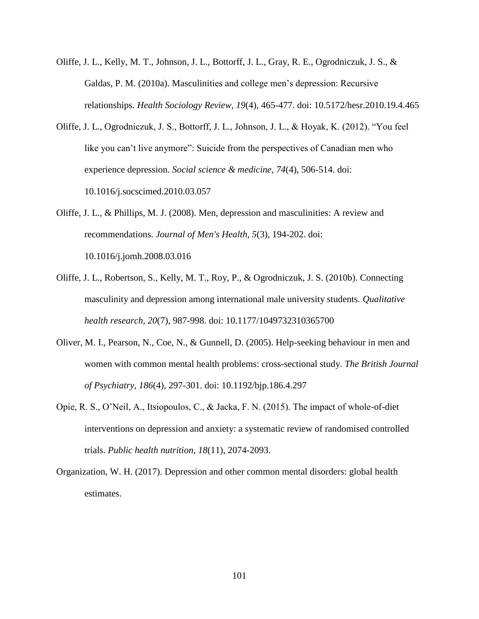- Oliffe, J. L., Kelly, M. T., Johnson, J. L., Bottorff, J. L., Gray, R. E., Ogrodniczuk, J. S., & Galdas, P. M. (2010a). Masculinities and college men's depression: Recursive relationships. *Health Sociology Review, 19*(4), 465-477. doi: 10.5172/hesr.2010.19.4.465
- Oliffe, J. L., Ogrodniczuk, J. S., Bottorff, J. L., Johnson, J. L., & Hoyak, K. (2012). "You feel like you can't live anymore": Suicide from the perspectives of Canadian men who experience depression. *Social science & medicine, 74*(4), 506-514. doi: 10.1016/j.socscimed.2010.03.057
- Oliffe, J. L., & Phillips, M. J. (2008). Men, depression and masculinities: A review and recommendations. *Journal of Men's Health, 5*(3), 194-202. doi: 10.1016/j.jomh.2008.03.016
- Oliffe, J. L., Robertson, S., Kelly, M. T., Roy, P., & Ogrodniczuk, J. S. (2010b). Connecting masculinity and depression among international male university students. *Qualitative health research, 20*(7), 987-998. doi: 10.1177/1049732310365700
- Oliver, M. I., Pearson, N., Coe, N., & Gunnell, D. (2005). Help-seeking behaviour in men and women with common mental health problems: cross-sectional study. *The British Journal of Psychiatry, 186*(4), 297-301. doi: 10.1192/bjp.186.4.297
- Opie, R. S., O'Neil, A., Itsiopoulos, C., & Jacka, F. N. (2015). The impact of whole-of-diet interventions on depression and anxiety: a systematic review of randomised controlled trials. *Public health nutrition, 18*(11), 2074-2093.
- Organization, W. H. (2017). Depression and other common mental disorders: global health estimates.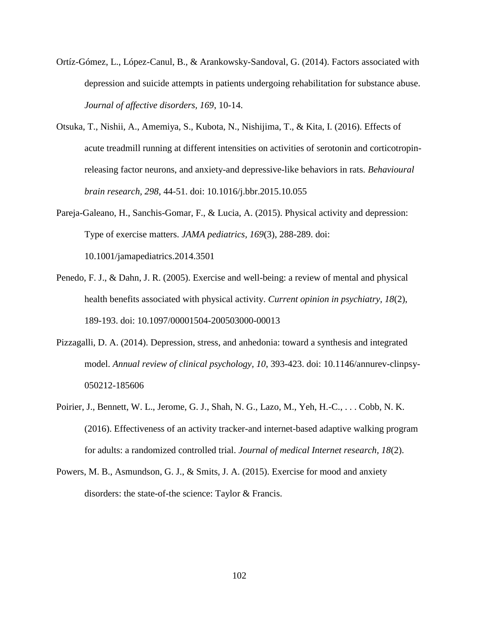- Ortíz-Gómez, L., López-Canul, B., & Arankowsky-Sandoval, G. (2014). Factors associated with depression and suicide attempts in patients undergoing rehabilitation for substance abuse. *Journal of affective disorders, 169*, 10-14.
- Otsuka, T., Nishii, A., Amemiya, S., Kubota, N., Nishijima, T., & Kita, I. (2016). Effects of acute treadmill running at different intensities on activities of serotonin and corticotropinreleasing factor neurons, and anxiety-and depressive-like behaviors in rats. *Behavioural brain research, 298*, 44-51. doi: 10.1016/j.bbr.2015.10.055
- Pareja-Galeano, H., Sanchis-Gomar, F., & Lucia, A. (2015). Physical activity and depression: Type of exercise matters. *JAMA pediatrics, 169*(3), 288-289. doi: 10.1001/jamapediatrics.2014.3501
- Penedo, F. J., & Dahn, J. R. (2005). Exercise and well-being: a review of mental and physical health benefits associated with physical activity. *Current opinion in psychiatry, 18*(2), 189-193. doi: 10.1097/00001504-200503000-00013
- Pizzagalli, D. A. (2014). Depression, stress, and anhedonia: toward a synthesis and integrated model. *Annual review of clinical psychology, 10*, 393-423. doi: 10.1146/annurev-clinpsy-050212-185606
- Poirier, J., Bennett, W. L., Jerome, G. J., Shah, N. G., Lazo, M., Yeh, H.-C., . . . Cobb, N. K. (2016). Effectiveness of an activity tracker-and internet-based adaptive walking program for adults: a randomized controlled trial. *Journal of medical Internet research, 18*(2).
- Powers, M. B., Asmundson, G. J., & Smits, J. A. (2015). Exercise for mood and anxiety disorders: the state-of-the science: Taylor & Francis.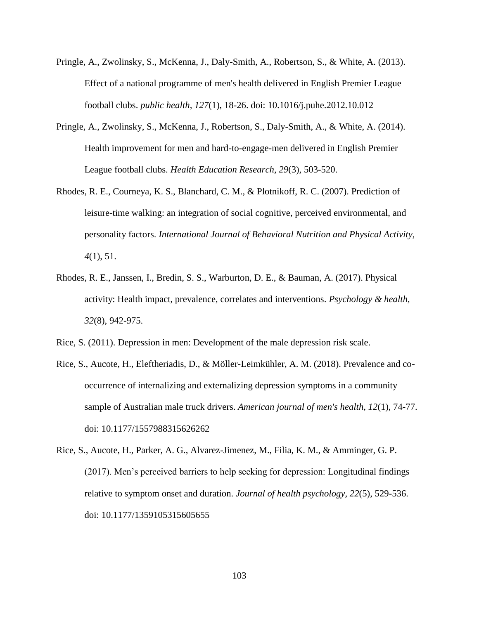- Pringle, A., Zwolinsky, S., McKenna, J., Daly-Smith, A., Robertson, S., & White, A. (2013). Effect of a national programme of men's health delivered in English Premier League football clubs. *public health, 127*(1), 18-26. doi: 10.1016/j.puhe.2012.10.012
- Pringle, A., Zwolinsky, S., McKenna, J., Robertson, S., Daly-Smith, A., & White, A. (2014). Health improvement for men and hard-to-engage-men delivered in English Premier League football clubs. *Health Education Research, 29*(3), 503-520.
- Rhodes, R. E., Courneya, K. S., Blanchard, C. M., & Plotnikoff, R. C. (2007). Prediction of leisure-time walking: an integration of social cognitive, perceived environmental, and personality factors. *International Journal of Behavioral Nutrition and Physical Activity, 4*(1), 51.
- Rhodes, R. E., Janssen, I., Bredin, S. S., Warburton, D. E., & Bauman, A. (2017). Physical activity: Health impact, prevalence, correlates and interventions. *Psychology & health, 32*(8), 942-975.
- Rice, S. (2011). Depression in men: Development of the male depression risk scale.
- Rice, S., Aucote, H., Eleftheriadis, D., & Möller-Leimkühler, A. M. (2018). Prevalence and cooccurrence of internalizing and externalizing depression symptoms in a community sample of Australian male truck drivers. *American journal of men's health, 12*(1), 74-77. doi: 10.1177/1557988315626262
- Rice, S., Aucote, H., Parker, A. G., Alvarez-Jimenez, M., Filia, K. M., & Amminger, G. P. (2017). Men's perceived barriers to help seeking for depression: Longitudinal findings relative to symptom onset and duration. *Journal of health psychology, 22*(5), 529-536. doi: 10.1177/1359105315605655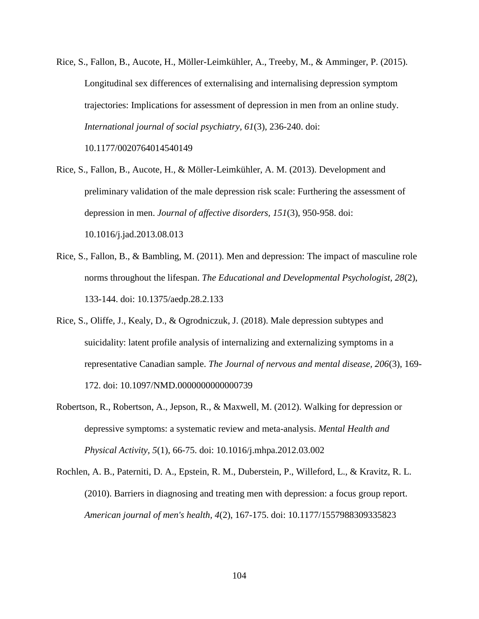Rice, S., Fallon, B., Aucote, H., Möller-Leimkühler, A., Treeby, M., & Amminger, P. (2015). Longitudinal sex differences of externalising and internalising depression symptom trajectories: Implications for assessment of depression in men from an online study. *International journal of social psychiatry, 61*(3), 236-240. doi:

10.1177/0020764014540149

- Rice, S., Fallon, B., Aucote, H., & Möller-Leimkühler, A. M. (2013). Development and preliminary validation of the male depression risk scale: Furthering the assessment of depression in men. *Journal of affective disorders, 151*(3), 950-958. doi: 10.1016/j.jad.2013.08.013
- Rice, S., Fallon, B., & Bambling, M. (2011). Men and depression: The impact of masculine role norms throughout the lifespan. *The Educational and Developmental Psychologist, 28*(2), 133-144. doi: 10.1375/aedp.28.2.133
- Rice, S., Oliffe, J., Kealy, D., & Ogrodniczuk, J. (2018). Male depression subtypes and suicidality: latent profile analysis of internalizing and externalizing symptoms in a representative Canadian sample. *The Journal of nervous and mental disease, 206*(3), 169- 172. doi: 10.1097/NMD.0000000000000739
- Robertson, R., Robertson, A., Jepson, R., & Maxwell, M. (2012). Walking for depression or depressive symptoms: a systematic review and meta-analysis. *Mental Health and Physical Activity, 5*(1), 66-75. doi: 10.1016/j.mhpa.2012.03.002
- Rochlen, A. B., Paterniti, D. A., Epstein, R. M., Duberstein, P., Willeford, L., & Kravitz, R. L. (2010). Barriers in diagnosing and treating men with depression: a focus group report. *American journal of men's health, 4*(2), 167-175. doi: 10.1177/1557988309335823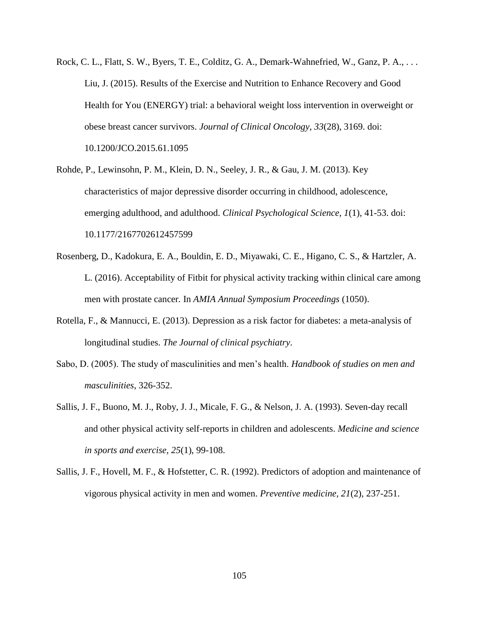- Rock, C. L., Flatt, S. W., Byers, T. E., Colditz, G. A., Demark-Wahnefried, W., Ganz, P. A., . . . Liu, J. (2015). Results of the Exercise and Nutrition to Enhance Recovery and Good Health for You (ENERGY) trial: a behavioral weight loss intervention in overweight or obese breast cancer survivors. *Journal of Clinical Oncology, 33*(28), 3169. doi: 10.1200/JCO.2015.61.1095
- Rohde, P., Lewinsohn, P. M., Klein, D. N., Seeley, J. R., & Gau, J. M. (2013). Key characteristics of major depressive disorder occurring in childhood, adolescence, emerging adulthood, and adulthood. *Clinical Psychological Science, 1*(1), 41-53. doi: 10.1177/2167702612457599
- Rosenberg, D., Kadokura, E. A., Bouldin, E. D., Miyawaki, C. E., Higano, C. S., & Hartzler, A. L. (2016). Acceptability of Fitbit for physical activity tracking within clinical care among men with prostate cancer*.* In *AMIA Annual Symposium Proceedings* (1050).
- Rotella, F., & Mannucci, E. (2013). Depression as a risk factor for diabetes: a meta-analysis of longitudinal studies. *The Journal of clinical psychiatry*.
- Sabo, D. (2005). The study of masculinities and men's health. *Handbook of studies on men and masculinities*, 326-352.
- Sallis, J. F., Buono, M. J., Roby, J. J., Micale, F. G., & Nelson, J. A. (1993). Seven-day recall and other physical activity self-reports in children and adolescents. *Medicine and science in sports and exercise, 25*(1), 99-108.
- Sallis, J. F., Hovell, M. F., & Hofstetter, C. R. (1992). Predictors of adoption and maintenance of vigorous physical activity in men and women. *Preventive medicine, 21*(2), 237-251.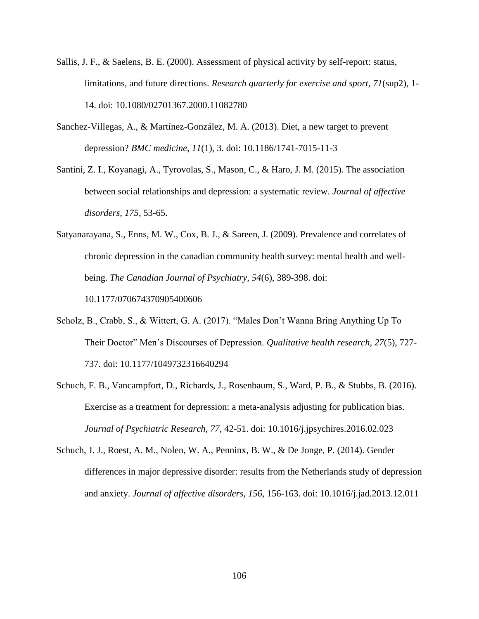- Sallis, J. F., & Saelens, B. E. (2000). Assessment of physical activity by self-report: status, limitations, and future directions. *Research quarterly for exercise and sport, 71*(sup2), 1- 14. doi: 10.1080/02701367.2000.11082780
- Sanchez-Villegas, A., & Martínez-González, M. A. (2013). Diet, a new target to prevent depression? *BMC medicine, 11*(1), 3. doi: 10.1186/1741-7015-11-3
- Santini, Z. I., Koyanagi, A., Tyrovolas, S., Mason, C., & Haro, J. M. (2015). The association between social relationships and depression: a systematic review. *Journal of affective disorders, 175*, 53-65.
- Satyanarayana, S., Enns, M. W., Cox, B. J., & Sareen, J. (2009). Prevalence and correlates of chronic depression in the canadian community health survey: mental health and wellbeing. *The Canadian Journal of Psychiatry, 54*(6), 389-398. doi: 10.1177/070674370905400606
- Scholz, B., Crabb, S., & Wittert, G. A. (2017). "Males Don't Wanna Bring Anything Up To Their Doctor" Men's Discourses of Depression. *Qualitative health research, 27*(5), 727- 737. doi: 10.1177/1049732316640294
- Schuch, F. B., Vancampfort, D., Richards, J., Rosenbaum, S., Ward, P. B., & Stubbs, B. (2016). Exercise as a treatment for depression: a meta-analysis adjusting for publication bias. *Journal of Psychiatric Research, 77*, 42-51. doi: 10.1016/j.jpsychires.2016.02.023
- Schuch, J. J., Roest, A. M., Nolen, W. A., Penninx, B. W., & De Jonge, P. (2014). Gender differences in major depressive disorder: results from the Netherlands study of depression and anxiety. *Journal of affective disorders, 156*, 156-163. doi: 10.1016/j.jad.2013.12.011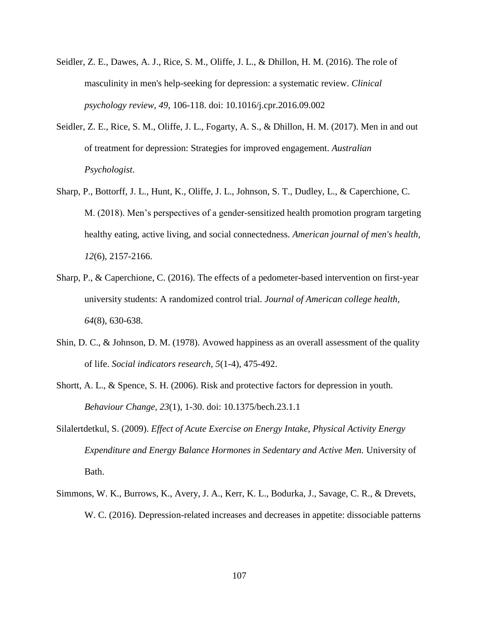- Seidler, Z. E., Dawes, A. J., Rice, S. M., Oliffe, J. L., & Dhillon, H. M. (2016). The role of masculinity in men's help-seeking for depression: a systematic review. *Clinical psychology review, 49*, 106-118. doi: 10.1016/j.cpr.2016.09.002
- Seidler, Z. E., Rice, S. M., Oliffe, J. L., Fogarty, A. S., & Dhillon, H. M. (2017). Men in and out of treatment for depression: Strategies for improved engagement. *Australian Psychologist*.
- Sharp, P., Bottorff, J. L., Hunt, K., Oliffe, J. L., Johnson, S. T., Dudley, L., & Caperchione, C. M. (2018). Men's perspectives of a gender-sensitized health promotion program targeting healthy eating, active living, and social connectedness. *American journal of men's health, 12*(6), 2157-2166.
- Sharp, P., & Caperchione, C. (2016). The effects of a pedometer-based intervention on first-year university students: A randomized control trial. *Journal of American college health, 64*(8), 630-638.
- Shin, D. C., & Johnson, D. M. (1978). Avowed happiness as an overall assessment of the quality of life. *Social indicators research, 5*(1-4), 475-492.
- Shortt, A. L., & Spence, S. H. (2006). Risk and protective factors for depression in youth. *Behaviour Change, 23*(1), 1-30. doi: 10.1375/bech.23.1.1
- Silalertdetkul, S. (2009). *Effect of Acute Exercise on Energy Intake, Physical Activity Energy Expenditure and Energy Balance Hormones in Sedentary and Active Men.* University of Bath.
- Simmons, W. K., Burrows, K., Avery, J. A., Kerr, K. L., Bodurka, J., Savage, C. R., & Drevets, W. C. (2016). Depression-related increases and decreases in appetite: dissociable patterns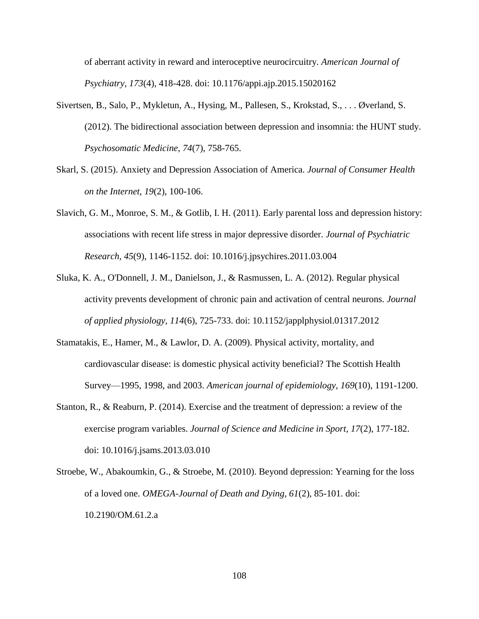of aberrant activity in reward and interoceptive neurocircuitry. *American Journal of Psychiatry, 173*(4), 418-428. doi: 10.1176/appi.ajp.2015.15020162

- Sivertsen, B., Salo, P., Mykletun, A., Hysing, M., Pallesen, S., Krokstad, S., . . . Øverland, S. (2012). The bidirectional association between depression and insomnia: the HUNT study. *Psychosomatic Medicine, 74*(7), 758-765.
- Skarl, S. (2015). Anxiety and Depression Association of America. *Journal of Consumer Health on the Internet, 19*(2), 100-106.
- Slavich, G. M., Monroe, S. M., & Gotlib, I. H. (2011). Early parental loss and depression history: associations with recent life stress in major depressive disorder. *Journal of Psychiatric Research, 45*(9), 1146-1152. doi: 10.1016/j.jpsychires.2011.03.004
- Sluka, K. A., O'Donnell, J. M., Danielson, J., & Rasmussen, L. A. (2012). Regular physical activity prevents development of chronic pain and activation of central neurons. *Journal of applied physiology, 114*(6), 725-733. doi: 10.1152/japplphysiol.01317.2012
- Stamatakis, E., Hamer, M., & Lawlor, D. A. (2009). Physical activity, mortality, and cardiovascular disease: is domestic physical activity beneficial? The Scottish Health Survey—1995, 1998, and 2003. *American journal of epidemiology, 169*(10), 1191-1200.
- Stanton, R., & Reaburn, P. (2014). Exercise and the treatment of depression: a review of the exercise program variables. *Journal of Science and Medicine in Sport, 17*(2), 177-182. doi: 10.1016/j.jsams.2013.03.010
- Stroebe, W., Abakoumkin, G., & Stroebe, M. (2010). Beyond depression: Yearning for the loss of a loved one. *OMEGA-Journal of Death and Dying, 61*(2), 85-101. doi: 10.2190/OM.61.2.a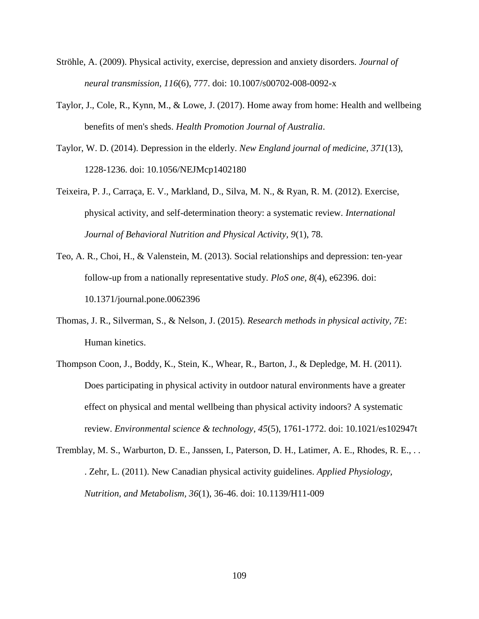- Ströhle, A. (2009). Physical activity, exercise, depression and anxiety disorders. *Journal of neural transmission, 116*(6), 777. doi: 10.1007/s00702-008-0092-x
- Taylor, J., Cole, R., Kynn, M., & Lowe, J. (2017). Home away from home: Health and wellbeing benefits of men's sheds. *Health Promotion Journal of Australia*.
- Taylor, W. D. (2014). Depression in the elderly. *New England journal of medicine, 371*(13), 1228-1236. doi: 10.1056/NEJMcp1402180
- Teixeira, P. J., Carraça, E. V., Markland, D., Silva, M. N., & Ryan, R. M. (2012). Exercise, physical activity, and self-determination theory: a systematic review. *International Journal of Behavioral Nutrition and Physical Activity, 9*(1), 78.
- Teo, A. R., Choi, H., & Valenstein, M. (2013). Social relationships and depression: ten-year follow-up from a nationally representative study. *PloS one, 8*(4), e62396. doi: 10.1371/journal.pone.0062396
- Thomas, J. R., Silverman, S., & Nelson, J. (2015). *Research methods in physical activity, 7E*: Human kinetics.
- Thompson Coon, J., Boddy, K., Stein, K., Whear, R., Barton, J., & Depledge, M. H. (2011). Does participating in physical activity in outdoor natural environments have a greater effect on physical and mental wellbeing than physical activity indoors? A systematic review. *Environmental science & technology, 45*(5), 1761-1772. doi: 10.1021/es102947t
- Tremblay, M. S., Warburton, D. E., Janssen, I., Paterson, D. H., Latimer, A. E., Rhodes, R. E., . . . Zehr, L. (2011). New Canadian physical activity guidelines. *Applied Physiology, Nutrition, and Metabolism, 36*(1), 36-46. doi: 10.1139/H11-009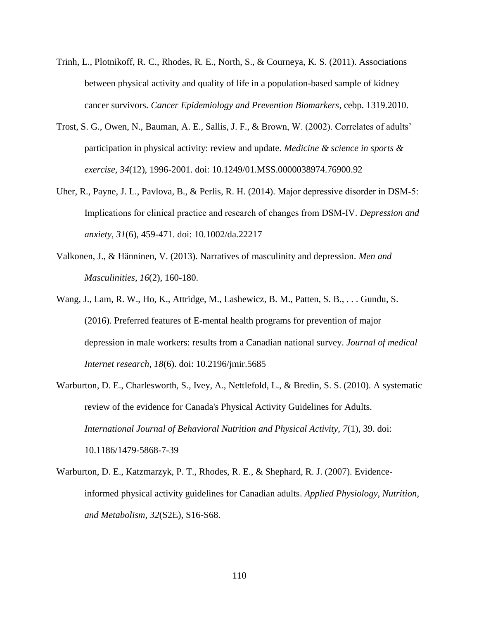- Trinh, L., Plotnikoff, R. C., Rhodes, R. E., North, S., & Courneya, K. S. (2011). Associations between physical activity and quality of life in a population-based sample of kidney cancer survivors. *Cancer Epidemiology and Prevention Biomarkers*, cebp. 1319.2010.
- Trost, S. G., Owen, N., Bauman, A. E., Sallis, J. F., & Brown, W. (2002). Correlates of adults' participation in physical activity: review and update. *Medicine & science in sports & exercise, 34*(12), 1996-2001. doi: 10.1249/01.MSS.0000038974.76900.92
- Uher, R., Payne, J. L., Pavlova, B., & Perlis, R. H. (2014). Major depressive disorder in DSM‐5: Implications for clinical practice and research of changes from DSM‐IV. *Depression and anxiety, 31*(6), 459-471. doi: 10.1002/da.22217
- Valkonen, J., & Hänninen, V. (2013). Narratives of masculinity and depression. *Men and Masculinities, 16*(2), 160-180.
- Wang, J., Lam, R. W., Ho, K., Attridge, M., Lashewicz, B. M., Patten, S. B., . . . Gundu, S. (2016). Preferred features of E-mental health programs for prevention of major depression in male workers: results from a Canadian national survey. *Journal of medical Internet research, 18*(6). doi: 10.2196/jmir.5685
- Warburton, D. E., Charlesworth, S., Ivey, A., Nettlefold, L., & Bredin, S. S. (2010). A systematic review of the evidence for Canada's Physical Activity Guidelines for Adults. *International Journal of Behavioral Nutrition and Physical Activity, 7*(1), 39. doi: 10.1186/1479-5868-7-39
- Warburton, D. E., Katzmarzyk, P. T., Rhodes, R. E., & Shephard, R. J. (2007). Evidenceinformed physical activity guidelines for Canadian adults. *Applied Physiology, Nutrition, and Metabolism, 32*(S2E), S16-S68.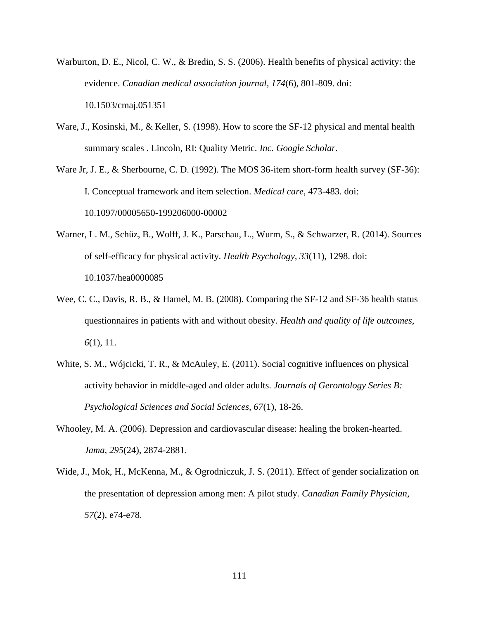- Warburton, D. E., Nicol, C. W., & Bredin, S. S. (2006). Health benefits of physical activity: the evidence. *Canadian medical association journal, 174*(6), 801-809. doi: 10.1503/cmaj.051351
- Ware, J., Kosinski, M., & Keller, S. (1998). How to score the SF-12 physical and mental health summary scales . Lincoln, RI: Quality Metric. *Inc. Google Scholar*.
- Ware Jr, J. E., & Sherbourne, C. D. (1992). The MOS 36-item short-form health survey (SF-36): I. Conceptual framework and item selection. *Medical care*, 473-483. doi: 10.1097/00005650-199206000-00002
- Warner, L. M., Schüz, B., Wolff, J. K., Parschau, L., Wurm, S., & Schwarzer, R. (2014). Sources of self-efficacy for physical activity. *Health Psychology, 33*(11), 1298. doi: 10.1037/hea0000085
- Wee, C. C., Davis, R. B., & Hamel, M. B. (2008). Comparing the SF-12 and SF-36 health status questionnaires in patients with and without obesity. *Health and quality of life outcomes, 6*(1), 11.
- White, S. M., Wójcicki, T. R., & McAuley, E. (2011). Social cognitive influences on physical activity behavior in middle-aged and older adults. *Journals of Gerontology Series B: Psychological Sciences and Social Sciences, 67*(1), 18-26.
- Whooley, M. A. (2006). Depression and cardiovascular disease: healing the broken-hearted. *Jama, 295*(24), 2874-2881.
- Wide, J., Mok, H., McKenna, M., & Ogrodniczuk, J. S. (2011). Effect of gender socialization on the presentation of depression among men: A pilot study. *Canadian Family Physician, 57*(2), e74-e78.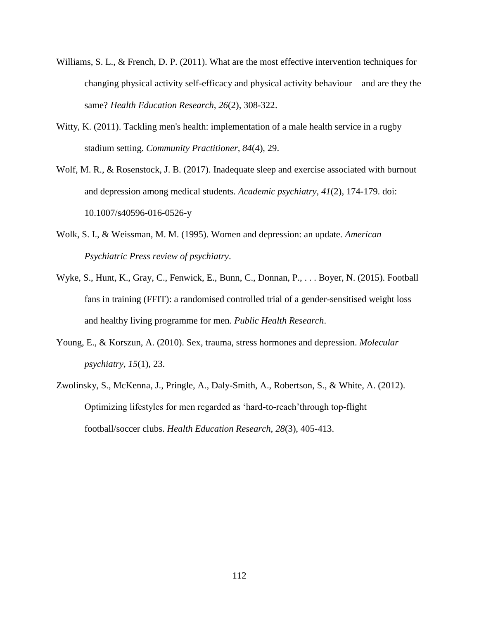- Williams, S. L., & French, D. P. (2011). What are the most effective intervention techniques for changing physical activity self-efficacy and physical activity behaviour—and are they the same? *Health Education Research, 26*(2), 308-322.
- Witty, K. (2011). Tackling men's health: implementation of a male health service in a rugby stadium setting. *Community Practitioner, 84*(4), 29.
- Wolf, M. R., & Rosenstock, J. B. (2017). Inadequate sleep and exercise associated with burnout and depression among medical students. *Academic psychiatry, 41*(2), 174-179. doi: 10.1007/s40596-016-0526-y
- Wolk, S. I., & Weissman, M. M. (1995). Women and depression: an update. *American Psychiatric Press review of psychiatry*.
- Wyke, S., Hunt, K., Gray, C., Fenwick, E., Bunn, C., Donnan, P., . . . Boyer, N. (2015). Football fans in training (FFIT): a randomised controlled trial of a gender-sensitised weight loss and healthy living programme for men. *Public Health Research*.
- Young, E., & Korszun, A. (2010). Sex, trauma, stress hormones and depression. *Molecular psychiatry, 15*(1), 23.
- Zwolinsky, S., McKenna, J., Pringle, A., Daly-Smith, A., Robertson, S., & White, A. (2012). Optimizing lifestyles for men regarded as 'hard-to-reach'through top-flight football/soccer clubs. *Health Education Research, 28*(3), 405-413.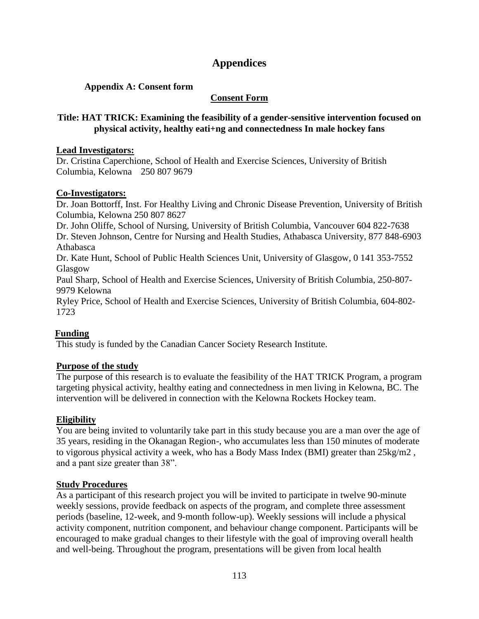# **Appendices**

## **Appendix A: Consent form**

#### **Consent Form**

## **Title: HAT TRICK: Examining the feasibility of a gender-sensitive intervention focused on physical activity, healthy eati+ng and connectedness In male hockey fans**

#### **Lead Investigators:**

Dr. Cristina Caperchione, School of Health and Exercise Sciences, University of British Columbia, Kelowna 250 807 9679

#### **Co-Investigators:**

Dr. Joan Bottorff, Inst. For Healthy Living and Chronic Disease Prevention, University of British Columbia, Kelowna 250 807 8627

Dr. John Oliffe, School of Nursing, University of British Columbia, Vancouver 604 822-7638 Dr. Steven Johnson, Centre for Nursing and Health Studies, Athabasca University, 877 848-6903 Athabasca

Dr. Kate Hunt, School of Public Health Sciences Unit, University of Glasgow, 0 141 353-7552 Glasgow

Paul Sharp, School of Health and Exercise Sciences, University of British Columbia, 250-807- 9979 Kelowna

Ryley Price, School of Health and Exercise Sciences, University of British Columbia, 604-802- 1723

#### **Funding**

This study is funded by the Canadian Cancer Society Research Institute.

#### **Purpose of the study**

The purpose of this research is to evaluate the feasibility of the HAT TRICK Program, a program targeting physical activity, healthy eating and connectedness in men living in Kelowna, BC. The intervention will be delivered in connection with the Kelowna Rockets Hockey team.

#### **Eligibility**

You are being invited to voluntarily take part in this study because you are a man over the age of 35 years, residing in the Okanagan Region-, who accumulates less than 150 minutes of moderate to vigorous physical activity a week, who has a Body Mass Index (BMI) greater than 25kg/m2 , and a pant size greater than 38".

#### **Study Procedures**

As a participant of this research project you will be invited to participate in twelve 90-minute weekly sessions, provide feedback on aspects of the program, and complete three assessment periods (baseline, 12-week, and 9-month follow-up). Weekly sessions will include a physical activity component, nutrition component, and behaviour change component. Participants will be encouraged to make gradual changes to their lifestyle with the goal of improving overall health and well-being. Throughout the program, presentations will be given from local health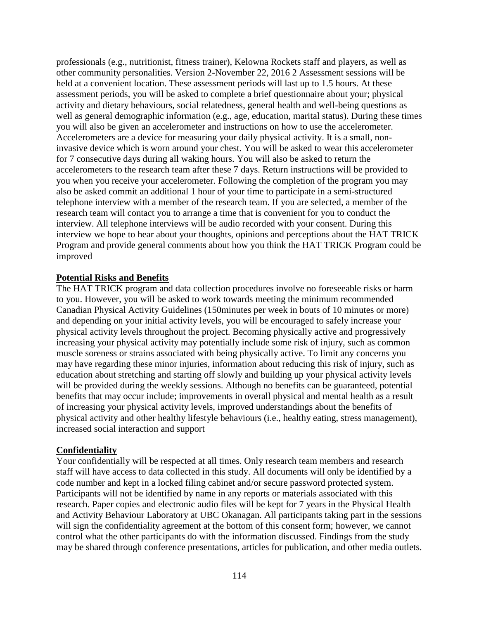professionals (e.g., nutritionist, fitness trainer), Kelowna Rockets staff and players, as well as other community personalities. Version 2-November 22, 2016 2 Assessment sessions will be held at a convenient location. These assessment periods will last up to 1.5 hours. At these assessment periods, you will be asked to complete a brief questionnaire about your; physical activity and dietary behaviours, social relatedness, general health and well-being questions as well as general demographic information (e.g., age, education, marital status). During these times you will also be given an accelerometer and instructions on how to use the accelerometer. Accelerometers are a device for measuring your daily physical activity. It is a small, noninvasive device which is worn around your chest. You will be asked to wear this accelerometer for 7 consecutive days during all waking hours. You will also be asked to return the accelerometers to the research team after these 7 days. Return instructions will be provided to you when you receive your accelerometer. Following the completion of the program you may also be asked commit an additional 1 hour of your time to participate in a semi-structured telephone interview with a member of the research team. If you are selected, a member of the research team will contact you to arrange a time that is convenient for you to conduct the interview. All telephone interviews will be audio recorded with your consent. During this interview we hope to hear about your thoughts, opinions and perceptions about the HAT TRICK Program and provide general comments about how you think the HAT TRICK Program could be improved

#### **Potential Risks and Benefits**

The HAT TRICK program and data collection procedures involve no foreseeable risks or harm to you. However, you will be asked to work towards meeting the minimum recommended Canadian Physical Activity Guidelines (150minutes per week in bouts of 10 minutes or more) and depending on your initial activity levels, you will be encouraged to safely increase your physical activity levels throughout the project. Becoming physically active and progressively increasing your physical activity may potentially include some risk of injury, such as common muscle soreness or strains associated with being physically active. To limit any concerns you may have regarding these minor injuries, information about reducing this risk of injury, such as education about stretching and starting off slowly and building up your physical activity levels will be provided during the weekly sessions. Although no benefits can be guaranteed, potential benefits that may occur include; improvements in overall physical and mental health as a result of increasing your physical activity levels, improved understandings about the benefits of physical activity and other healthy lifestyle behaviours (i.e., healthy eating, stress management), increased social interaction and support

#### **Confidentiality**

Your confidentially will be respected at all times. Only research team members and research staff will have access to data collected in this study. All documents will only be identified by a code number and kept in a locked filing cabinet and/or secure password protected system. Participants will not be identified by name in any reports or materials associated with this research. Paper copies and electronic audio files will be kept for 7 years in the Physical Health and Activity Behaviour Laboratory at UBC Okanagan. All participants taking part in the sessions will sign the confidentiality agreement at the bottom of this consent form; however, we cannot control what the other participants do with the information discussed. Findings from the study may be shared through conference presentations, articles for publication, and other media outlets.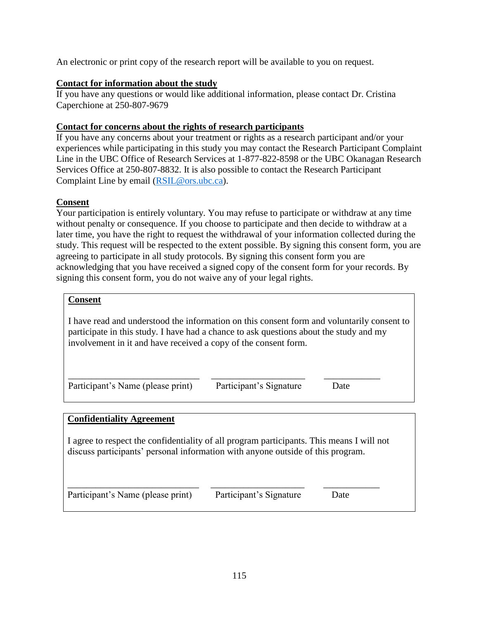An electronic or print copy of the research report will be available to you on request.

## **Contact for information about the study**

If you have any questions or would like additional information, please contact Dr. Cristina Caperchione at 250-807-9679

## **Contact for concerns about the rights of research participants**

If you have any concerns about your treatment or rights as a research participant and/or your experiences while participating in this study you may contact the Research Participant Complaint Line in the UBC Office of Research Services at 1-877-822-8598 or the UBC Okanagan Research Services Office at 250-807-8832. It is also possible to contact the Research Participant Complaint Line by email [\(RSIL@ors.ubc.ca\)](mailto:RSIL@ors.ubc.ca).

# **Consent**

Your participation is entirely voluntary. You may refuse to participate or withdraw at any time without penalty or consequence. If you choose to participate and then decide to withdraw at a later time, you have the right to request the withdrawal of your information collected during the study. This request will be respected to the extent possible. By signing this consent form, you are agreeing to participate in all study protocols. By signing this consent form you are acknowledging that you have received a signed copy of the consent form for your records. By signing this consent form, you do not waive any of your legal rights.

#### **Consent**

I have read and understood the information on this consent form and voluntarily consent to participate in this study. I have had a chance to ask questions about the study and my involvement in it and have received a copy of the consent form.

Participant's Name (please print) Participant's Signature Date

# **Confidentiality Agreement**

I agree to respect the confidentiality of all program participants. This means I will not discuss participants' personal information with anyone outside of this program.

\_\_\_\_\_\_\_\_\_\_\_\_\_\_\_\_\_\_\_\_\_\_\_\_\_\_\_\_ \_\_\_\_\_\_\_\_\_\_\_\_\_\_\_\_\_\_\_\_ \_\_\_\_\_\_\_\_\_\_\_\_

Participant's Name (please print) Participant's Signature Date

\_\_\_\_\_\_\_\_\_\_\_\_\_\_\_\_\_\_\_\_\_\_\_\_\_\_\_\_ \_\_\_\_\_\_\_\_\_\_\_\_\_\_\_\_\_\_\_\_ \_\_\_\_\_\_\_\_\_\_\_\_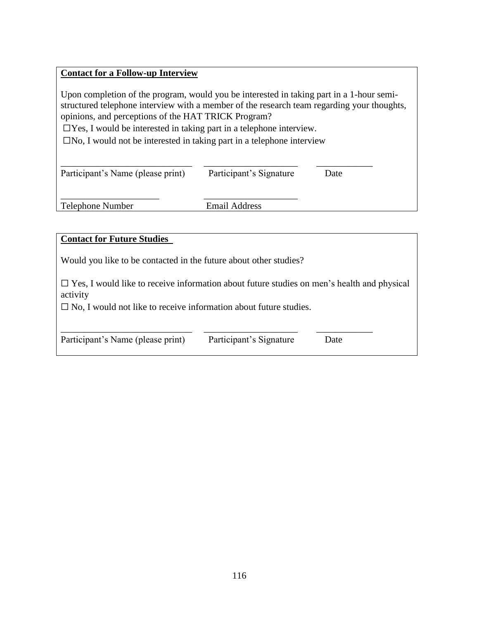## **Contact for a Follow-up Interview**

Upon completion of the program, would you be interested in taking part in a 1-hour semistructured telephone interview with a member of the research team regarding your thoughts, opinions, and perceptions of the HAT TRICK Program?

 $\Box$ Yes, I would be interested in taking part in a telephone interview.

 $\square$ No, I would not be interested in taking part in a telephone interview

| Participant's Name (please print) | Participant's Signature | Date |  |
|-----------------------------------|-------------------------|------|--|
| <b>Telephone Number</b>           | Email Address           |      |  |

# **Contact for Future Studies**

Would you like to be contacted in the future about other studies?

 $\Box$  Yes, I would like to receive information about future studies on men's health and physical activity

☐ No, I would not like to receive information about future studies.

| Participant's Name (please print) | Participant's Signature | Date |  |
|-----------------------------------|-------------------------|------|--|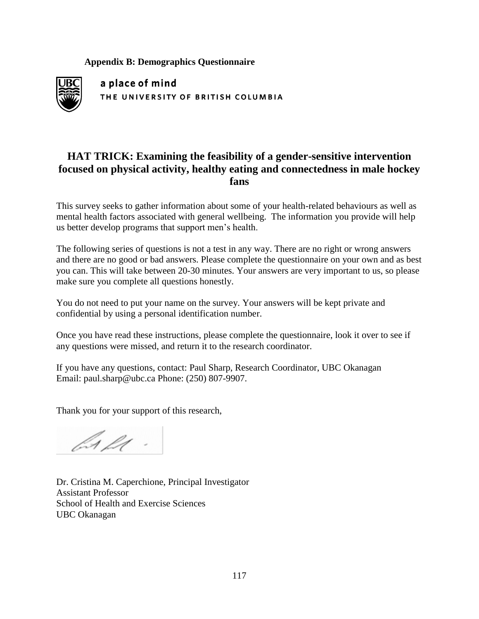#### **Appendix B: Demographics Questionnaire**



# **HAT TRICK: Examining the feasibility of a gender-sensitive intervention focused on physical activity, healthy eating and connectedness in male hockey fans**

This survey seeks to gather information about some of your health-related behaviours as well as mental health factors associated with general wellbeing. The information you provide will help us better develop programs that support men's health.

The following series of questions is not a test in any way. There are no right or wrong answers and there are no good or bad answers. Please complete the questionnaire on your own and as best you can. This will take between 20-30 minutes. Your answers are very important to us, so please make sure you complete all questions honestly.

You do not need to put your name on the survey. Your answers will be kept private and confidential by using a personal identification number.

Once you have read these instructions, please complete the questionnaire, look it over to see if any questions were missed, and return it to the research coordinator.

If you have any questions, contact: Paul Sharp, Research Coordinator, UBC Okanagan Email: paul.sharp@ubc.ca Phone: (250) 807-9907.

Thank you for your support of this research,

lalle.

Dr. Cristina M. Caperchione, Principal Investigator Assistant Professor School of Health and Exercise Sciences UBC Okanagan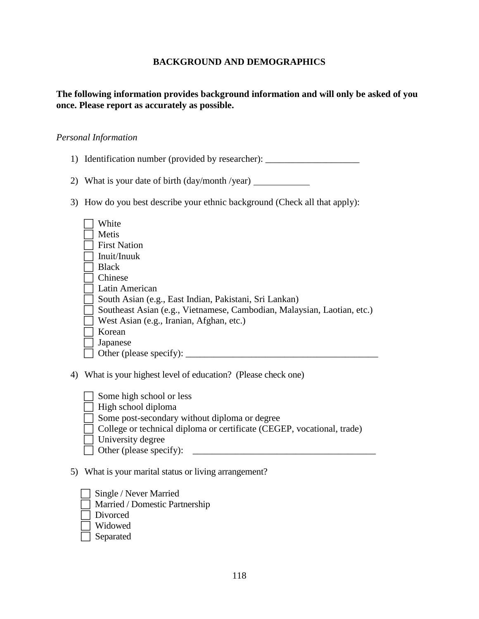#### **BACKGROUND AND DEMOGRAPHICS**

#### **The following information provides background information and will only be asked of you once. Please report as accurately as possible.**

#### *Personal Information*

- 1) Identification number (provided by researcher): \_\_\_\_\_\_\_\_\_\_\_\_\_\_\_\_\_\_\_\_\_\_\_\_\_\_\_\_\_\_
- 2) What is your date of birth (day/month /year)
- 3) How do you best describe your ethnic background (Check all that apply):

| White                                                                   |
|-------------------------------------------------------------------------|
| Metis                                                                   |
| <b>First Nation</b>                                                     |
| Inuit/Inuuk                                                             |
| <b>Black</b>                                                            |
| Chinese                                                                 |
| Latin American                                                          |
| South Asian (e.g., East Indian, Pakistani, Sri Lankan)                  |
| Southeast Asian (e.g., Vietnamese, Cambodian, Malaysian, Laotian, etc.) |
| West Asian (e.g., Iranian, Afghan, etc.)                                |
| Korean                                                                  |
| Japanese                                                                |
| Other (please specify):                                                 |

4) What is your highest level of education? (Please check one)

| $\Box$ Some high school or less                                               |
|-------------------------------------------------------------------------------|
| $\Box$ High school diploma                                                    |
| $\Box$ Some post-secondary without diploma or degree                          |
| $\Box$ College or technical diploma or certificate (CEGEP, vocational, trade) |
| $\Box$ University degree                                                      |
| $\Box$ Other (please specify):                                                |

5) What is your marital status or living arrangement?

- Single / Never Married
- Married / Domestic Partnership
- Divorced
- Widowed
- Separated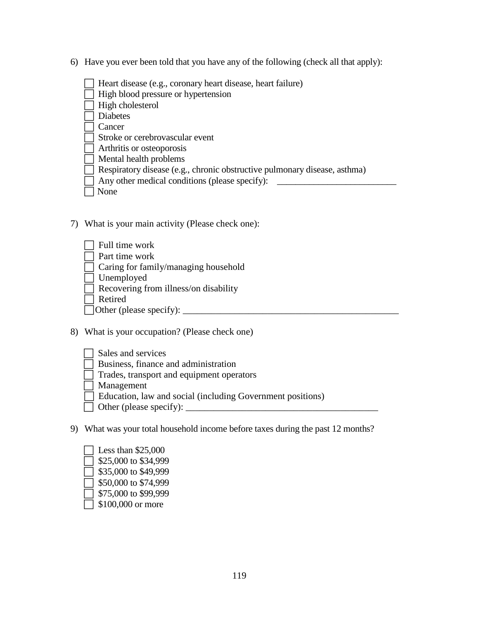6) Have you ever been told that you have any of the following (check all that apply):

| Heart disease (e.g., coronary heart disease, heart failure)               |  |
|---------------------------------------------------------------------------|--|
| High blood pressure or hypertension                                       |  |
| High cholesterol                                                          |  |
| <b>Diabetes</b>                                                           |  |
| Cancer                                                                    |  |
| Stroke or cerebrovascular event                                           |  |
| Arthritis or osteoporosis                                                 |  |
| Mental health problems                                                    |  |
| Respiratory disease (e.g., chronic obstructive pulmonary disease, asthma) |  |
| Any other medical conditions (please specify):                            |  |
| Vone                                                                      |  |

7) What is your main activity (Please check one):

| Full time work                               |  |
|----------------------------------------------|--|
| Part time work                               |  |
| $\Box$ Caring for family/managing household  |  |
| $\Box$ Unemployed                            |  |
| $\Box$ Recovering from illness/on disability |  |
| Retired                                      |  |
| $\Box$ Other (please specify):               |  |

- 8) What is your occupation? (Please check one)
	- $\Box$  Sales and services
	- $\equiv$  Business, finance and administration
	- Trades, transport and equipment operators
	- $\overline{\Box}$  Management
	- Education, law and social (including Government positions)
	- Other (please specify):  $\Box$
- 9) What was your total household income before taxes during the past 12 months?

| Less than \$25,000   |
|----------------------|
| \$25,000 to \$34,999 |
| \$35,000 to \$49,999 |
| \$50,000 to \$74,999 |
| \$75,000 to \$99,999 |
| \$100,000 or more    |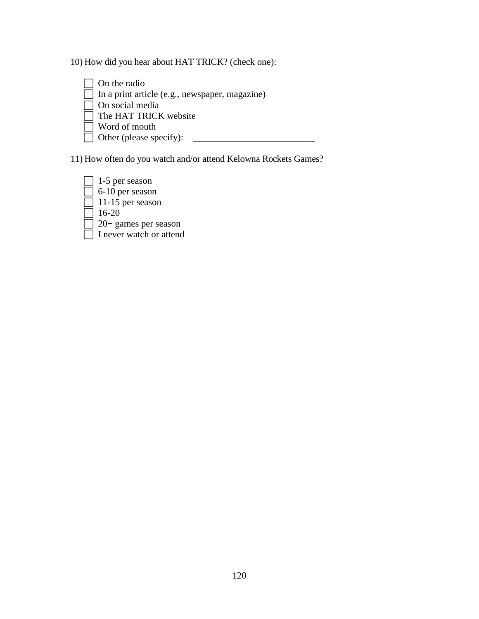10) How did you hear about HAT TRICK? (check one):



11) How often do you watch and/or attend Kelowna Rockets Games?

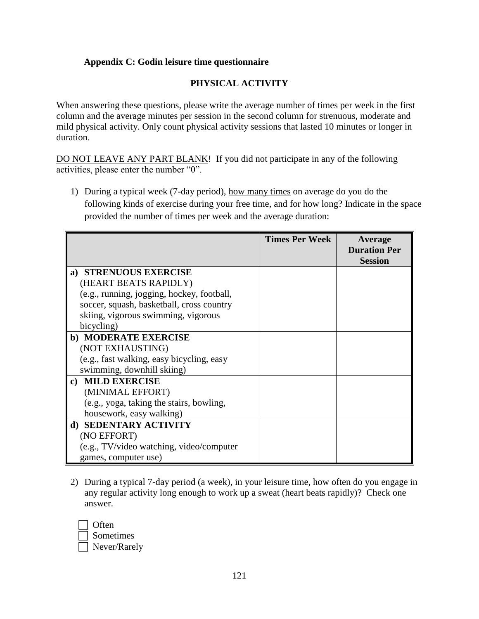## **Appendix C: Godin leisure time questionnaire**

# **PHYSICAL ACTIVITY**

When answering these questions, please write the average number of times per week in the first column and the average minutes per session in the second column for strenuous, moderate and mild physical activity. Only count physical activity sessions that lasted 10 minutes or longer in duration.

DO NOT LEAVE ANY PART BLANK! If you did not participate in any of the following activities, please enter the number "0".

1) During a typical week (7-day period), how many times on average do you do the following kinds of exercise during your free time, and for how long? Indicate in the space provided the number of times per week and the average duration:

|                                            | <b>Times Per Week</b> | Average<br><b>Duration Per</b><br><b>Session</b> |
|--------------------------------------------|-----------------------|--------------------------------------------------|
| <b>STRENUOUS EXERCISE</b><br>a)            |                       |                                                  |
| (HEART BEATS RAPIDLY)                      |                       |                                                  |
| (e.g., running, jogging, hockey, football, |                       |                                                  |
| soccer, squash, basketball, cross country  |                       |                                                  |
| skiing, vigorous swimming, vigorous        |                       |                                                  |
| bicycling)                                 |                       |                                                  |
| b) MODERATE EXERCISE                       |                       |                                                  |
| (NOT EXHAUSTING)                           |                       |                                                  |
| (e.g., fast walking, easy bicycling, easy  |                       |                                                  |
| swimming, downhill skiing)                 |                       |                                                  |
| <b>MILD EXERCISE</b><br>$\mathbf{c}$       |                       |                                                  |
| (MINIMAL EFFORT)                           |                       |                                                  |
| (e.g., yoga, taking the stairs, bowling,   |                       |                                                  |
| housework, easy walking)                   |                       |                                                  |
| d) SEDENTARY ACTIVITY                      |                       |                                                  |
| (NO EFFORT)                                |                       |                                                  |
| (e.g., TV/video watching, video/computer   |                       |                                                  |
| games, computer use)                       |                       |                                                  |

2) During a typical 7-day period (a week), in your leisure time, how often do you engage in any regular activity long enough to work up a sweat (heart beats rapidly)? Check one answer.

| Often        |
|--------------|
| Sometimes    |
| Never/Rarely |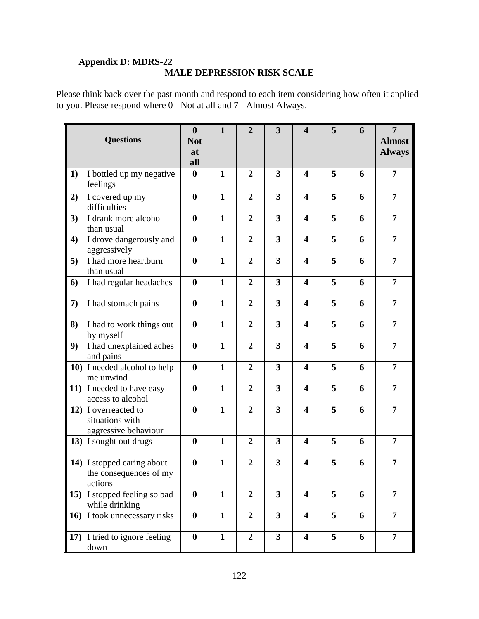# **Appendix D: MDRS-22 MALE DEPRESSION RISK SCALE**

Please think back over the past month and respond to each item considering how often it applied to you. Please respond where 0= Not at all and 7= Almost Always.

|           | <b>Questions</b>                                                | $\boldsymbol{0}$<br><b>Not</b><br>at<br>all | $\mathbf{1}$ | $\overline{2}$   | 3                       | $\overline{\mathbf{4}}$ | 5 | 6 | $\overline{7}$<br><b>Almost</b><br><b>Always</b> |
|-----------|-----------------------------------------------------------------|---------------------------------------------|--------------|------------------|-------------------------|-------------------------|---|---|--------------------------------------------------|
| 1)        | I bottled up my negative<br>feelings                            | $\bf{0}$                                    | $\mathbf{1}$ | $\overline{2}$   | 3                       | $\overline{\mathbf{4}}$ | 5 | 6 | $\overline{7}$                                   |
| 2)        | I covered up my<br>difficulties                                 | $\bf{0}$                                    | $\mathbf{1}$ | $\overline{2}$   | 3                       | $\overline{\mathbf{4}}$ | 5 | 6 | $\overline{7}$                                   |
| 3)        | I drank more alcohol<br>than usual                              | $\boldsymbol{0}$                            | $\mathbf{1}$ | $\overline{2}$   | 3                       | $\overline{\mathbf{4}}$ | 5 | 6 | $\overline{7}$                                   |
| 4)        | I drove dangerously and<br>aggressively                         | $\bf{0}$                                    | $\mathbf{1}$ | $\overline{2}$   | $\overline{\mathbf{3}}$ | $\overline{\mathbf{4}}$ | 5 | 6 | $\overline{7}$                                   |
| 5)        | I had more heartburn<br>than usual                              | $\bf{0}$                                    | $\mathbf{1}$ | $\overline{2}$   | $\overline{\mathbf{3}}$ | $\overline{\mathbf{4}}$ | 5 | 6 | $\overline{7}$                                   |
| 6)        | I had regular headaches                                         | $\bf{0}$                                    | $\mathbf{1}$ | $\overline{2}$   | $\overline{\mathbf{3}}$ | $\overline{\mathbf{4}}$ | 5 | 6 | $\overline{7}$                                   |
| 7)        | I had stomach pains                                             | $\bf{0}$                                    | $\mathbf{1}$ | $\overline{2}$   | 3                       | $\overline{\mathbf{4}}$ | 5 | 6 | $\overline{7}$                                   |
| 8)        | I had to work things out<br>by myself                           | $\bf{0}$                                    | $\mathbf{1}$ | $\overline{2}$   | 3                       | $\overline{\mathbf{4}}$ | 5 | 6 | $\overline{7}$                                   |
| 9)        | I had unexplained aches<br>and pains                            | $\bf{0}$                                    | $\mathbf{1}$ | $\overline{2}$   | 3                       | $\overline{\mathbf{4}}$ | 5 | 6 | 7                                                |
|           | 10) I needed alcohol to help<br>me unwind                       | $\boldsymbol{0}$                            | $\mathbf{1}$ | $\overline{2}$   | 3                       | $\overline{\mathbf{4}}$ | 5 | 6 | 7                                                |
| 11)       | I needed to have easy<br>access to alcohol                      | $\boldsymbol{0}$                            | $\mathbf{1}$ | $\overline{2}$   | 3                       | $\overline{\mathbf{4}}$ | 5 | 6 | 7                                                |
|           | 12) I overreacted to<br>situations with<br>aggressive behaviour | $\boldsymbol{0}$                            | $\mathbf{1}$ | $\overline{2}$   | 3                       | $\overline{\mathbf{4}}$ | 5 | 6 | $\overline{7}$                                   |
|           | 13) I sought out drugs                                          | $\bf{0}$                                    | $\mathbf{1}$ | $\overline{2}$   | $\overline{\mathbf{3}}$ | $\overline{\mathbf{4}}$ | 5 | 6 | $\overline{7}$                                   |
|           | 14) I stopped caring about<br>the consequences of my<br>actions | $\boldsymbol{0}$                            | $\mathbf{1}$ | $\overline{2}$   | 3                       | $\overline{\mathbf{4}}$ | 5 | 6 | 7                                                |
| 15)       | I stopped feeling so bad<br>while drinking                      | $\boldsymbol{0}$                            | $\mathbf{1}$ | $\overline{2}$   | 3                       | $\overline{\mathbf{4}}$ | 5 | 6 | $\overline{7}$                                   |
| <b>16</b> | I took unnecessary risks                                        | $\boldsymbol{0}$                            | $\mathbf{1}$ | $\boldsymbol{2}$ | $\mathbf{3}$            | $\overline{\mathbf{4}}$ | 5 | 6 | $\overline{7}$                                   |
|           | 17) I tried to ignore feeling<br>down                           | $\bf{0}$                                    | $\mathbf{1}$ | $\boldsymbol{2}$ | $\overline{\mathbf{3}}$ | $\overline{\mathbf{4}}$ | 5 | 6 | $\overline{7}$                                   |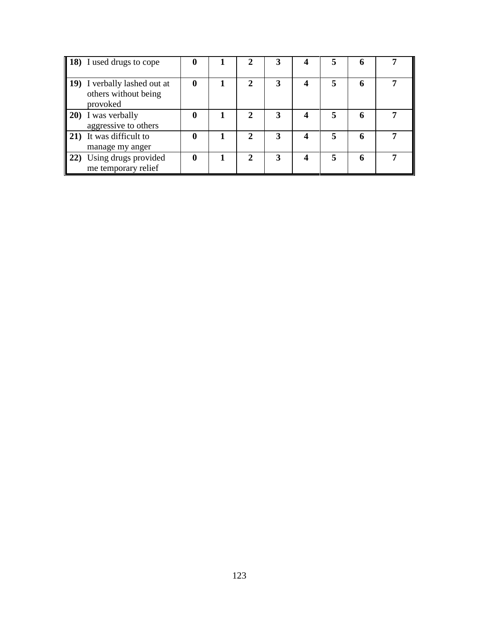| 18) I used drugs to cope                                         |  |  |  | 6 |  |
|------------------------------------------------------------------|--|--|--|---|--|
| 19) I verbally lashed out at<br>others without being<br>provoked |  |  |  | 6 |  |
| <b>20</b> ) I was verbally<br>aggressive to others               |  |  |  |   |  |
| 21) It was difficult to<br>manage my anger                       |  |  |  | 6 |  |
| Using drugs provided<br>me temporary relief                      |  |  |  | h |  |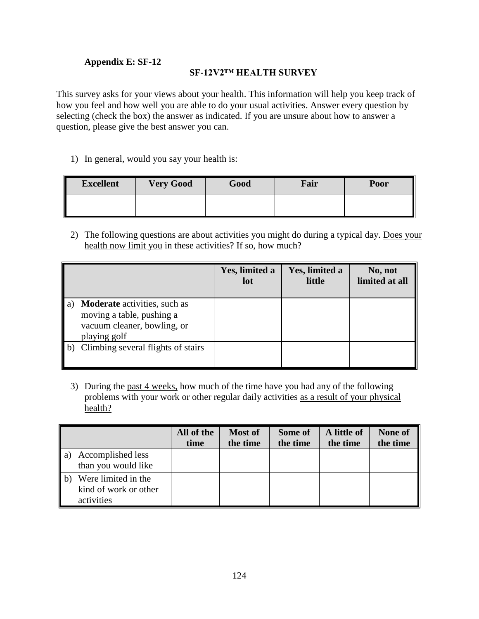## **Appendix E: SF-12**

#### **SF-12V2™ HEALTH SURVEY**

This survey asks for your views about your health. This information will help you keep track of how you feel and how well you are able to do your usual activities. Answer every question by selecting (check the box) the answer as indicated. If you are unsure about how to answer a question, please give the best answer you can.

1) In general, would you say your health is:

| ľ<br><b>Excellent</b> | <b>Very Good</b> | Good | Fair | Poor |
|-----------------------|------------------|------|------|------|
|                       |                  |      |      |      |

2) The following questions are about activities you might do during a typical day. Does your health now limit you in these activities? If so, how much?

|    |                                                                                                                 | Yes, limited a<br>lot | Yes, limited a<br>little | No, not<br>limited at all |
|----|-----------------------------------------------------------------------------------------------------------------|-----------------------|--------------------------|---------------------------|
| a) | <b>Moderate</b> activities, such as<br>moving a table, pushing a<br>vacuum cleaner, bowling, or<br>playing golf |                       |                          |                           |
|    | Climbing several flights of stairs                                                                              |                       |                          |                           |

3) During the past 4 weeks, how much of the time have you had any of the following problems with your work or other regular daily activities as a result of your physical health?

|                                                                            | All of the<br>time | <b>Most of</b><br>the time | Some of<br>the time | A little of<br>the time | None of<br>the time |
|----------------------------------------------------------------------------|--------------------|----------------------------|---------------------|-------------------------|---------------------|
| Accomplished less<br>$\blacksquare$<br>than you would like                 |                    |                            |                     |                         |                     |
| $\mathbf{b}$<br>Were limited in the<br>kind of work or other<br>activities |                    |                            |                     |                         |                     |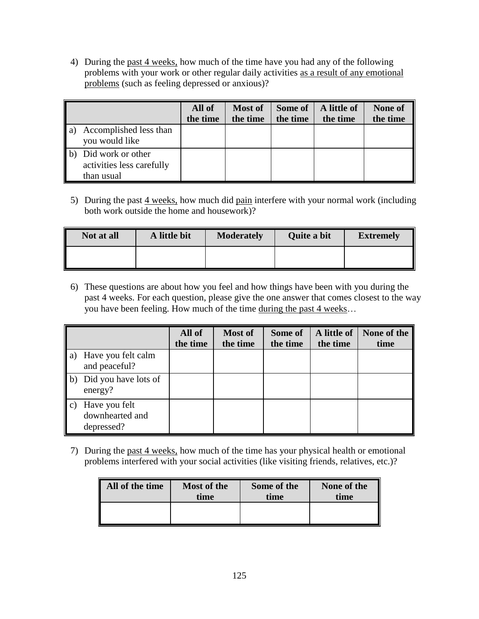4) During the past 4 weeks, how much of the time have you had any of the following problems with your work or other regular daily activities as a result of any emotional problems (such as feeling depressed or anxious)?

|                |                           | All of<br>the time | Most of<br>the time | Some of  <br>the time | A little of<br>the time | None of<br>the time |
|----------------|---------------------------|--------------------|---------------------|-----------------------|-------------------------|---------------------|
|                |                           |                    |                     |                       |                         |                     |
| $\blacksquare$ | Accomplished less than    |                    |                     |                       |                         |                     |
|                | you would like            |                    |                     |                       |                         |                     |
| $\vert$ b)     | Did work or other         |                    |                     |                       |                         |                     |
|                | activities less carefully |                    |                     |                       |                         |                     |
|                | than usual                |                    |                     |                       |                         |                     |

5) During the past  $\frac{4 \text{ weeks}}{2 \text{ hours}}$  how much did pain interfere with your normal work (including both work outside the home and housework)?

| Not at all | A little bit | <b>Moderately</b> | <b>Quite a bit</b> | <b>Extremely</b> |
|------------|--------------|-------------------|--------------------|------------------|
|            |              |                   |                    |                  |

6) These questions are about how you feel and how things have been with you during the past 4 weeks. For each question, please give the one answer that comes closest to the way you have been feeling. How much of the time during the past 4 weeks…

|    |                                                | All of<br>the time | Most of<br>the time | Some of<br>the time | A little of<br>the time | None of the<br>time |
|----|------------------------------------------------|--------------------|---------------------|---------------------|-------------------------|---------------------|
| a) | Have you felt calm<br>and peaceful?            |                    |                     |                     |                         |                     |
|    | b) Did you have lots of<br>energy?             |                    |                     |                     |                         |                     |
| C) | Have you felt<br>downhearted and<br>depressed? |                    |                     |                     |                         |                     |

7) During the past 4 weeks, how much of the time has your physical health or emotional problems interfered with your social activities (like visiting friends, relatives, etc.)?

| All of the time<br><b>Most of the</b><br>time |  | Some of the<br>time | None of the<br>time |
|-----------------------------------------------|--|---------------------|---------------------|
|                                               |  |                     |                     |